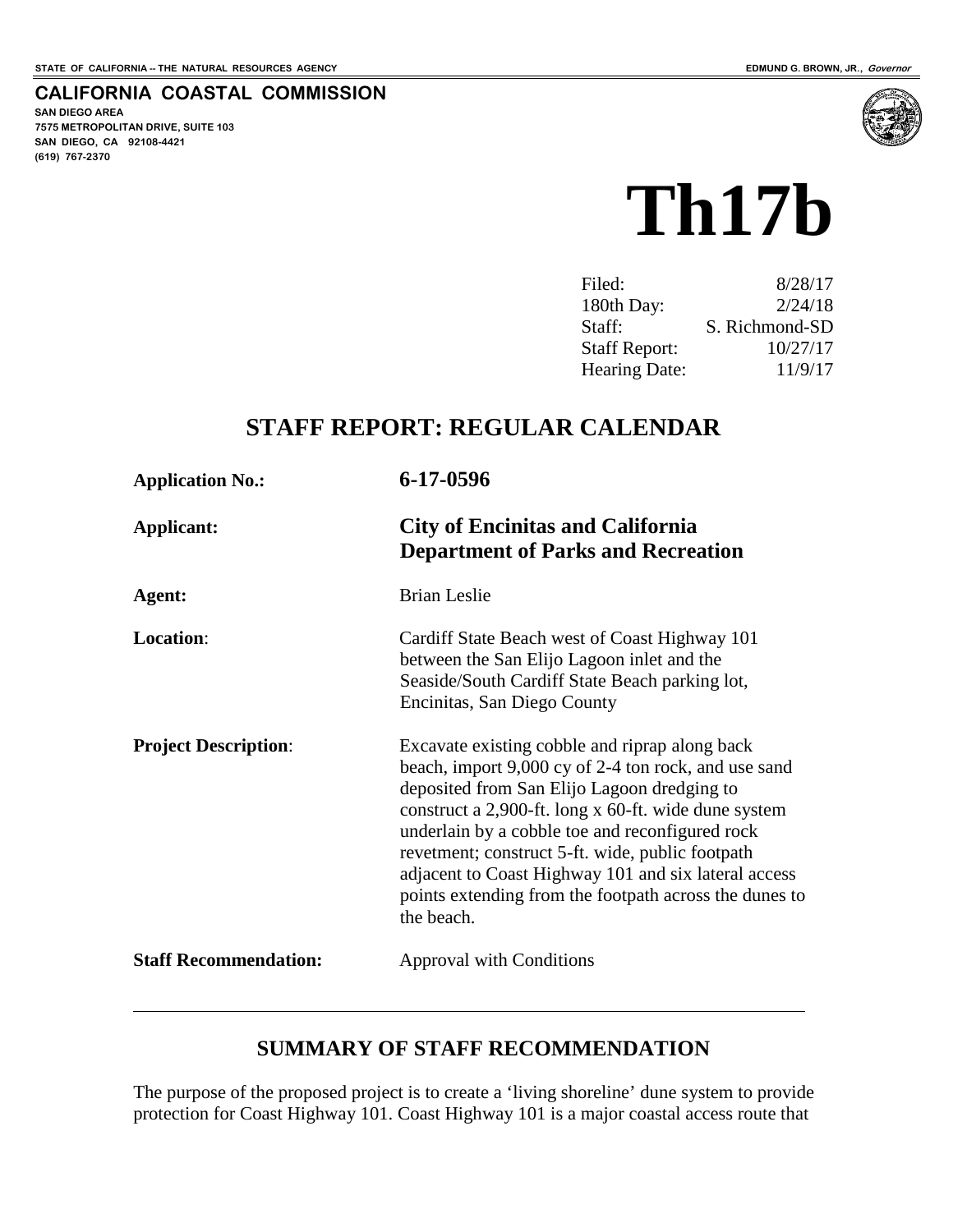#### **CALIFORNIA COASTAL COMMISSION**

**SAN DIEGO AREA 7575 METROPOLITAN DRIVE, SUITE 103 SAN DIEGO, CA 92108-4421 (619) 767-2370**

 $\overline{a}$ 



| 8/28/17        |
|----------------|
| 2/24/18        |
| S. Richmond-SD |
| 10/27/17       |
| 11/9/17        |
|                |

## **STAFF REPORT: REGULAR CALENDAR**

| <b>Application No.:</b>      | 6-17-0596                                                                                                                                                                                                                                                                                                                                                                                                                                            |  |
|------------------------------|------------------------------------------------------------------------------------------------------------------------------------------------------------------------------------------------------------------------------------------------------------------------------------------------------------------------------------------------------------------------------------------------------------------------------------------------------|--|
| Applicant:                   | <b>City of Encinitas and California</b><br><b>Department of Parks and Recreation</b>                                                                                                                                                                                                                                                                                                                                                                 |  |
| Agent:                       | <b>Brian Leslie</b>                                                                                                                                                                                                                                                                                                                                                                                                                                  |  |
| <b>Location:</b>             | Cardiff State Beach west of Coast Highway 101<br>between the San Elijo Lagoon inlet and the<br>Seaside/South Cardiff State Beach parking lot,<br>Encinitas, San Diego County                                                                                                                                                                                                                                                                         |  |
| <b>Project Description:</b>  | Excavate existing cobble and riprap along back<br>beach, import 9,000 cy of 2-4 ton rock, and use sand<br>deposited from San Elijo Lagoon dredging to<br>construct a 2,900-ft. long x 60-ft. wide dune system<br>underlain by a cobble toe and reconfigured rock<br>revetment; construct 5-ft. wide, public footpath<br>adjacent to Coast Highway 101 and six lateral access<br>points extending from the footpath across the dunes to<br>the beach. |  |
| <b>Staff Recommendation:</b> | <b>Approval with Conditions</b>                                                                                                                                                                                                                                                                                                                                                                                                                      |  |

## **SUMMARY OF STAFF RECOMMENDATION**

The purpose of the proposed project is to create a 'living shoreline' dune system to provide protection for Coast Highway 101. Coast Highway 101 is a major coastal access route that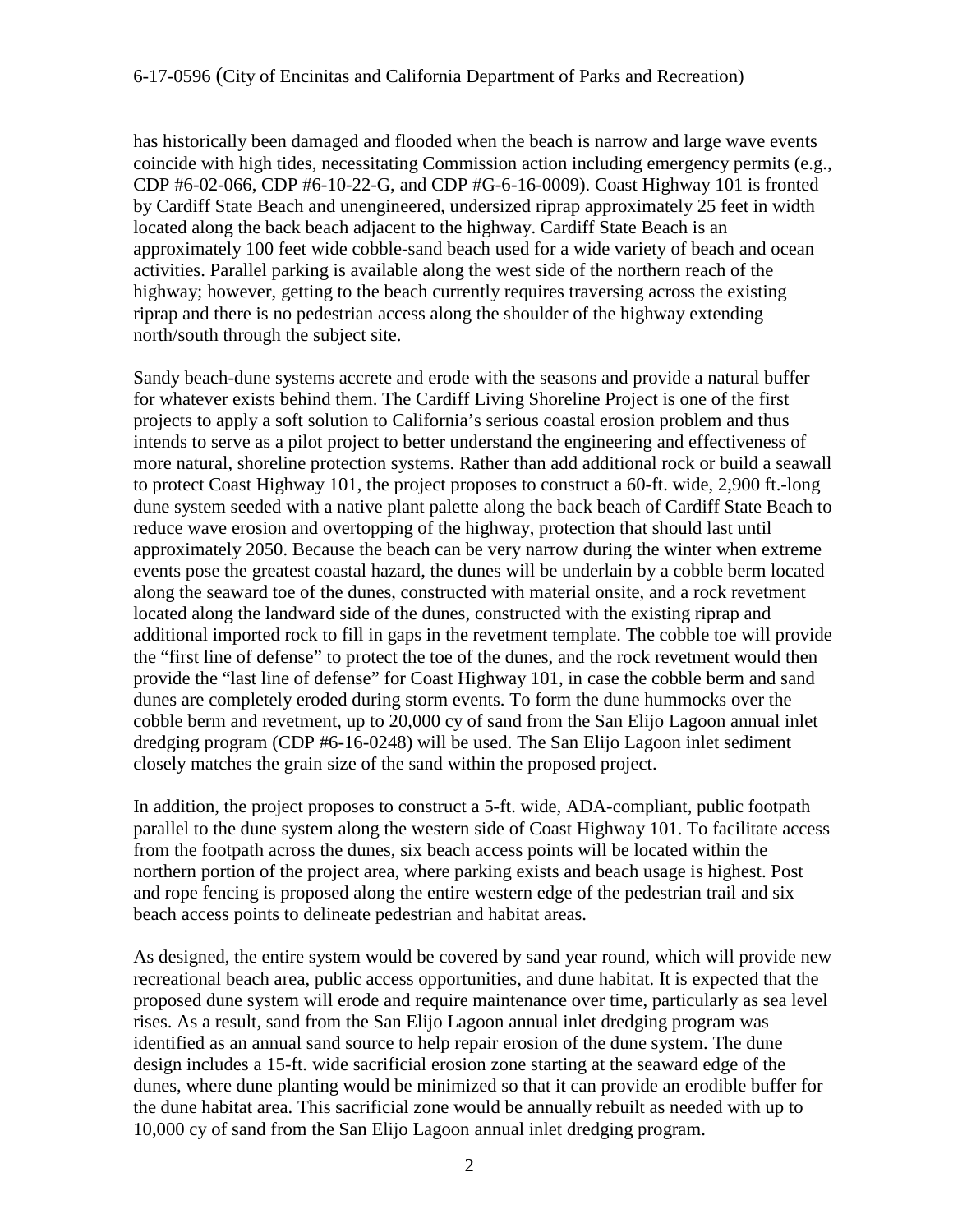has historically been damaged and flooded when the beach is narrow and large wave events coincide with high tides, necessitating Commission action including emergency permits (e.g., CDP #6-02-066, CDP #6-10-22-G, and CDP #G-6-16-0009). Coast Highway 101 is fronted by Cardiff State Beach and unengineered, undersized riprap approximately 25 feet in width located along the back beach adjacent to the highway. Cardiff State Beach is an approximately 100 feet wide cobble-sand beach used for a wide variety of beach and ocean activities. Parallel parking is available along the west side of the northern reach of the highway; however, getting to the beach currently requires traversing across the existing riprap and there is no pedestrian access along the shoulder of the highway extending north/south through the subject site.

Sandy beach-dune systems accrete and erode with the seasons and provide a natural buffer for whatever exists behind them. The Cardiff Living Shoreline Project is one of the first projects to apply a soft solution to California's serious coastal erosion problem and thus intends to serve as a pilot project to better understand the engineering and effectiveness of more natural, shoreline protection systems. Rather than add additional rock or build a seawall to protect Coast Highway 101, the project proposes to construct a 60-ft. wide, 2,900 ft.-long dune system seeded with a native plant palette along the back beach of Cardiff State Beach to reduce wave erosion and overtopping of the highway, protection that should last until approximately 2050. Because the beach can be very narrow during the winter when extreme events pose the greatest coastal hazard, the dunes will be underlain by a cobble berm located along the seaward toe of the dunes, constructed with material onsite, and a rock revetment located along the landward side of the dunes, constructed with the existing riprap and additional imported rock to fill in gaps in the revetment template. The cobble toe will provide the "first line of defense" to protect the toe of the dunes, and the rock revetment would then provide the "last line of defense" for Coast Highway 101, in case the cobble berm and sand dunes are completely eroded during storm events. To form the dune hummocks over the cobble berm and revetment, up to 20,000 cy of sand from the San Elijo Lagoon annual inlet dredging program (CDP #6-16-0248) will be used. The San Elijo Lagoon inlet sediment closely matches the grain size of the sand within the proposed project.

In addition, the project proposes to construct a 5-ft. wide, ADA-compliant, public footpath parallel to the dune system along the western side of Coast Highway 101. To facilitate access from the footpath across the dunes, six beach access points will be located within the northern portion of the project area, where parking exists and beach usage is highest. Post and rope fencing is proposed along the entire western edge of the pedestrian trail and six beach access points to delineate pedestrian and habitat areas.

As designed, the entire system would be covered by sand year round, which will provide new recreational beach area, public access opportunities, and dune habitat. It is expected that the proposed dune system will erode and require maintenance over time, particularly as sea level rises. As a result, sand from the San Elijo Lagoon annual inlet dredging program was identified as an annual sand source to help repair erosion of the dune system. The dune design includes a 15-ft. wide sacrificial erosion zone starting at the seaward edge of the dunes, where dune planting would be minimized so that it can provide an erodible buffer for the dune habitat area. This sacrificial zone would be annually rebuilt as needed with up to 10,000 cy of sand from the San Elijo Lagoon annual inlet dredging program.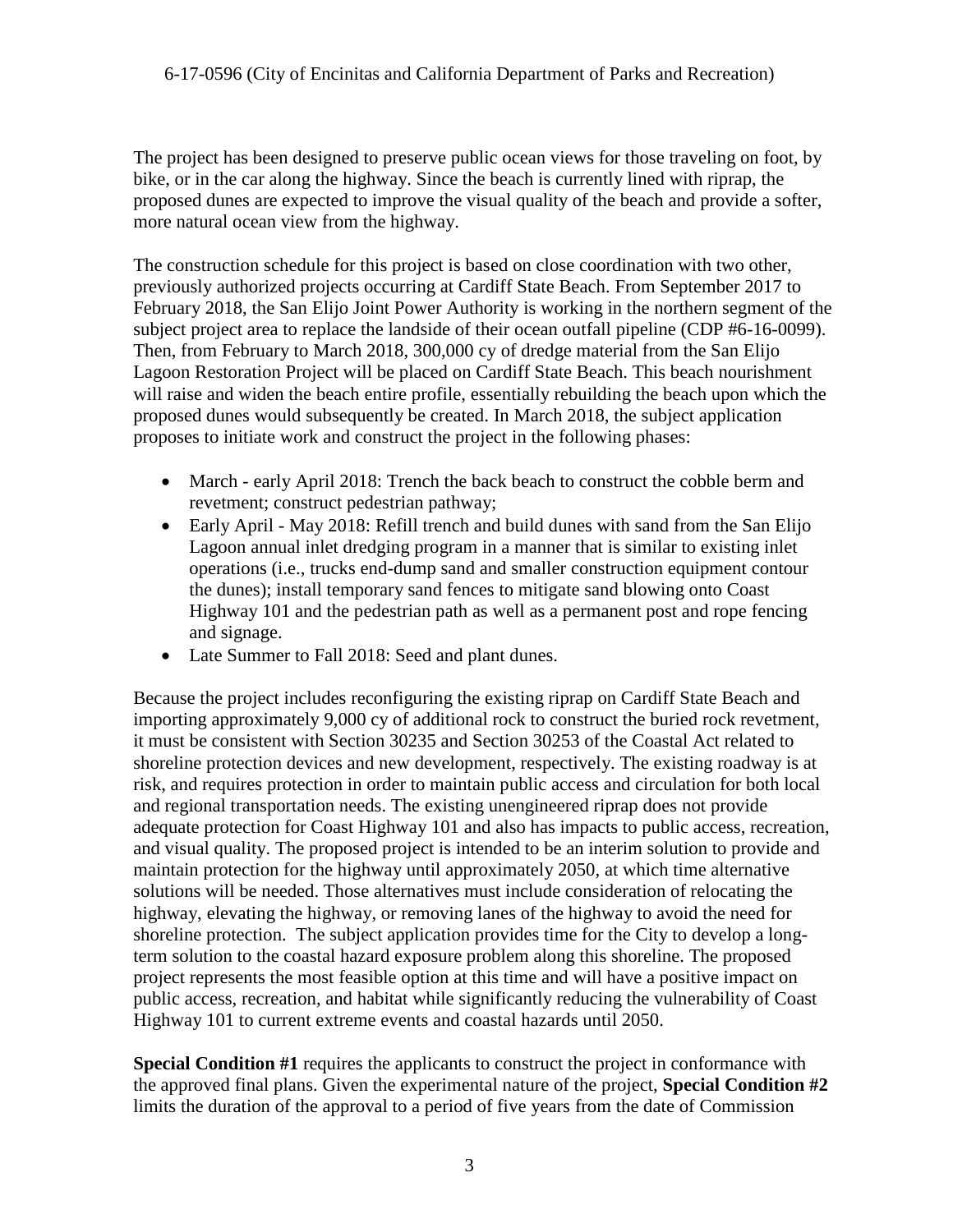The project has been designed to preserve public ocean views for those traveling on foot, by bike, or in the car along the highway. Since the beach is currently lined with riprap, the proposed dunes are expected to improve the visual quality of the beach and provide a softer, more natural ocean view from the highway.

The construction schedule for this project is based on close coordination with two other, previously authorized projects occurring at Cardiff State Beach. From September 2017 to February 2018, the San Elijo Joint Power Authority is working in the northern segment of the subject project area to replace the landside of their ocean outfall pipeline (CDP #6-16-0099). Then, from February to March 2018, 300,000 cy of dredge material from the San Elijo Lagoon Restoration Project will be placed on Cardiff State Beach. This beach nourishment will raise and widen the beach entire profile, essentially rebuilding the beach upon which the proposed dunes would subsequently be created. In March 2018, the subject application proposes to initiate work and construct the project in the following phases:

- March early April 2018: Trench the back beach to construct the cobble berm and revetment; construct pedestrian pathway;
- Early April May 2018: Refill trench and build dunes with sand from the San Elijo Lagoon annual inlet dredging program in a manner that is similar to existing inlet operations (i.e., trucks end-dump sand and smaller construction equipment contour the dunes); install temporary sand fences to mitigate sand blowing onto Coast Highway 101 and the pedestrian path as well as a permanent post and rope fencing and signage.
- Late Summer to Fall 2018: Seed and plant dunes.

Because the project includes reconfiguring the existing riprap on Cardiff State Beach and importing approximately 9,000 cy of additional rock to construct the buried rock revetment, it must be consistent with Section 30235 and Section 30253 of the Coastal Act related to shoreline protection devices and new development, respectively. The existing roadway is at risk, and requires protection in order to maintain public access and circulation for both local and regional transportation needs. The existing unengineered riprap does not provide adequate protection for Coast Highway 101 and also has impacts to public access, recreation, and visual quality. The proposed project is intended to be an interim solution to provide and maintain protection for the highway until approximately 2050, at which time alternative solutions will be needed. Those alternatives must include consideration of relocating the highway, elevating the highway, or removing lanes of the highway to avoid the need for shoreline protection. The subject application provides time for the City to develop a longterm solution to the coastal hazard exposure problem along this shoreline. The proposed project represents the most feasible option at this time and will have a positive impact on public access, recreation, and habitat while significantly reducing the vulnerability of Coast Highway 101 to current extreme events and coastal hazards until 2050.

**Special Condition #1** requires the applicants to construct the project in conformance with the approved final plans. Given the experimental nature of the project, **Special Condition #2** limits the duration of the approval to a period of five years from the date of Commission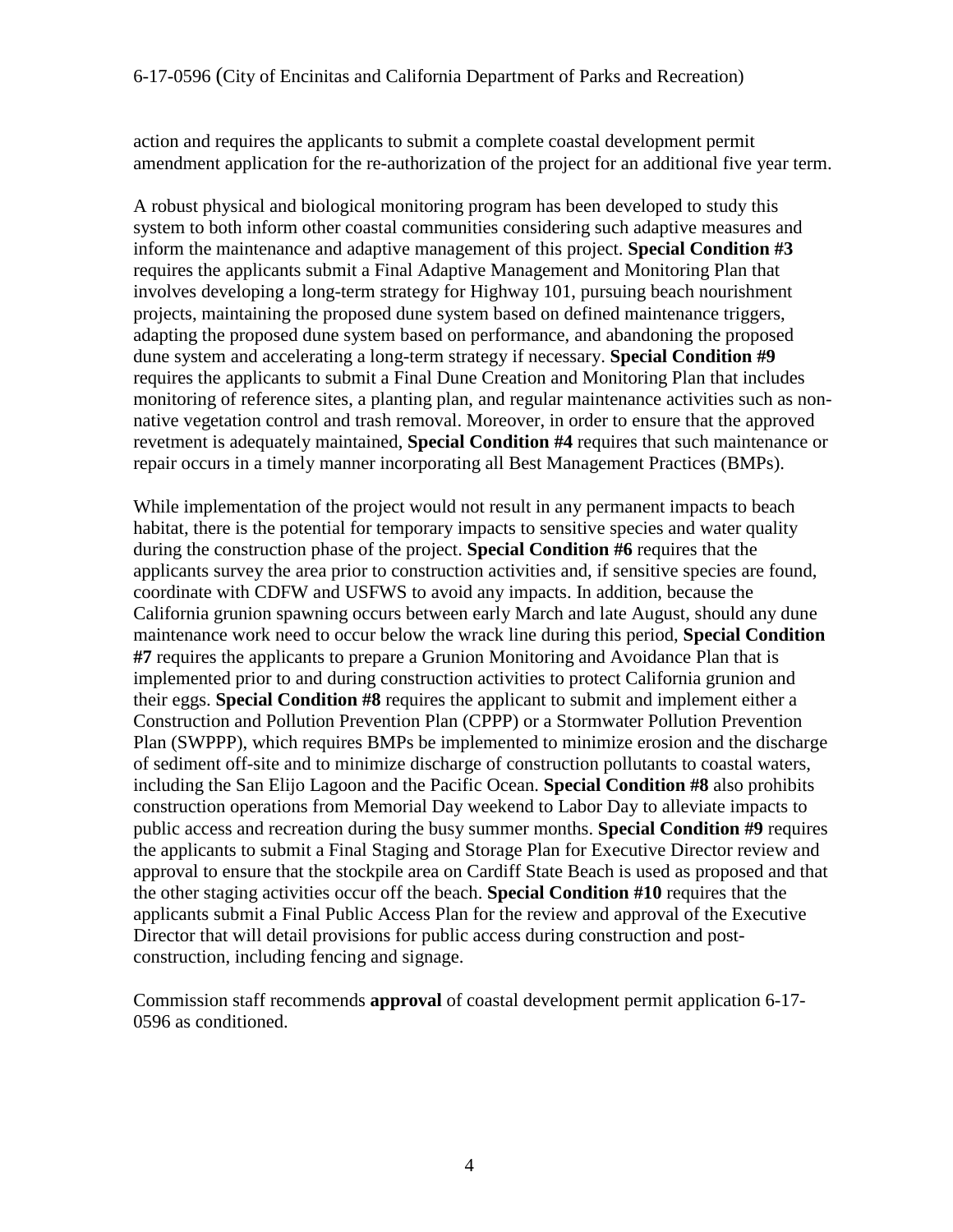action and requires the applicants to submit a complete coastal development permit amendment application for the re-authorization of the project for an additional five year term.

A robust physical and biological monitoring program has been developed to study this system to both inform other coastal communities considering such adaptive measures and inform the maintenance and adaptive management of this project. **Special Condition #3** requires the applicants submit a Final Adaptive Management and Monitoring Plan that involves developing a long-term strategy for Highway 101, pursuing beach nourishment projects, maintaining the proposed dune system based on defined maintenance triggers, adapting the proposed dune system based on performance, and abandoning the proposed dune system and accelerating a long-term strategy if necessary. **Special Condition #9** requires the applicants to submit a Final Dune Creation and Monitoring Plan that includes monitoring of reference sites, a planting plan, and regular maintenance activities such as nonnative vegetation control and trash removal. Moreover, in order to ensure that the approved revetment is adequately maintained, **Special Condition #4** requires that such maintenance or repair occurs in a timely manner incorporating all Best Management Practices (BMPs).

While implementation of the project would not result in any permanent impacts to beach habitat, there is the potential for temporary impacts to sensitive species and water quality during the construction phase of the project. **Special Condition #6** requires that the applicants survey the area prior to construction activities and, if sensitive species are found, coordinate with CDFW and USFWS to avoid any impacts. In addition, because the California grunion spawning occurs between early March and late August, should any dune maintenance work need to occur below the wrack line during this period, **Special Condition #7** requires the applicants to prepare a Grunion Monitoring and Avoidance Plan that is implemented prior to and during construction activities to protect California grunion and their eggs. **Special Condition #8** requires the applicant to submit and implement either a Construction and Pollution Prevention Plan (CPPP) or a Stormwater Pollution Prevention Plan (SWPPP), which requires BMPs be implemented to minimize erosion and the discharge of sediment off-site and to minimize discharge of construction pollutants to coastal waters, including the San Elijo Lagoon and the Pacific Ocean. **Special Condition #8** also prohibits construction operations from Memorial Day weekend to Labor Day to alleviate impacts to public access and recreation during the busy summer months. **Special Condition #9** requires the applicants to submit a Final Staging and Storage Plan for Executive Director review and approval to ensure that the stockpile area on Cardiff State Beach is used as proposed and that the other staging activities occur off the beach. **Special Condition #10** requires that the applicants submit a Final Public Access Plan for the review and approval of the Executive Director that will detail provisions for public access during construction and postconstruction, including fencing and signage.

Commission staff recommends **approval** of coastal development permit application 6-17- 0596 as conditioned.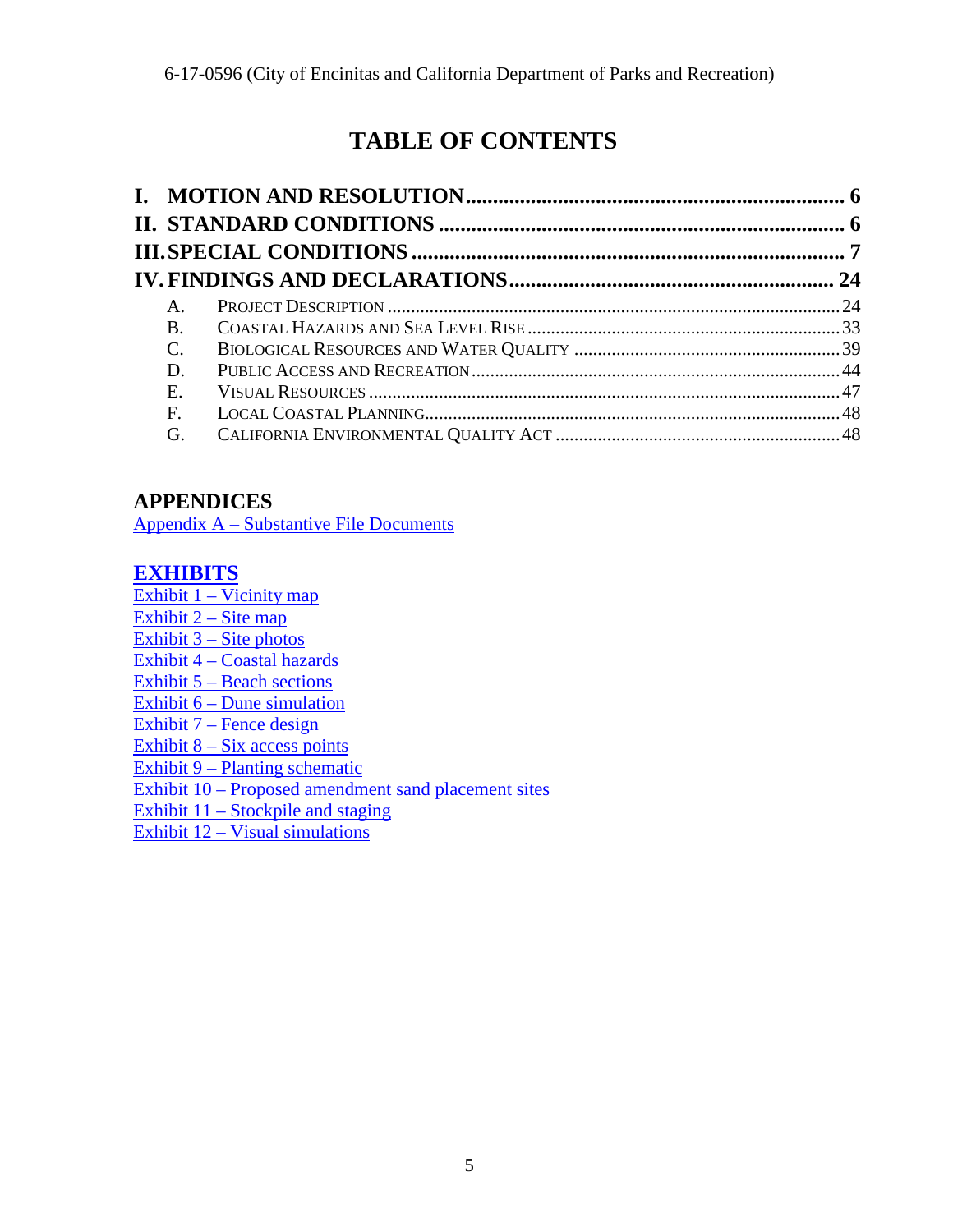# **TABLE OF CONTENTS**

| $\mathsf{A}_{\cdot}$ |  |
|----------------------|--|
| B.                   |  |
| $\mathcal{C}$ .      |  |
| D.                   |  |
| E.                   |  |
| F.                   |  |
| G.                   |  |

## **APPENDICES**

[Appendix A – Substantive File Documents](#page-49-0)

## **[EXHIBITS](https://documents.coastal.ca.gov/reports/2017/11/th17b/th17b-11-2017-exhibits.pdf)**

Exhibit  $1 - \text{Vicinity map}$ Exhibit  $2 -$  Site map Exhibit  $3 - \text{Site photos}$ Exhibit 4 – Coastal hazards Exhibit 5 – Beach sections Exhibit 6 – Dune simulation  $Exhibit 7 - Fence design$ Exhibit  $8 - Six$  access points Exhibit 9 – Planting schematic Exhibit 10 – Proposed amendment sand placement sites Exhibit 11 – Stockpile and staging

Exhibit 12 – Visual simulations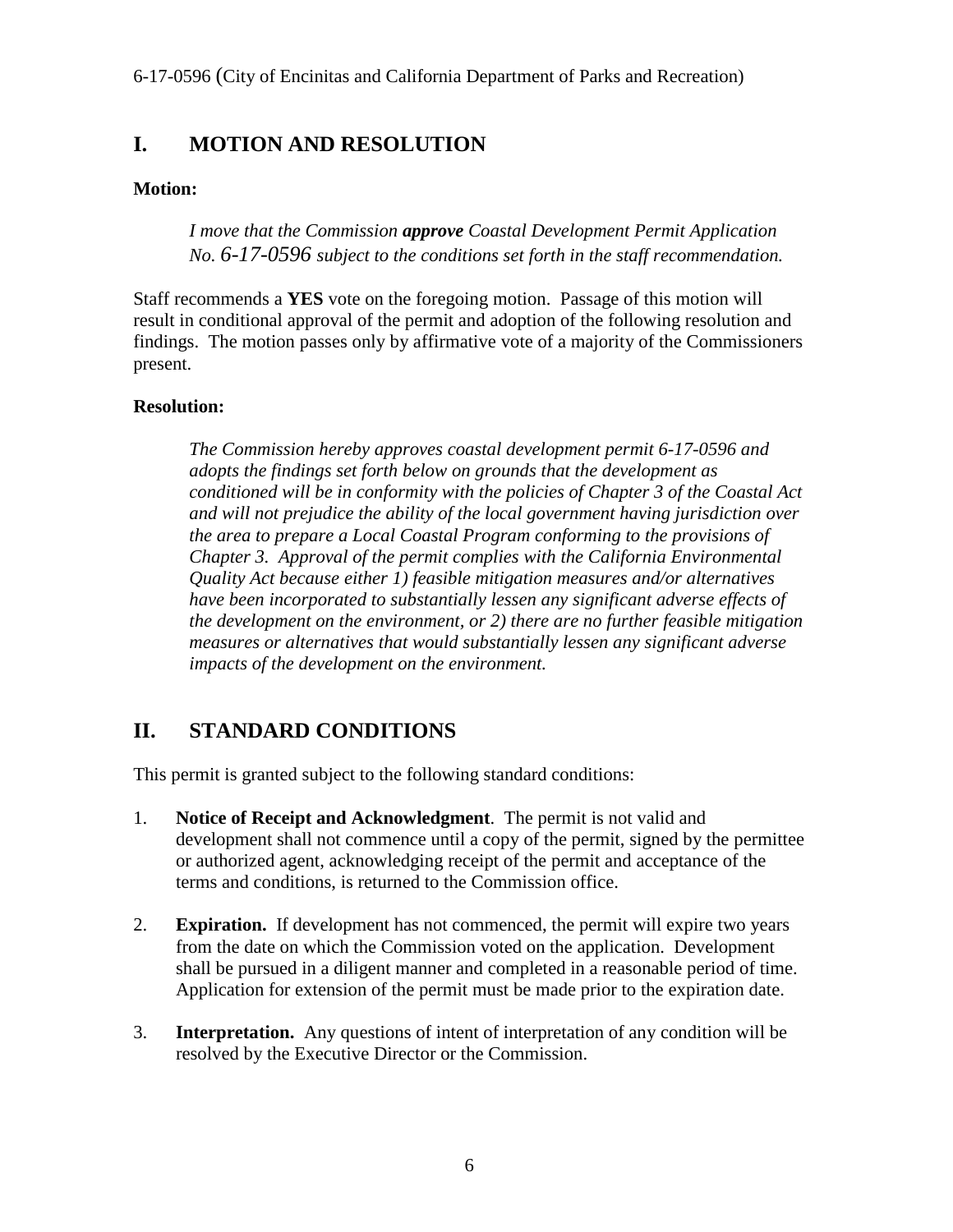## <span id="page-5-0"></span>**I. MOTION AND RESOLUTION**

#### **Motion:**

*I move that the Commission approve Coastal Development Permit Application No. 6-17-0596 subject to the conditions set forth in the staff recommendation.* 

Staff recommends a **YES** vote on the foregoing motion. Passage of this motion will result in conditional approval of the permit and adoption of the following resolution and findings. The motion passes only by affirmative vote of a majority of the Commissioners present.

#### **Resolution:**

*The Commission hereby approves coastal development permit 6-17-0596 and adopts the findings set forth below on grounds that the development as conditioned will be in conformity with the policies of Chapter 3 of the Coastal Act and will not prejudice the ability of the local government having jurisdiction over the area to prepare a Local Coastal Program conforming to the provisions of Chapter 3. Approval of the permit complies with the California Environmental Quality Act because either 1) feasible mitigation measures and/or alternatives have been incorporated to substantially lessen any significant adverse effects of the development on the environment, or 2) there are no further feasible mitigation measures or alternatives that would substantially lessen any significant adverse impacts of the development on the environment.* 

## <span id="page-5-1"></span>**II. STANDARD CONDITIONS**

This permit is granted subject to the following standard conditions:

- 1. **Notice of Receipt and Acknowledgment**. The permit is not valid and development shall not commence until a copy of the permit, signed by the permittee or authorized agent, acknowledging receipt of the permit and acceptance of the terms and conditions, is returned to the Commission office.
- 2. **Expiration.** If development has not commenced, the permit will expire two years from the date on which the Commission voted on the application. Development shall be pursued in a diligent manner and completed in a reasonable period of time. Application for extension of the permit must be made prior to the expiration date.
- 3. **Interpretation.** Any questions of intent of interpretation of any condition will be resolved by the Executive Director or the Commission.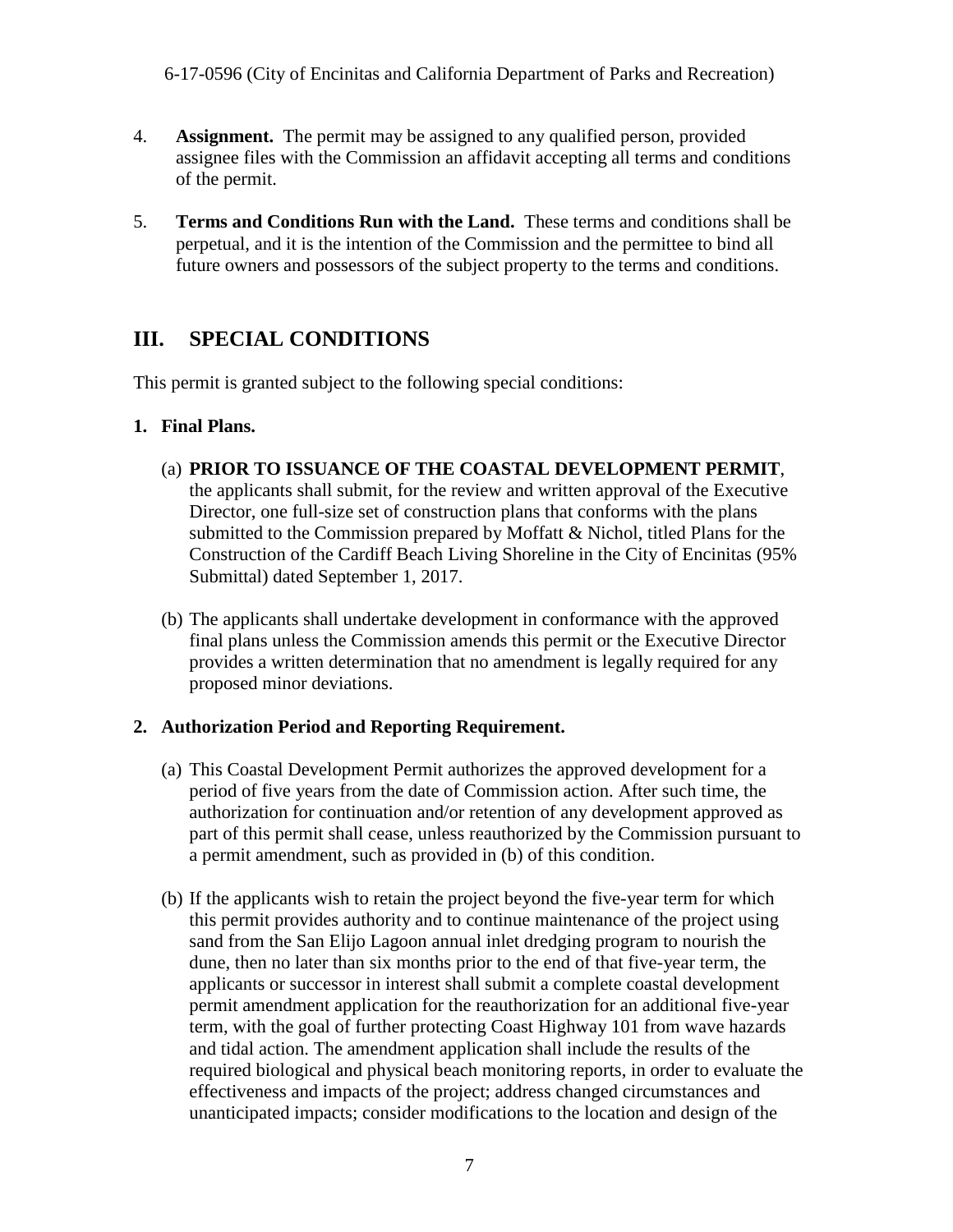- 4. **Assignment.** The permit may be assigned to any qualified person, provided assignee files with the Commission an affidavit accepting all terms and conditions of the permit.
- 5. **Terms and Conditions Run with the Land.** These terms and conditions shall be perpetual, and it is the intention of the Commission and the permittee to bind all future owners and possessors of the subject property to the terms and conditions.

## <span id="page-6-0"></span>**III. SPECIAL CONDITIONS**

This permit is granted subject to the following special conditions:

#### **1. Final Plans.**

- (a) **PRIOR TO ISSUANCE OF THE COASTAL DEVELOPMENT PERMIT**, the applicants shall submit, for the review and written approval of the Executive Director, one full-size set of construction plans that conforms with the plans submitted to the Commission prepared by Moffatt & Nichol, titled Plans for the Construction of the Cardiff Beach Living Shoreline in the City of Encinitas (95% Submittal) dated September 1, 2017.
- (b) The applicants shall undertake development in conformance with the approved final plans unless the Commission amends this permit or the Executive Director provides a written determination that no amendment is legally required for any proposed minor deviations.

#### **2. Authorization Period and Reporting Requirement.**

- (a) This Coastal Development Permit authorizes the approved development for a period of five years from the date of Commission action. After such time, the authorization for continuation and/or retention of any development approved as part of this permit shall cease, unless reauthorized by the Commission pursuant to a permit amendment, such as provided in (b) of this condition.
- (b) If the applicants wish to retain the project beyond the five-year term for which this permit provides authority and to continue maintenance of the project using sand from the San Elijo Lagoon annual inlet dredging program to nourish the dune, then no later than six months prior to the end of that five-year term, the applicants or successor in interest shall submit a complete coastal development permit amendment application for the reauthorization for an additional five-year term, with the goal of further protecting Coast Highway 101 from wave hazards and tidal action. The amendment application shall include the results of the required biological and physical beach monitoring reports, in order to evaluate the effectiveness and impacts of the project; address changed circumstances and unanticipated impacts; consider modifications to the location and design of the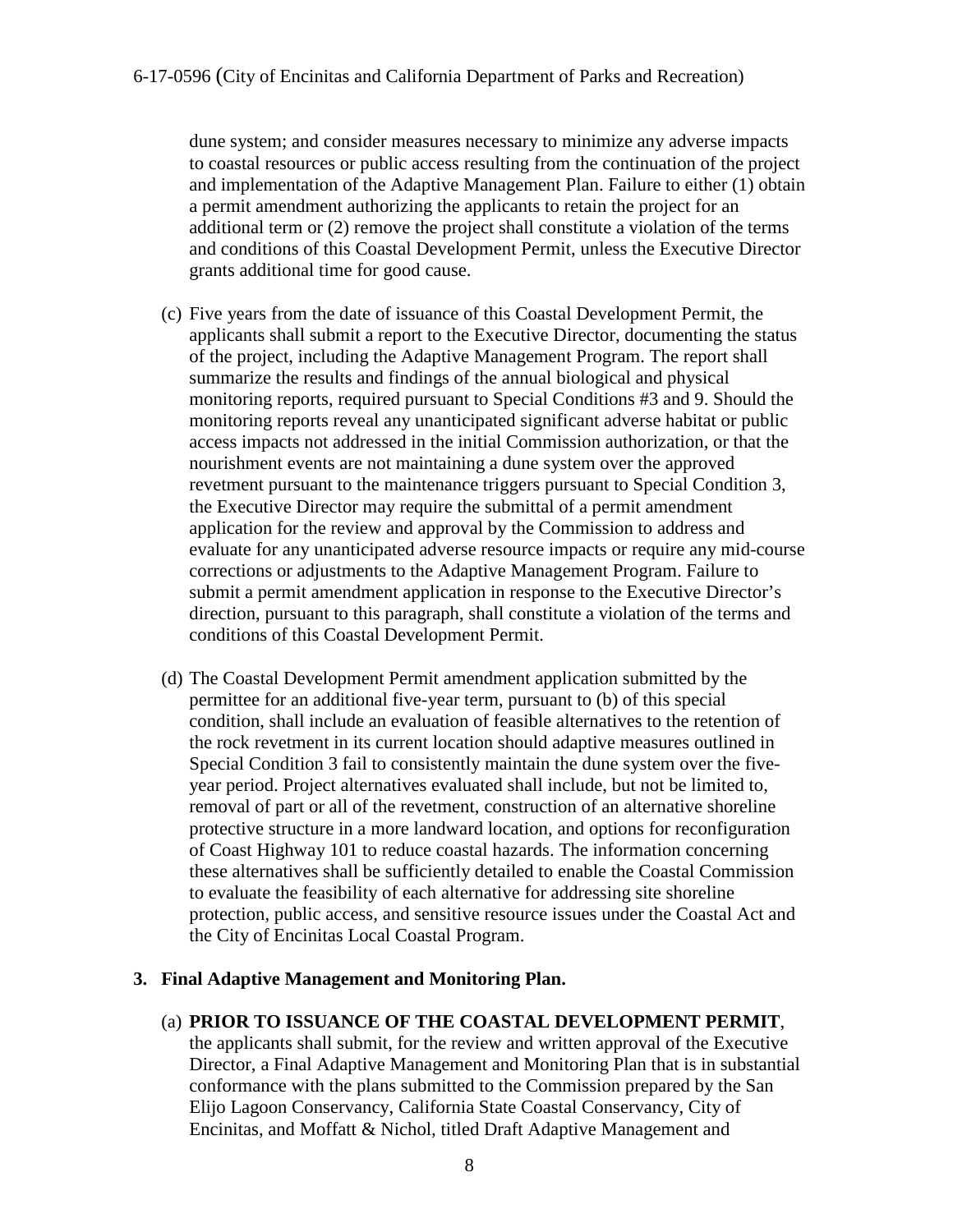dune system; and consider measures necessary to minimize any adverse impacts to coastal resources or public access resulting from the continuation of the project and implementation of the Adaptive Management Plan. Failure to either (1) obtain a permit amendment authorizing the applicants to retain the project for an additional term or (2) remove the project shall constitute a violation of the terms and conditions of this Coastal Development Permit, unless the Executive Director grants additional time for good cause.

- (c) Five years from the date of issuance of this Coastal Development Permit, the applicants shall submit a report to the Executive Director, documenting the status of the project, including the Adaptive Management Program. The report shall summarize the results and findings of the annual biological and physical monitoring reports, required pursuant to Special Conditions #3 and 9. Should the monitoring reports reveal any unanticipated significant adverse habitat or public access impacts not addressed in the initial Commission authorization, or that the nourishment events are not maintaining a dune system over the approved revetment pursuant to the maintenance triggers pursuant to Special Condition 3, the Executive Director may require the submittal of a permit amendment application for the review and approval by the Commission to address and evaluate for any unanticipated adverse resource impacts or require any mid-course corrections or adjustments to the Adaptive Management Program. Failure to submit a permit amendment application in response to the Executive Director's direction, pursuant to this paragraph, shall constitute a violation of the terms and conditions of this Coastal Development Permit.
- (d) The Coastal Development Permit amendment application submitted by the permittee for an additional five-year term, pursuant to (b) of this special condition, shall include an evaluation of feasible alternatives to the retention of the rock revetment in its current location should adaptive measures outlined in Special Condition 3 fail to consistently maintain the dune system over the fiveyear period. Project alternatives evaluated shall include, but not be limited to, removal of part or all of the revetment, construction of an alternative shoreline protective structure in a more landward location, and options for reconfiguration of Coast Highway 101 to reduce coastal hazards. The information concerning these alternatives shall be sufficiently detailed to enable the Coastal Commission to evaluate the feasibility of each alternative for addressing site shoreline protection, public access, and sensitive resource issues under the Coastal Act and the City of Encinitas Local Coastal Program.

#### **3. Final Adaptive Management and Monitoring Plan.**

#### (a) **PRIOR TO ISSUANCE OF THE COASTAL DEVELOPMENT PERMIT**,

the applicants shall submit, for the review and written approval of the Executive Director, a Final Adaptive Management and Monitoring Plan that is in substantial conformance with the plans submitted to the Commission prepared by the San Elijo Lagoon Conservancy, California State Coastal Conservancy, City of Encinitas, and Moffatt & Nichol, titled Draft Adaptive Management and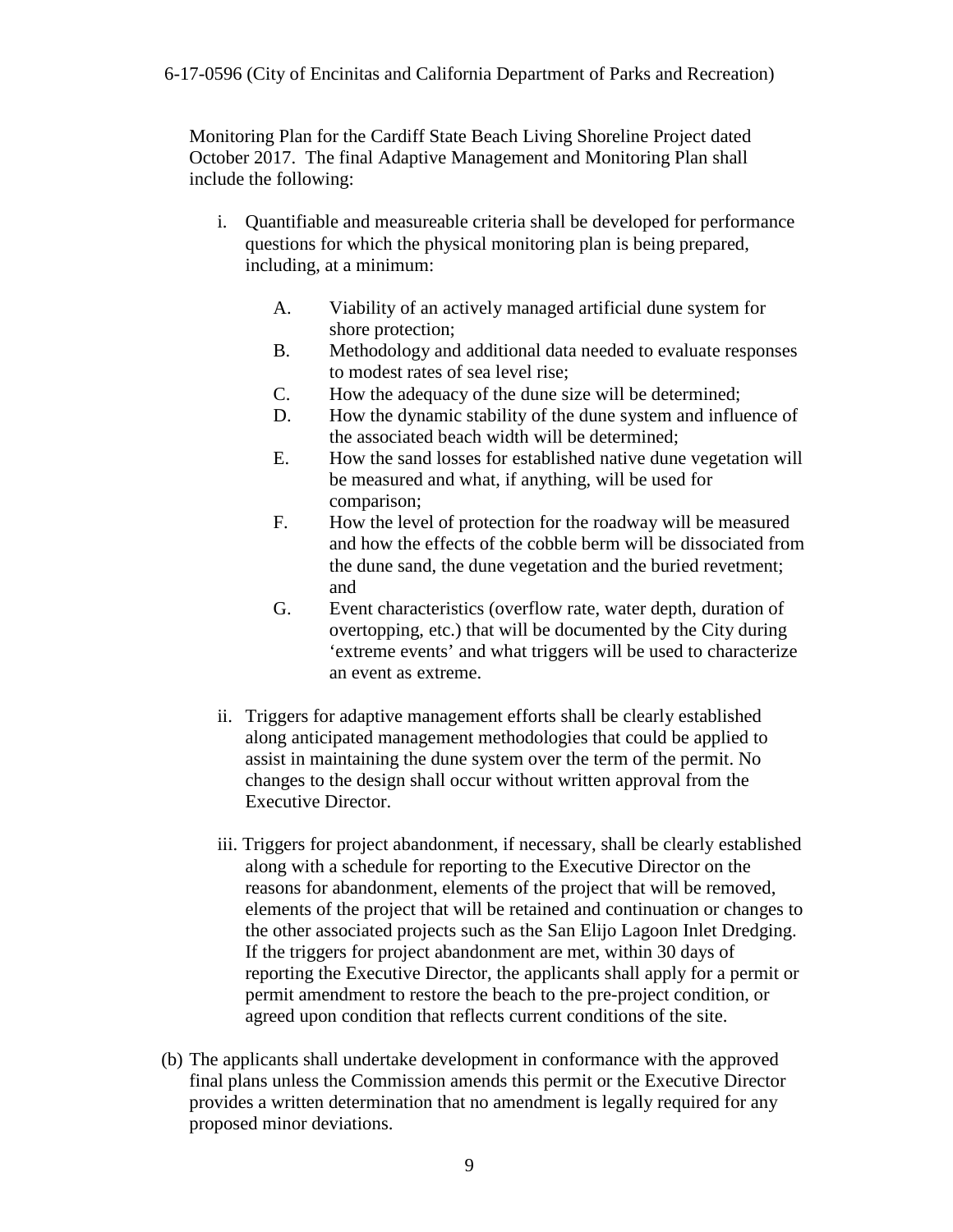Monitoring Plan for the Cardiff State Beach Living Shoreline Project dated October 2017. The final Adaptive Management and Monitoring Plan shall include the following:

- i. Quantifiable and measureable criteria shall be developed for performance questions for which the physical monitoring plan is being prepared, including, at a minimum:
	- A. Viability of an actively managed artificial dune system for shore protection;
	- B. Methodology and additional data needed to evaluate responses to modest rates of sea level rise;
	- C. How the adequacy of the dune size will be determined;
	- D. How the dynamic stability of the dune system and influence of the associated beach width will be determined;
	- E. How the sand losses for established native dune vegetation will be measured and what, if anything, will be used for comparison;
	- F. How the level of protection for the roadway will be measured and how the effects of the cobble berm will be dissociated from the dune sand, the dune vegetation and the buried revetment; and
	- G. Event characteristics (overflow rate, water depth, duration of overtopping, etc.) that will be documented by the City during 'extreme events' and what triggers will be used to characterize an event as extreme.
- ii. Triggers for adaptive management efforts shall be clearly established along anticipated management methodologies that could be applied to assist in maintaining the dune system over the term of the permit. No changes to the design shall occur without written approval from the Executive Director.
- iii. Triggers for project abandonment, if necessary, shall be clearly established along with a schedule for reporting to the Executive Director on the reasons for abandonment, elements of the project that will be removed, elements of the project that will be retained and continuation or changes to the other associated projects such as the San Elijo Lagoon Inlet Dredging. If the triggers for project abandonment are met, within 30 days of reporting the Executive Director, the applicants shall apply for a permit or permit amendment to restore the beach to the pre-project condition, or agreed upon condition that reflects current conditions of the site.
- (b) The applicants shall undertake development in conformance with the approved final plans unless the Commission amends this permit or the Executive Director provides a written determination that no amendment is legally required for any proposed minor deviations.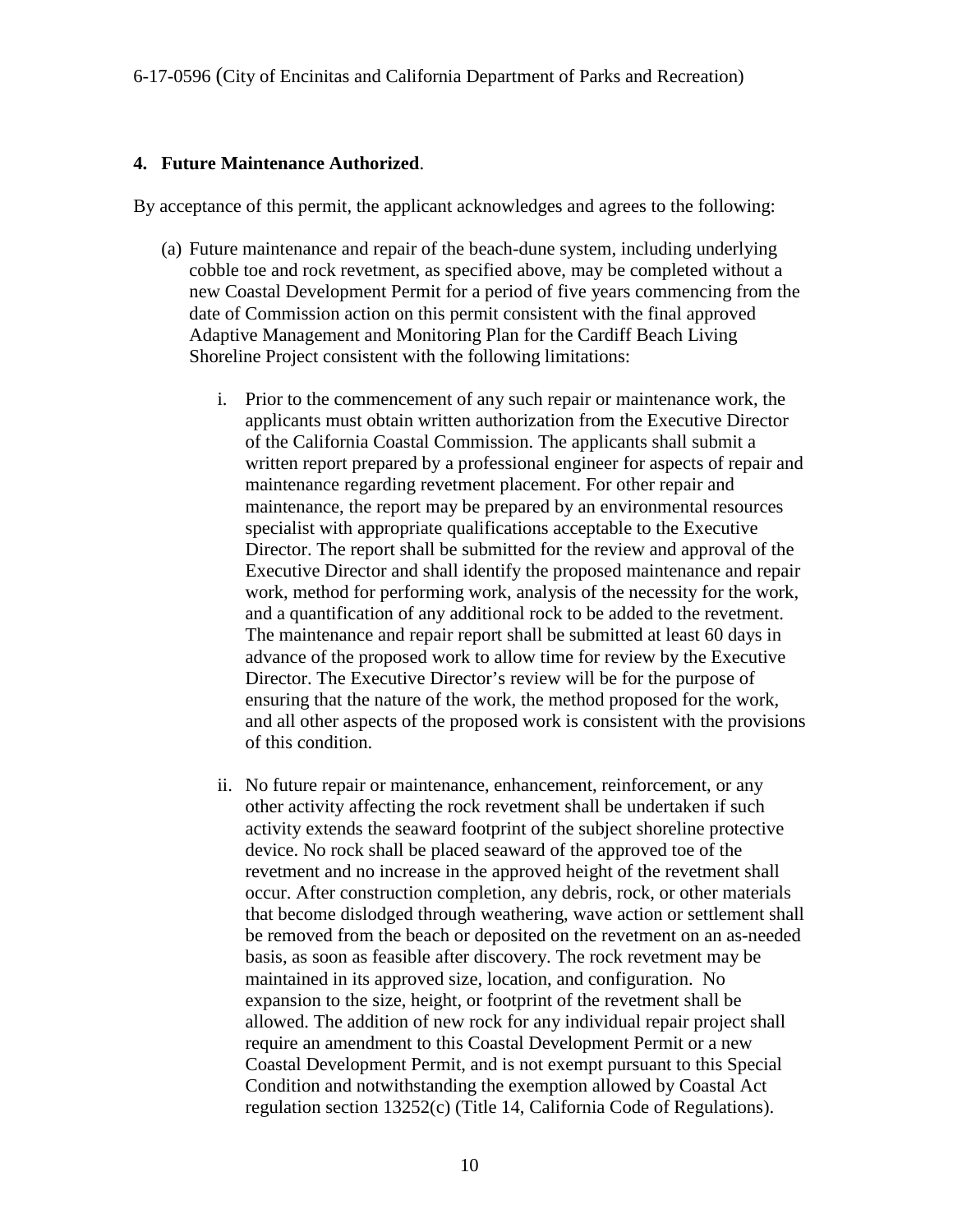#### **4. Future Maintenance Authorized**.

By acceptance of this permit, the applicant acknowledges and agrees to the following:

- (a) Future maintenance and repair of the beach-dune system, including underlying cobble toe and rock revetment, as specified above, may be completed without a new Coastal Development Permit for a period of five years commencing from the date of Commission action on this permit consistent with the final approved Adaptive Management and Monitoring Plan for the Cardiff Beach Living Shoreline Project consistent with the following limitations:
	- i. Prior to the commencement of any such repair or maintenance work, the applicants must obtain written authorization from the Executive Director of the California Coastal Commission. The applicants shall submit a written report prepared by a professional engineer for aspects of repair and maintenance regarding revetment placement. For other repair and maintenance, the report may be prepared by an environmental resources specialist with appropriate qualifications acceptable to the Executive Director. The report shall be submitted for the review and approval of the Executive Director and shall identify the proposed maintenance and repair work, method for performing work, analysis of the necessity for the work, and a quantification of any additional rock to be added to the revetment. The maintenance and repair report shall be submitted at least 60 days in advance of the proposed work to allow time for review by the Executive Director. The Executive Director's review will be for the purpose of ensuring that the nature of the work, the method proposed for the work, and all other aspects of the proposed work is consistent with the provisions of this condition.
	- ii. No future repair or maintenance, enhancement, reinforcement, or any other activity affecting the rock revetment shall be undertaken if such activity extends the seaward footprint of the subject shoreline protective device. No rock shall be placed seaward of the approved toe of the revetment and no increase in the approved height of the revetment shall occur. After construction completion, any debris, rock, or other materials that become dislodged through weathering, wave action or settlement shall be removed from the beach or deposited on the revetment on an as-needed basis, as soon as feasible after discovery. The rock revetment may be maintained in its approved size, location, and configuration. No expansion to the size, height, or footprint of the revetment shall be allowed. The addition of new rock for any individual repair project shall require an amendment to this Coastal Development Permit or a new Coastal Development Permit, and is not exempt pursuant to this Special Condition and notwithstanding the exemption allowed by Coastal Act regulation section 13252(c) (Title 14, California Code of Regulations).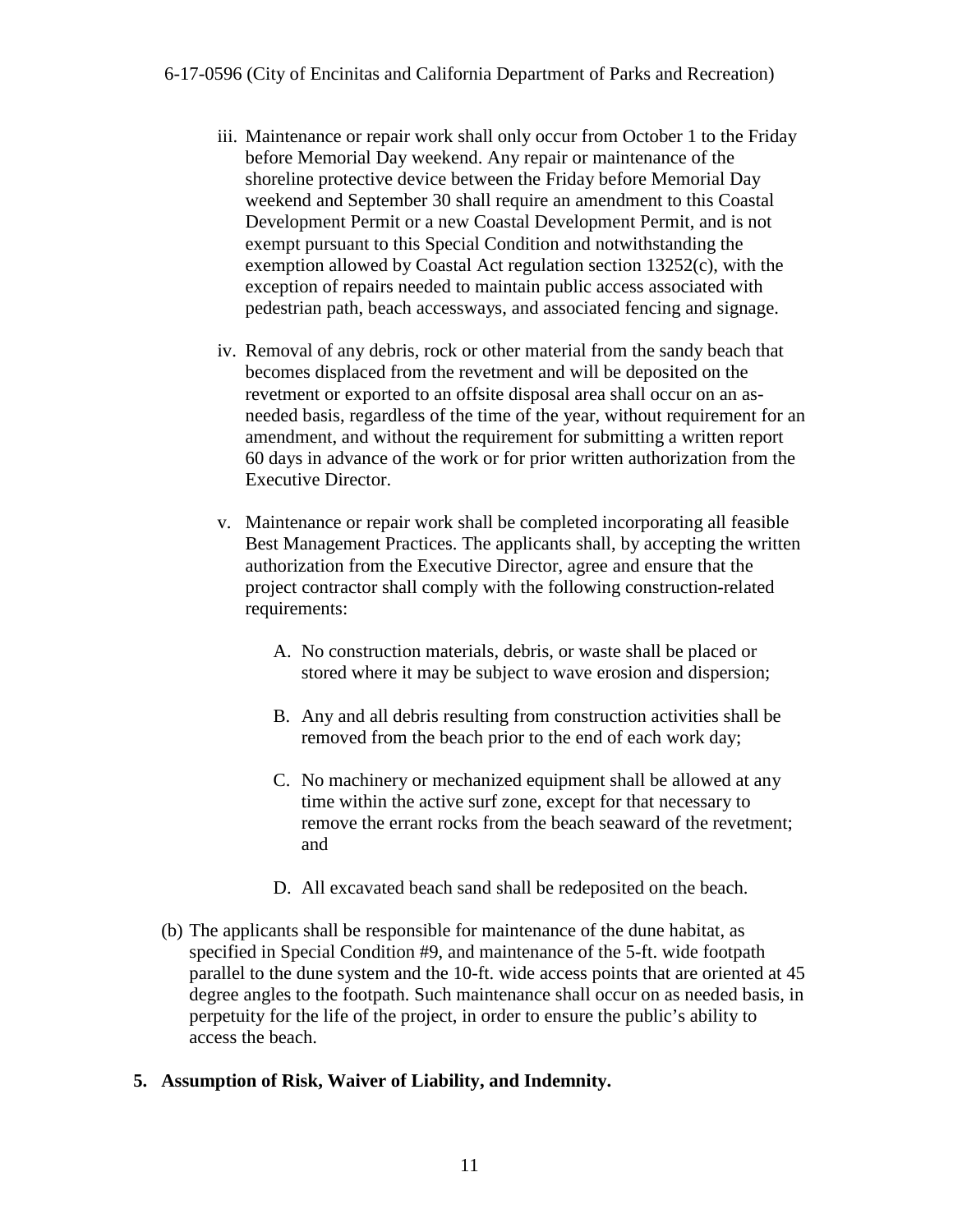- iii. Maintenance or repair work shall only occur from October 1 to the Friday before Memorial Day weekend. Any repair or maintenance of the shoreline protective device between the Friday before Memorial Day weekend and September 30 shall require an amendment to this Coastal Development Permit or a new Coastal Development Permit, and is not exempt pursuant to this Special Condition and notwithstanding the exemption allowed by Coastal Act regulation section 13252(c), with the exception of repairs needed to maintain public access associated with pedestrian path, beach accessways, and associated fencing and signage.
- iv. Removal of any debris, rock or other material from the sandy beach that becomes displaced from the revetment and will be deposited on the revetment or exported to an offsite disposal area shall occur on an asneeded basis, regardless of the time of the year, without requirement for an amendment, and without the requirement for submitting a written report 60 days in advance of the work or for prior written authorization from the Executive Director.
- v. Maintenance or repair work shall be completed incorporating all feasible Best Management Practices. The applicants shall, by accepting the written authorization from the Executive Director, agree and ensure that the project contractor shall comply with the following construction-related requirements:
	- A. No construction materials, debris, or waste shall be placed or stored where it may be subject to wave erosion and dispersion;
	- B. Any and all debris resulting from construction activities shall be removed from the beach prior to the end of each work day;
	- C. No machinery or mechanized equipment shall be allowed at any time within the active surf zone, except for that necessary to remove the errant rocks from the beach seaward of the revetment; and
	- D. All excavated beach sand shall be redeposited on the beach.
- (b) The applicants shall be responsible for maintenance of the dune habitat, as specified in Special Condition #9, and maintenance of the 5-ft. wide footpath parallel to the dune system and the 10-ft. wide access points that are oriented at 45 degree angles to the footpath. Such maintenance shall occur on as needed basis, in perpetuity for the life of the project, in order to ensure the public's ability to access the beach.
- **5. Assumption of Risk, Waiver of Liability, and Indemnity.**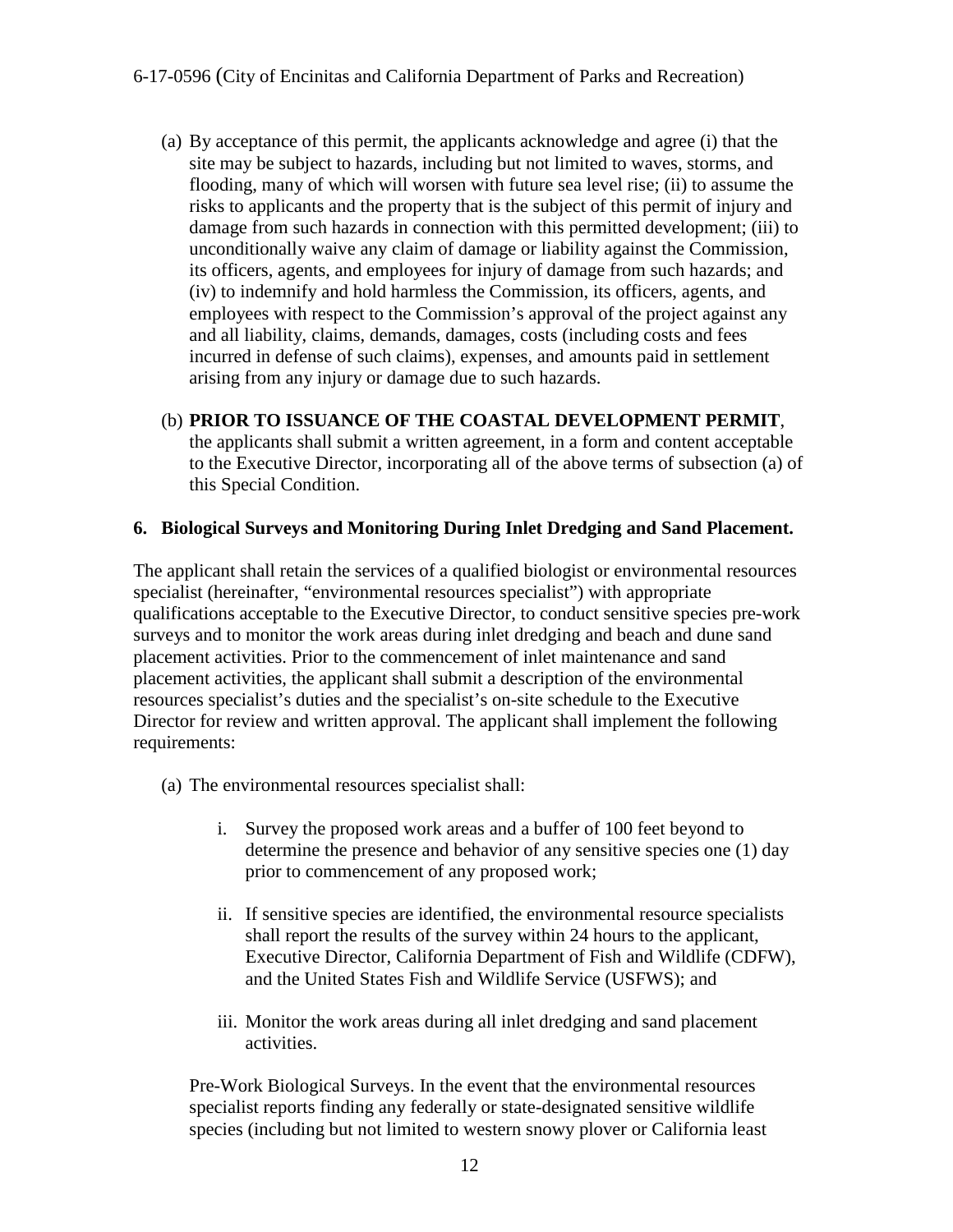- (a) By acceptance of this permit, the applicants acknowledge and agree (i) that the site may be subject to hazards, including but not limited to waves, storms, and flooding, many of which will worsen with future sea level rise; (ii) to assume the risks to applicants and the property that is the subject of this permit of injury and damage from such hazards in connection with this permitted development; (iii) to unconditionally waive any claim of damage or liability against the Commission, its officers, agents, and employees for injury of damage from such hazards; and (iv) to indemnify and hold harmless the Commission, its officers, agents, and employees with respect to the Commission's approval of the project against any and all liability, claims, demands, damages, costs (including costs and fees incurred in defense of such claims), expenses, and amounts paid in settlement arising from any injury or damage due to such hazards.
- (b) **PRIOR TO ISSUANCE OF THE COASTAL DEVELOPMENT PERMIT**, the applicants shall submit a written agreement, in a form and content acceptable to the Executive Director, incorporating all of the above terms of subsection (a) of this Special Condition.

#### **6. Biological Surveys and Monitoring During Inlet Dredging and Sand Placement.**

The applicant shall retain the services of a qualified biologist or environmental resources specialist (hereinafter, "environmental resources specialist") with appropriate qualifications acceptable to the Executive Director, to conduct sensitive species pre-work surveys and to monitor the work areas during inlet dredging and beach and dune sand placement activities. Prior to the commencement of inlet maintenance and sand placement activities, the applicant shall submit a description of the environmental resources specialist's duties and the specialist's on-site schedule to the Executive Director for review and written approval. The applicant shall implement the following requirements:

- (a) The environmental resources specialist shall:
	- i. Survey the proposed work areas and a buffer of 100 feet beyond to determine the presence and behavior of any sensitive species one (1) day prior to commencement of any proposed work;
	- ii. If sensitive species are identified, the environmental resource specialists shall report the results of the survey within 24 hours to the applicant, Executive Director, California Department of Fish and Wildlife (CDFW), and the United States Fish and Wildlife Service (USFWS); and
	- iii. Monitor the work areas during all inlet dredging and sand placement activities.

Pre-Work Biological Surveys. In the event that the environmental resources specialist reports finding any federally or state-designated sensitive wildlife species (including but not limited to western snowy plover or California least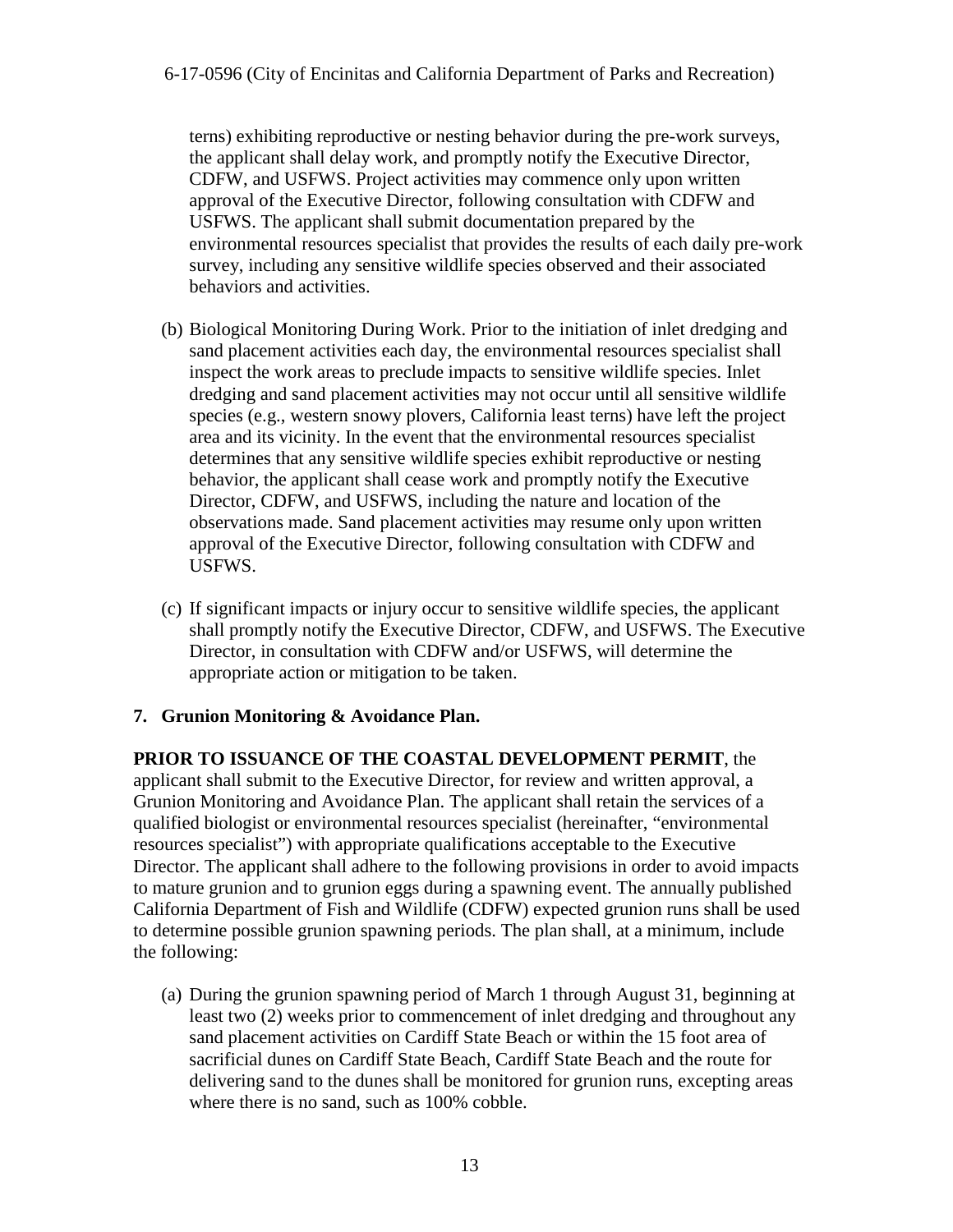terns) exhibiting reproductive or nesting behavior during the pre-work surveys, the applicant shall delay work, and promptly notify the Executive Director, CDFW, and USFWS. Project activities may commence only upon written approval of the Executive Director, following consultation with CDFW and USFWS. The applicant shall submit documentation prepared by the environmental resources specialist that provides the results of each daily pre-work survey, including any sensitive wildlife species observed and their associated behaviors and activities.

- (b) Biological Monitoring During Work. Prior to the initiation of inlet dredging and sand placement activities each day, the environmental resources specialist shall inspect the work areas to preclude impacts to sensitive wildlife species. Inlet dredging and sand placement activities may not occur until all sensitive wildlife species (e.g., western snowy plovers, California least terns) have left the project area and its vicinity. In the event that the environmental resources specialist determines that any sensitive wildlife species exhibit reproductive or nesting behavior, the applicant shall cease work and promptly notify the Executive Director, CDFW, and USFWS, including the nature and location of the observations made. Sand placement activities may resume only upon written approval of the Executive Director, following consultation with CDFW and USFWS.
- (c) If significant impacts or injury occur to sensitive wildlife species, the applicant shall promptly notify the Executive Director, CDFW, and USFWS. The Executive Director, in consultation with CDFW and/or USFWS, will determine the appropriate action or mitigation to be taken.

#### **7. Grunion Monitoring & Avoidance Plan.**

**PRIOR TO ISSUANCE OF THE COASTAL DEVELOPMENT PERMIT**, the applicant shall submit to the Executive Director, for review and written approval, a Grunion Monitoring and Avoidance Plan. The applicant shall retain the services of a qualified biologist or environmental resources specialist (hereinafter, "environmental resources specialist") with appropriate qualifications acceptable to the Executive Director. The applicant shall adhere to the following provisions in order to avoid impacts to mature grunion and to grunion eggs during a spawning event. The annually published California Department of Fish and Wildlife (CDFW) expected grunion runs shall be used to determine possible grunion spawning periods. The plan shall, at a minimum, include the following:

(a) During the grunion spawning period of March 1 through August 31, beginning at least two (2) weeks prior to commencement of inlet dredging and throughout any sand placement activities on Cardiff State Beach or within the 15 foot area of sacrificial dunes on Cardiff State Beach, Cardiff State Beach and the route for delivering sand to the dunes shall be monitored for grunion runs, excepting areas where there is no sand, such as 100% cobble.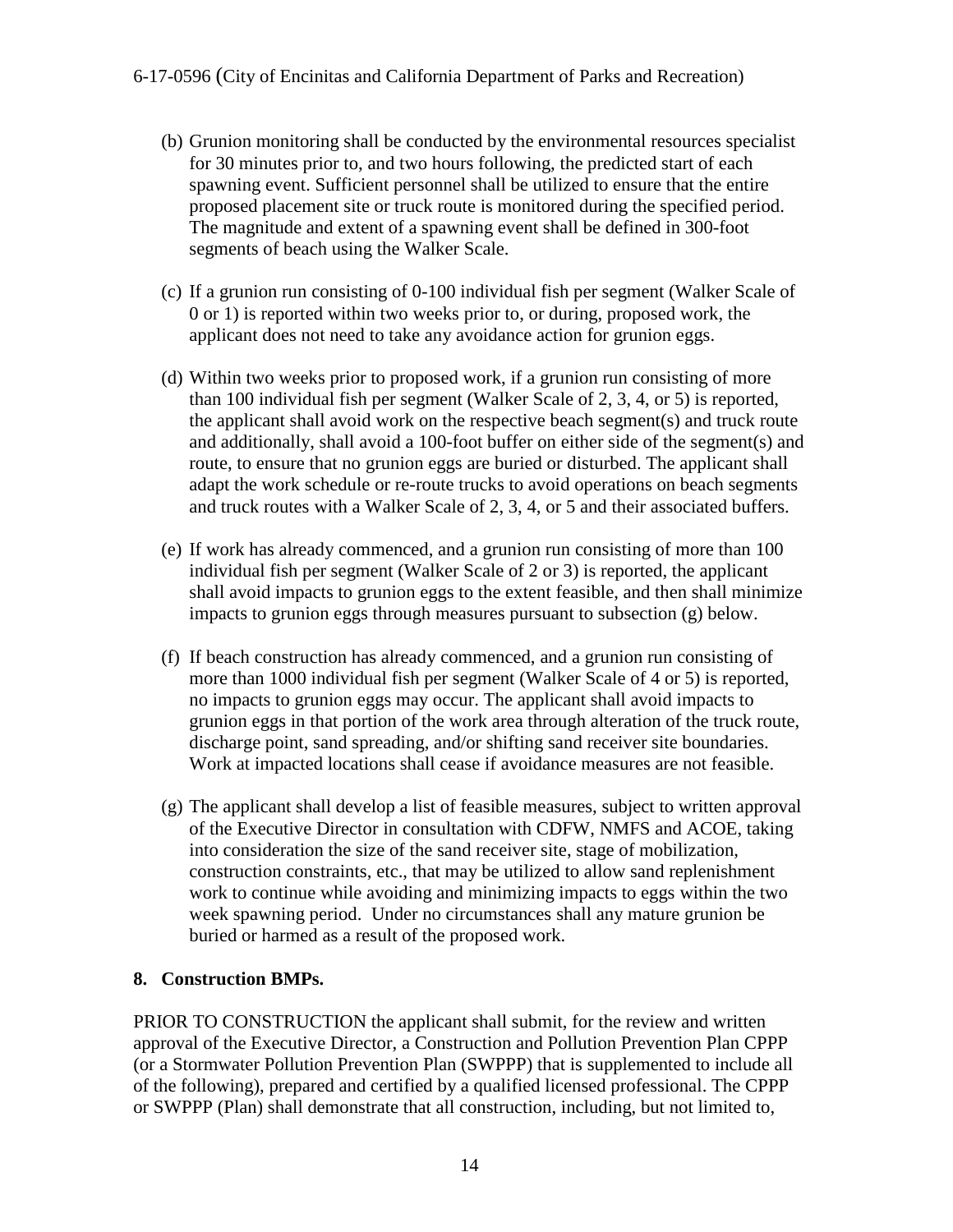- (b) Grunion monitoring shall be conducted by the environmental resources specialist for 30 minutes prior to, and two hours following, the predicted start of each spawning event. Sufficient personnel shall be utilized to ensure that the entire proposed placement site or truck route is monitored during the specified period. The magnitude and extent of a spawning event shall be defined in 300-foot segments of beach using the Walker Scale.
- (c) If a grunion run consisting of 0-100 individual fish per segment (Walker Scale of 0 or 1) is reported within two weeks prior to, or during, proposed work, the applicant does not need to take any avoidance action for grunion eggs.
- (d) Within two weeks prior to proposed work, if a grunion run consisting of more than 100 individual fish per segment (Walker Scale of 2, 3, 4, or 5) is reported, the applicant shall avoid work on the respective beach segment(s) and truck route and additionally, shall avoid a 100-foot buffer on either side of the segment(s) and route, to ensure that no grunion eggs are buried or disturbed. The applicant shall adapt the work schedule or re-route trucks to avoid operations on beach segments and truck routes with a Walker Scale of 2, 3, 4, or 5 and their associated buffers.
- (e) If work has already commenced, and a grunion run consisting of more than 100 individual fish per segment (Walker Scale of 2 or 3) is reported, the applicant shall avoid impacts to grunion eggs to the extent feasible, and then shall minimize impacts to grunion eggs through measures pursuant to subsection (g) below.
- (f) If beach construction has already commenced, and a grunion run consisting of more than 1000 individual fish per segment (Walker Scale of 4 or 5) is reported, no impacts to grunion eggs may occur. The applicant shall avoid impacts to grunion eggs in that portion of the work area through alteration of the truck route, discharge point, sand spreading, and/or shifting sand receiver site boundaries. Work at impacted locations shall cease if avoidance measures are not feasible.
- (g) The applicant shall develop a list of feasible measures, subject to written approval of the Executive Director in consultation with CDFW, NMFS and ACOE, taking into consideration the size of the sand receiver site, stage of mobilization, construction constraints, etc., that may be utilized to allow sand replenishment work to continue while avoiding and minimizing impacts to eggs within the two week spawning period. Under no circumstances shall any mature grunion be buried or harmed as a result of the proposed work.

### **8. Construction BMPs.**

PRIOR TO CONSTRUCTION the applicant shall submit, for the review and written approval of the Executive Director, a Construction and Pollution Prevention Plan CPPP (or a Stormwater Pollution Prevention Plan (SWPPP) that is supplemented to include all of the following), prepared and certified by a qualified licensed professional. The CPPP or SWPPP (Plan) shall demonstrate that all construction, including, but not limited to,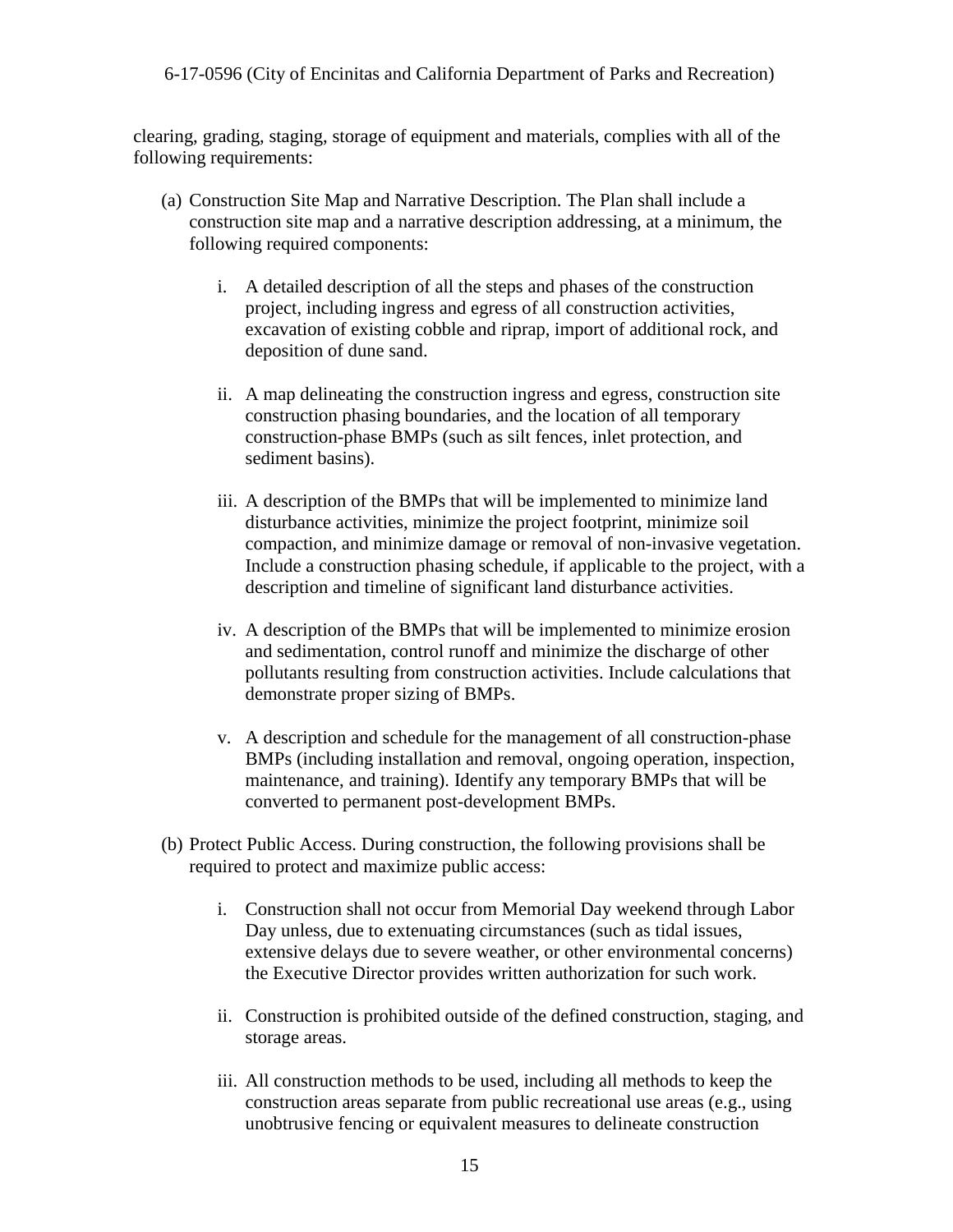clearing, grading, staging, storage of equipment and materials, complies with all of the following requirements:

- (a) Construction Site Map and Narrative Description. The Plan shall include a construction site map and a narrative description addressing, at a minimum, the following required components:
	- i. A detailed description of all the steps and phases of the construction project, including ingress and egress of all construction activities, excavation of existing cobble and riprap, import of additional rock, and deposition of dune sand.
	- ii. A map delineating the construction ingress and egress, construction site construction phasing boundaries, and the location of all temporary construction-phase BMPs (such as silt fences, inlet protection, and sediment basins).
	- iii. A description of the BMPs that will be implemented to minimize land disturbance activities, minimize the project footprint, minimize soil compaction, and minimize damage or removal of non-invasive vegetation. Include a construction phasing schedule, if applicable to the project, with a description and timeline of significant land disturbance activities.
	- iv. A description of the BMPs that will be implemented to minimize erosion and sedimentation, control runoff and minimize the discharge of other pollutants resulting from construction activities. Include calculations that demonstrate proper sizing of BMPs.
	- v. A description and schedule for the management of all construction-phase BMPs (including installation and removal, ongoing operation, inspection, maintenance, and training). Identify any temporary BMPs that will be converted to permanent post-development BMPs.
- (b) Protect Public Access. During construction, the following provisions shall be required to protect and maximize public access:
	- i. Construction shall not occur from Memorial Day weekend through Labor Day unless, due to extenuating circumstances (such as tidal issues, extensive delays due to severe weather, or other environmental concerns) the Executive Director provides written authorization for such work.
	- ii. Construction is prohibited outside of the defined construction, staging, and storage areas.
	- iii. All construction methods to be used, including all methods to keep the construction areas separate from public recreational use areas (e.g., using unobtrusive fencing or equivalent measures to delineate construction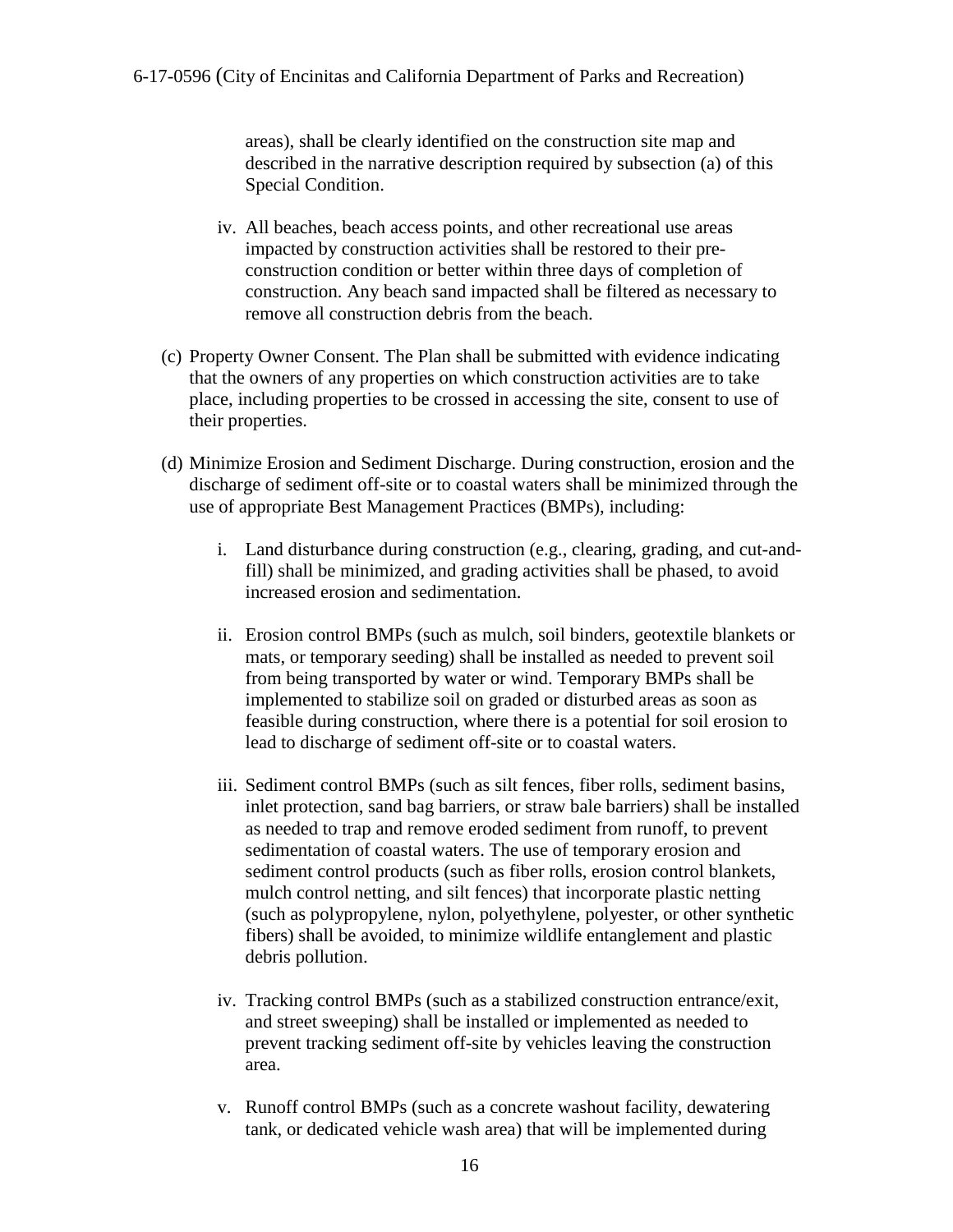areas), shall be clearly identified on the construction site map and described in the narrative description required by subsection (a) of this Special Condition.

- iv. All beaches, beach access points, and other recreational use areas impacted by construction activities shall be restored to their preconstruction condition or better within three days of completion of construction. Any beach sand impacted shall be filtered as necessary to remove all construction debris from the beach.
- (c) Property Owner Consent. The Plan shall be submitted with evidence indicating that the owners of any properties on which construction activities are to take place, including properties to be crossed in accessing the site, consent to use of their properties.
- (d) Minimize Erosion and Sediment Discharge. During construction, erosion and the discharge of sediment off-site or to coastal waters shall be minimized through the use of appropriate Best Management Practices (BMPs), including:
	- i. Land disturbance during construction (e.g., clearing, grading, and cut-andfill) shall be minimized, and grading activities shall be phased, to avoid increased erosion and sedimentation.
	- ii. Erosion control BMPs (such as mulch, soil binders, geotextile blankets or mats, or temporary seeding) shall be installed as needed to prevent soil from being transported by water or wind. Temporary BMPs shall be implemented to stabilize soil on graded or disturbed areas as soon as feasible during construction, where there is a potential for soil erosion to lead to discharge of sediment off-site or to coastal waters.
	- iii. Sediment control BMPs (such as silt fences, fiber rolls, sediment basins, inlet protection, sand bag barriers, or straw bale barriers) shall be installed as needed to trap and remove eroded sediment from runoff, to prevent sedimentation of coastal waters. The use of temporary erosion and sediment control products (such as fiber rolls, erosion control blankets, mulch control netting, and silt fences) that incorporate plastic netting (such as polypropylene, nylon, polyethylene, polyester, or other synthetic fibers) shall be avoided, to minimize wildlife entanglement and plastic debris pollution.
	- iv. Tracking control BMPs (such as a stabilized construction entrance/exit, and street sweeping) shall be installed or implemented as needed to prevent tracking sediment off-site by vehicles leaving the construction area.
	- v. Runoff control BMPs (such as a concrete washout facility, dewatering tank, or dedicated vehicle wash area) that will be implemented during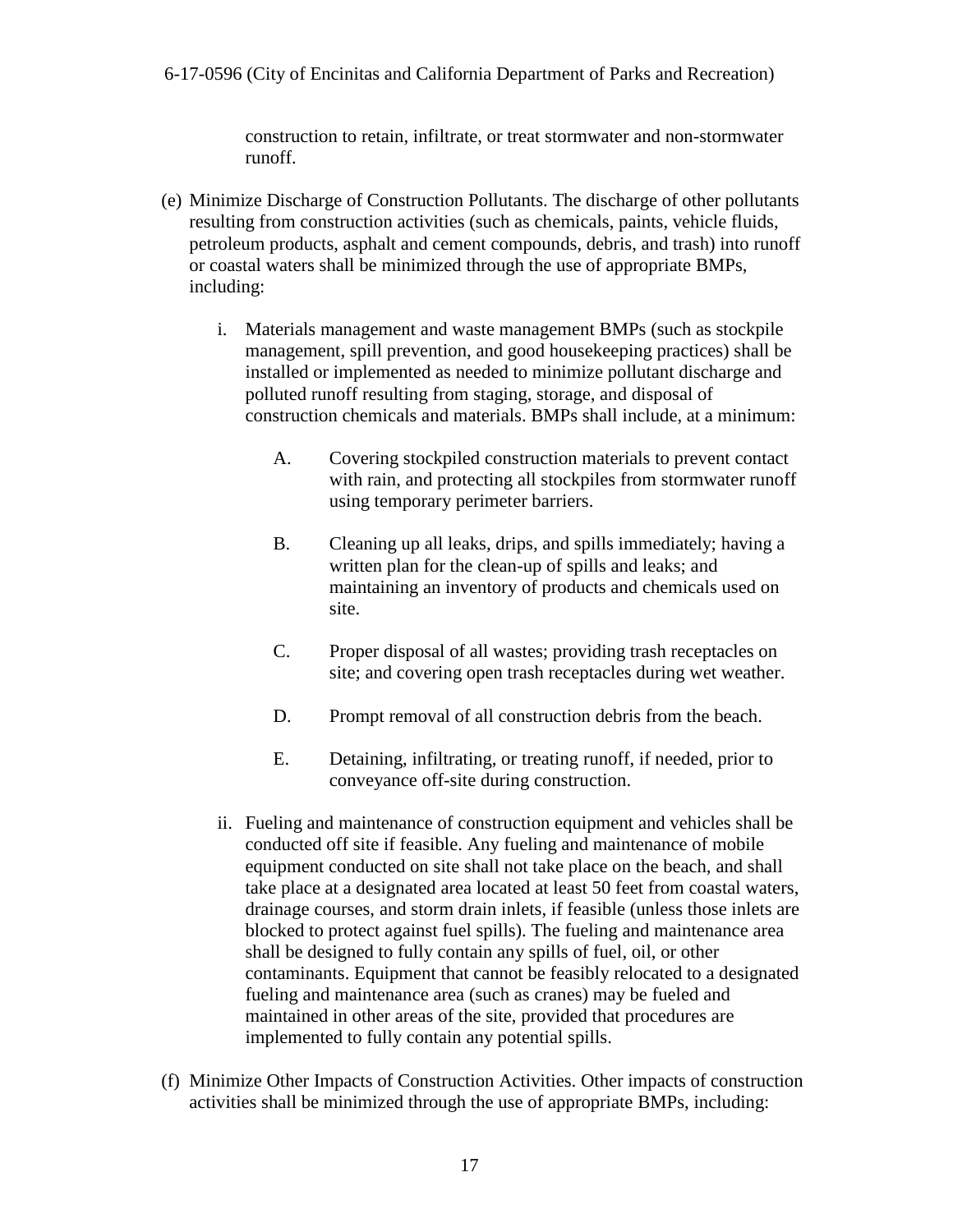construction to retain, infiltrate, or treat stormwater and non-stormwater runoff.

- (e) Minimize Discharge of Construction Pollutants. The discharge of other pollutants resulting from construction activities (such as chemicals, paints, vehicle fluids, petroleum products, asphalt and cement compounds, debris, and trash) into runoff or coastal waters shall be minimized through the use of appropriate BMPs, including:
	- i. Materials management and waste management BMPs (such as stockpile management, spill prevention, and good housekeeping practices) shall be installed or implemented as needed to minimize pollutant discharge and polluted runoff resulting from staging, storage, and disposal of construction chemicals and materials. BMPs shall include, at a minimum:
		- A. Covering stockpiled construction materials to prevent contact with rain, and protecting all stockpiles from stormwater runoff using temporary perimeter barriers.
		- B. Cleaning up all leaks, drips, and spills immediately; having a written plan for the clean-up of spills and leaks; and maintaining an inventory of products and chemicals used on site.
		- C. Proper disposal of all wastes; providing trash receptacles on site; and covering open trash receptacles during wet weather.
		- D. Prompt removal of all construction debris from the beach.
		- E. Detaining, infiltrating, or treating runoff, if needed, prior to conveyance off-site during construction.
	- ii. Fueling and maintenance of construction equipment and vehicles shall be conducted off site if feasible. Any fueling and maintenance of mobile equipment conducted on site shall not take place on the beach, and shall take place at a designated area located at least 50 feet from coastal waters, drainage courses, and storm drain inlets, if feasible (unless those inlets are blocked to protect against fuel spills). The fueling and maintenance area shall be designed to fully contain any spills of fuel, oil, or other contaminants. Equipment that cannot be feasibly relocated to a designated fueling and maintenance area (such as cranes) may be fueled and maintained in other areas of the site, provided that procedures are implemented to fully contain any potential spills.
- (f) Minimize Other Impacts of Construction Activities. Other impacts of construction activities shall be minimized through the use of appropriate BMPs, including: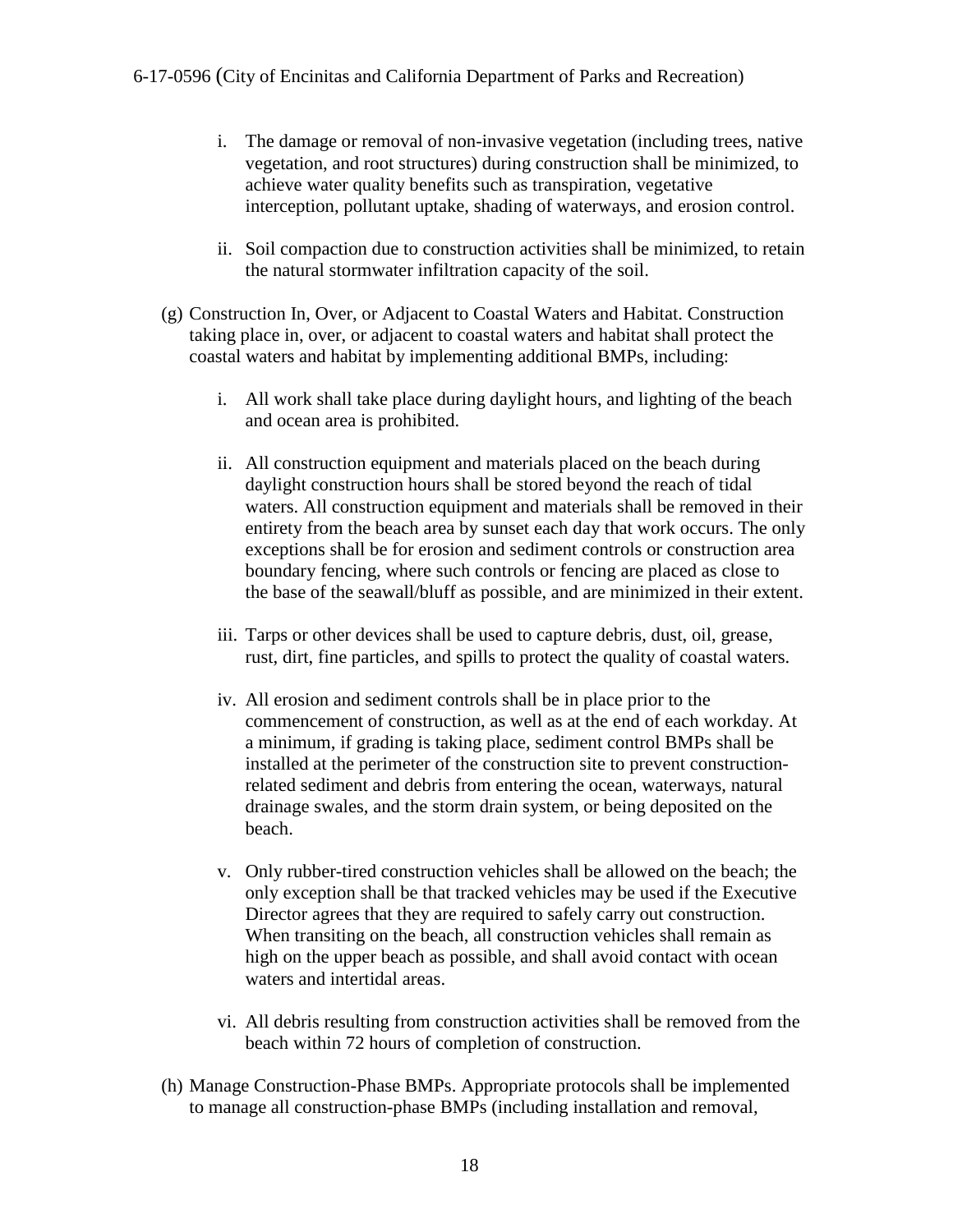- i. The damage or removal of non-invasive vegetation (including trees, native vegetation, and root structures) during construction shall be minimized, to achieve water quality benefits such as transpiration, vegetative interception, pollutant uptake, shading of waterways, and erosion control.
- ii. Soil compaction due to construction activities shall be minimized, to retain the natural stormwater infiltration capacity of the soil.
- (g) Construction In, Over, or Adjacent to Coastal Waters and Habitat. Construction taking place in, over, or adjacent to coastal waters and habitat shall protect the coastal waters and habitat by implementing additional BMPs, including:
	- i. All work shall take place during daylight hours, and lighting of the beach and ocean area is prohibited.
	- ii. All construction equipment and materials placed on the beach during daylight construction hours shall be stored beyond the reach of tidal waters. All construction equipment and materials shall be removed in their entirety from the beach area by sunset each day that work occurs. The only exceptions shall be for erosion and sediment controls or construction area boundary fencing, where such controls or fencing are placed as close to the base of the seawall/bluff as possible, and are minimized in their extent.
	- iii. Tarps or other devices shall be used to capture debris, dust, oil, grease, rust, dirt, fine particles, and spills to protect the quality of coastal waters.
	- iv. All erosion and sediment controls shall be in place prior to the commencement of construction, as well as at the end of each workday. At a minimum, if grading is taking place, sediment control BMPs shall be installed at the perimeter of the construction site to prevent constructionrelated sediment and debris from entering the ocean, waterways, natural drainage swales, and the storm drain system, or being deposited on the beach.
	- v. Only rubber-tired construction vehicles shall be allowed on the beach; the only exception shall be that tracked vehicles may be used if the Executive Director agrees that they are required to safely carry out construction. When transiting on the beach, all construction vehicles shall remain as high on the upper beach as possible, and shall avoid contact with ocean waters and intertidal areas.
	- vi. All debris resulting from construction activities shall be removed from the beach within 72 hours of completion of construction.
- (h) Manage Construction-Phase BMPs. Appropriate protocols shall be implemented to manage all construction-phase BMPs (including installation and removal,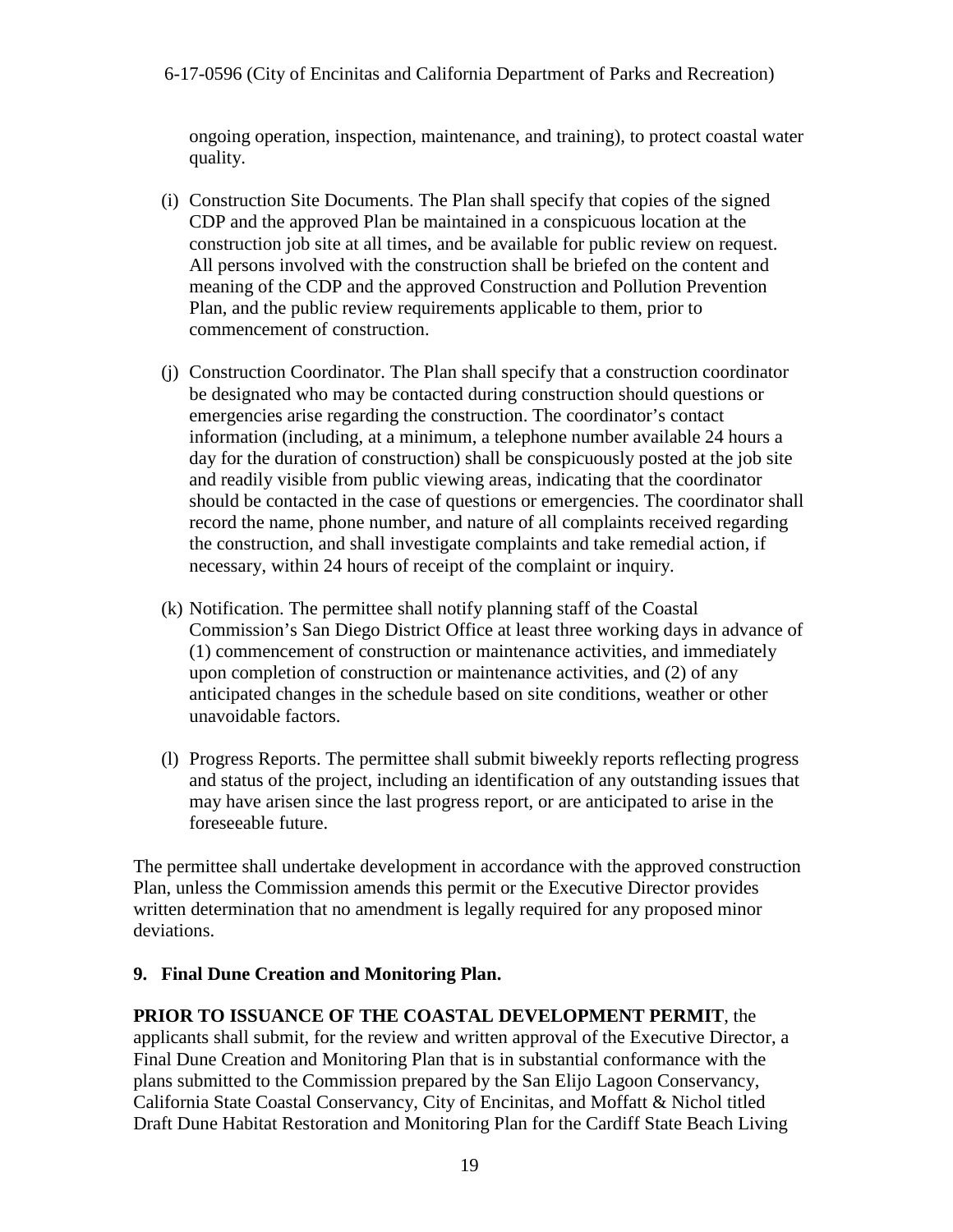ongoing operation, inspection, maintenance, and training), to protect coastal water quality.

- (i) Construction Site Documents. The Plan shall specify that copies of the signed CDP and the approved Plan be maintained in a conspicuous location at the construction job site at all times, and be available for public review on request. All persons involved with the construction shall be briefed on the content and meaning of the CDP and the approved Construction and Pollution Prevention Plan, and the public review requirements applicable to them, prior to commencement of construction.
- (j) Construction Coordinator. The Plan shall specify that a construction coordinator be designated who may be contacted during construction should questions or emergencies arise regarding the construction. The coordinator's contact information (including, at a minimum, a telephone number available 24 hours a day for the duration of construction) shall be conspicuously posted at the job site and readily visible from public viewing areas, indicating that the coordinator should be contacted in the case of questions or emergencies. The coordinator shall record the name, phone number, and nature of all complaints received regarding the construction, and shall investigate complaints and take remedial action, if necessary, within 24 hours of receipt of the complaint or inquiry.
- (k) Notification. The permittee shall notify planning staff of the Coastal Commission's San Diego District Office at least three working days in advance of (1) commencement of construction or maintenance activities, and immediately upon completion of construction or maintenance activities, and (2) of any anticipated changes in the schedule based on site conditions, weather or other unavoidable factors.
- (l) Progress Reports. The permittee shall submit biweekly reports reflecting progress and status of the project, including an identification of any outstanding issues that may have arisen since the last progress report, or are anticipated to arise in the foreseeable future.

The permittee shall undertake development in accordance with the approved construction Plan, unless the Commission amends this permit or the Executive Director provides written determination that no amendment is legally required for any proposed minor deviations.

#### **9. Final Dune Creation and Monitoring Plan.**

#### **PRIOR TO ISSUANCE OF THE COASTAL DEVELOPMENT PERMIT**, the

applicants shall submit, for the review and written approval of the Executive Director, a Final Dune Creation and Monitoring Plan that is in substantial conformance with the plans submitted to the Commission prepared by the San Elijo Lagoon Conservancy, California State Coastal Conservancy, City of Encinitas, and Moffatt & Nichol titled Draft Dune Habitat Restoration and Monitoring Plan for the Cardiff State Beach Living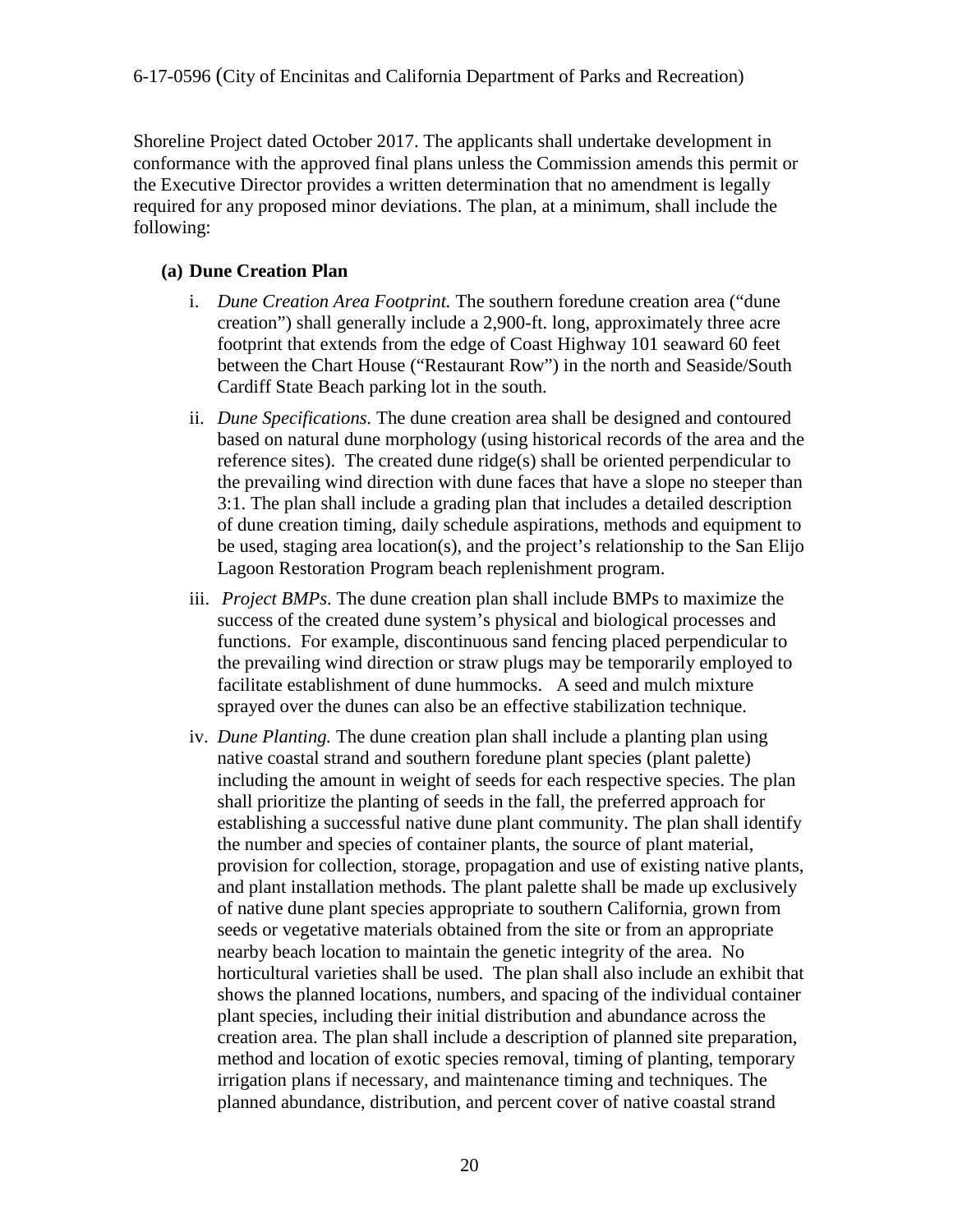Shoreline Project dated October 2017. The applicants shall undertake development in conformance with the approved final plans unless the Commission amends this permit or the Executive Director provides a written determination that no amendment is legally required for any proposed minor deviations. The plan, at a minimum, shall include the following:

#### **(a) Dune Creation Plan**

- i. *Dune Creation Area Footprint.* The southern foredune creation area ("dune creation") shall generally include a 2,900-ft. long, approximately three acre footprint that extends from the edge of Coast Highway 101 seaward 60 feet between the Chart House ("Restaurant Row") in the north and Seaside/South Cardiff State Beach parking lot in the south.
- ii. *Dune Specifications.* The dune creation area shall be designed and contoured based on natural dune morphology (using historical records of the area and the reference sites). The created dune ridge(s) shall be oriented perpendicular to the prevailing wind direction with dune faces that have a slope no steeper than 3:1. The plan shall include a grading plan that includes a detailed description of dune creation timing, daily schedule aspirations, methods and equipment to be used, staging area location(s), and the project's relationship to the San Elijo Lagoon Restoration Program beach replenishment program.
- iii. *Project BMPs*. The dune creation plan shall include BMPs to maximize the success of the created dune system's physical and biological processes and functions. For example, discontinuous sand fencing placed perpendicular to the prevailing wind direction or straw plugs may be temporarily employed to facilitate establishment of dune hummocks. A seed and mulch mixture sprayed over the dunes can also be an effective stabilization technique.
- iv. *Dune Planting.* The dune creation plan shall include a planting plan using native coastal strand and southern foredune plant species (plant palette) including the amount in weight of seeds for each respective species. The plan shall prioritize the planting of seeds in the fall, the preferred approach for establishing a successful native dune plant community. The plan shall identify the number and species of container plants, the source of plant material, provision for collection, storage, propagation and use of existing native plants, and plant installation methods. The plant palette shall be made up exclusively of native dune plant species appropriate to southern California, grown from seeds or vegetative materials obtained from the site or from an appropriate nearby beach location to maintain the genetic integrity of the area. No horticultural varieties shall be used. The plan shall also include an exhibit that shows the planned locations, numbers, and spacing of the individual container plant species, including their initial distribution and abundance across the creation area. The plan shall include a description of planned site preparation, method and location of exotic species removal, timing of planting, temporary irrigation plans if necessary, and maintenance timing and techniques. The planned abundance, distribution, and percent cover of native coastal strand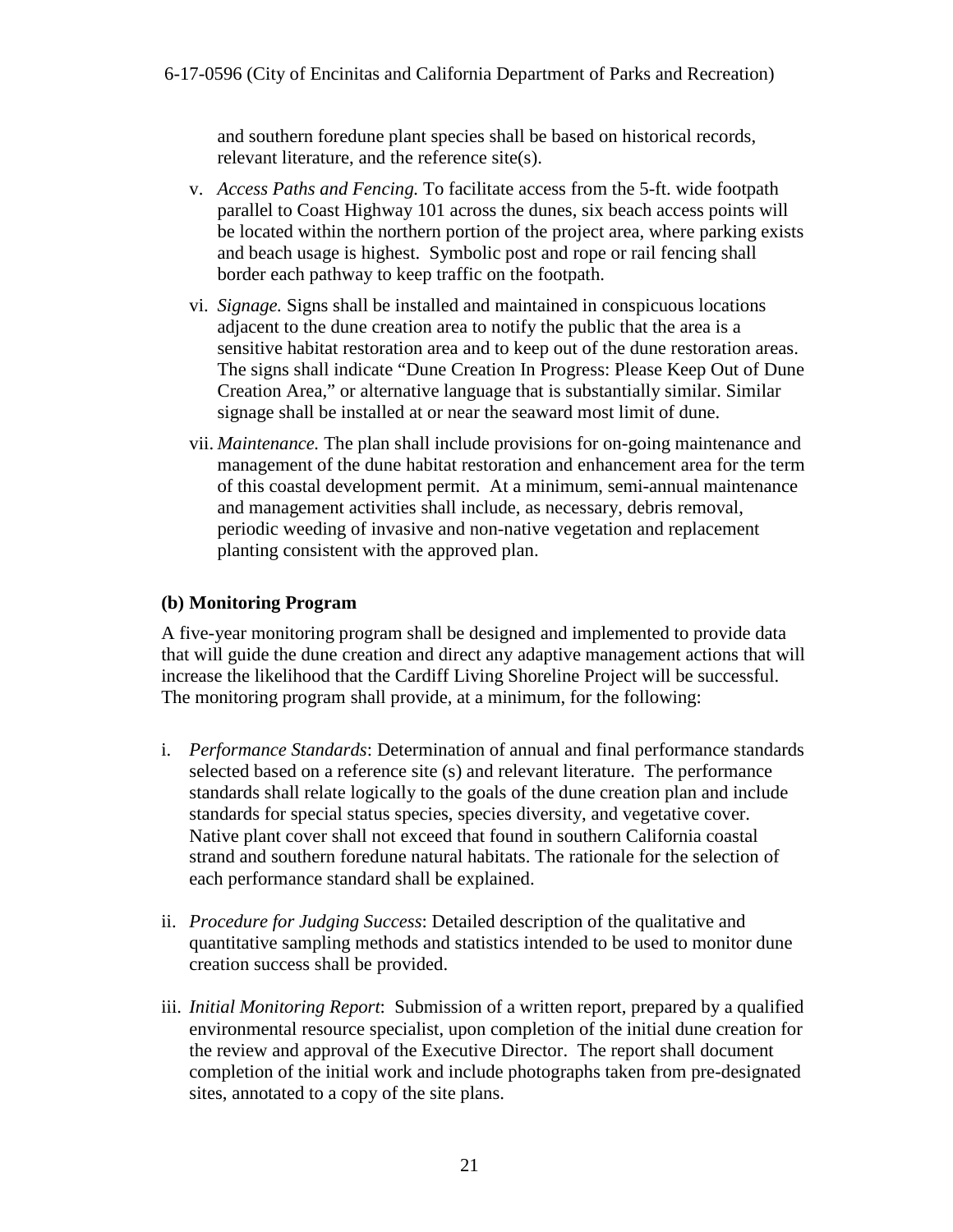and southern foredune plant species shall be based on historical records, relevant literature, and the reference site(s).

- v. *Access Paths and Fencing.* To facilitate access from the 5-ft. wide footpath parallel to Coast Highway 101 across the dunes, six beach access points will be located within the northern portion of the project area, where parking exists and beach usage is highest. Symbolic post and rope or rail fencing shall border each pathway to keep traffic on the footpath.
- vi. *Signage.* Signs shall be installed and maintained in conspicuous locations adjacent to the dune creation area to notify the public that the area is a sensitive habitat restoration area and to keep out of the dune restoration areas. The signs shall indicate "Dune Creation In Progress: Please Keep Out of Dune Creation Area," or alternative language that is substantially similar. Similar signage shall be installed at or near the seaward most limit of dune.
- vii. *Maintenance.* The plan shall include provisions for on-going maintenance and management of the dune habitat restoration and enhancement area for the term of this coastal development permit. At a minimum, semi-annual maintenance and management activities shall include, as necessary, debris removal, periodic weeding of invasive and non-native vegetation and replacement planting consistent with the approved plan.

#### **(b) Monitoring Program**

A five-year monitoring program shall be designed and implemented to provide data that will guide the dune creation and direct any adaptive management actions that will increase the likelihood that the Cardiff Living Shoreline Project will be successful. The monitoring program shall provide, at a minimum, for the following:

- i. *Performance Standards*: Determination of annual and final performance standards selected based on a reference site (s) and relevant literature. The performance standards shall relate logically to the goals of the dune creation plan and include standards for special status species, species diversity, and vegetative cover. Native plant cover shall not exceed that found in southern California coastal strand and southern foredune natural habitats. The rationale for the selection of each performance standard shall be explained.
- ii. *Procedure for Judging Success*: Detailed description of the qualitative and quantitative sampling methods and statistics intended to be used to monitor dune creation success shall be provided.
- iii. *Initial Monitoring Report*: Submission of a written report, prepared by a qualified environmental resource specialist, upon completion of the initial dune creation for the review and approval of the Executive Director. The report shall document completion of the initial work and include photographs taken from pre-designated sites, annotated to a copy of the site plans.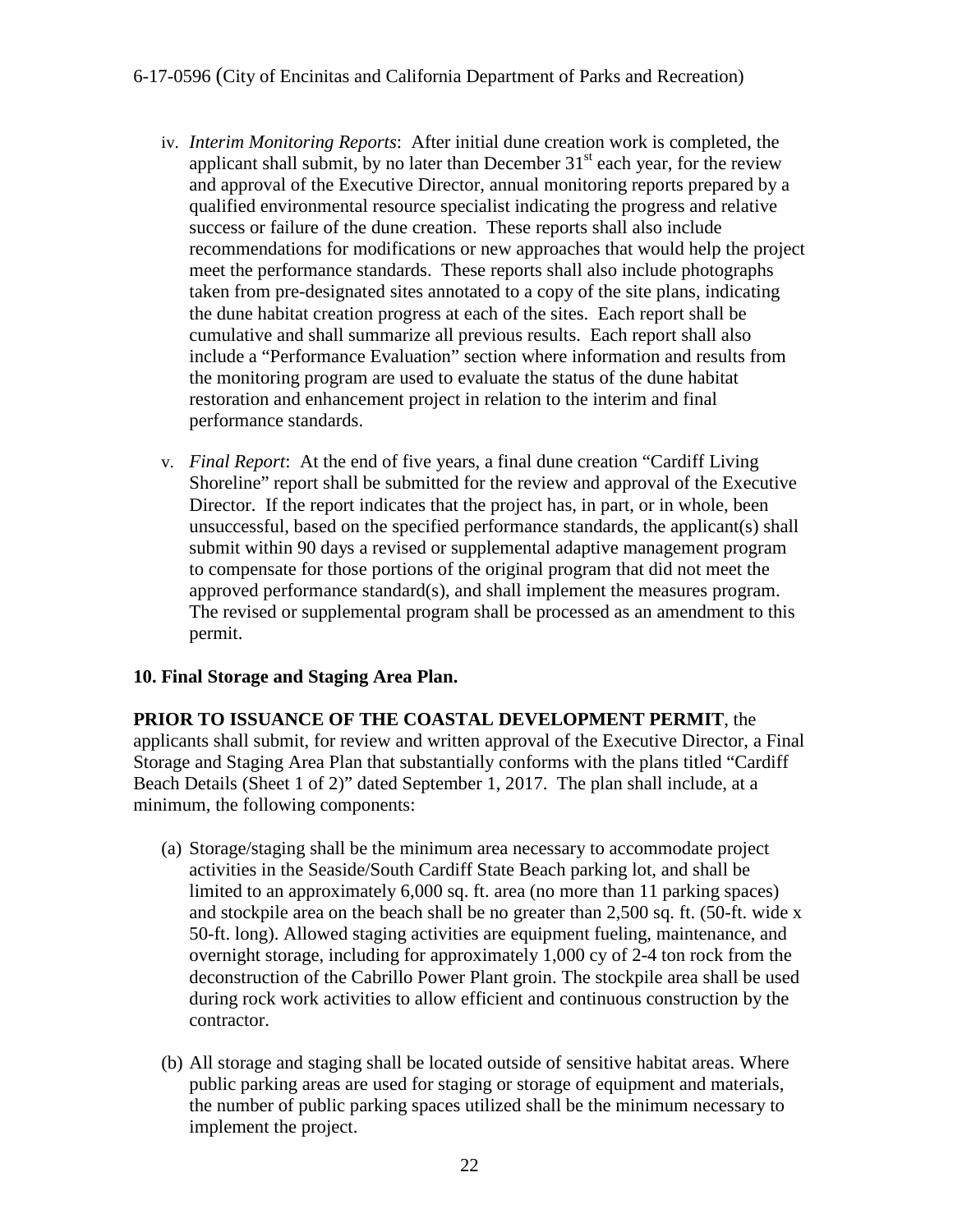- iv. *Interim Monitoring Reports*: After initial dune creation work is completed, the applicant shall submit, by no later than December  $31<sup>st</sup>$  each year, for the review and approval of the Executive Director, annual monitoring reports prepared by a qualified environmental resource specialist indicating the progress and relative success or failure of the dune creation. These reports shall also include recommendations for modifications or new approaches that would help the project meet the performance standards. These reports shall also include photographs taken from pre-designated sites annotated to a copy of the site plans, indicating the dune habitat creation progress at each of the sites. Each report shall be cumulative and shall summarize all previous results. Each report shall also include a "Performance Evaluation" section where information and results from the monitoring program are used to evaluate the status of the dune habitat restoration and enhancement project in relation to the interim and final performance standards.
- v. *Final Report*: At the end of five years, a final dune creation "Cardiff Living Shoreline" report shall be submitted for the review and approval of the Executive Director. If the report indicates that the project has, in part, or in whole, been unsuccessful, based on the specified performance standards, the applicant(s) shall submit within 90 days a revised or supplemental adaptive management program to compensate for those portions of the original program that did not meet the approved performance standard(s), and shall implement the measures program. The revised or supplemental program shall be processed as an amendment to this permit.

#### **10. Final Storage and Staging Area Plan.**

**PRIOR TO ISSUANCE OF THE COASTAL DEVELOPMENT PERMIT**, the applicants shall submit, for review and written approval of the Executive Director, a Final Storage and Staging Area Plan that substantially conforms with the plans titled "Cardiff Beach Details (Sheet 1 of 2)" dated September 1, 2017. The plan shall include, at a minimum, the following components:

- (a) Storage/staging shall be the minimum area necessary to accommodate project activities in the Seaside/South Cardiff State Beach parking lot, and shall be limited to an approximately 6,000 sq. ft. area (no more than 11 parking spaces) and stockpile area on the beach shall be no greater than 2,500 sq. ft. (50-ft. wide x 50-ft. long). Allowed staging activities are equipment fueling, maintenance, and overnight storage, including for approximately 1,000 cy of 2-4 ton rock from the deconstruction of the Cabrillo Power Plant groin. The stockpile area shall be used during rock work activities to allow efficient and continuous construction by the contractor.
- (b) All storage and staging shall be located outside of sensitive habitat areas. Where public parking areas are used for staging or storage of equipment and materials, the number of public parking spaces utilized shall be the minimum necessary to implement the project.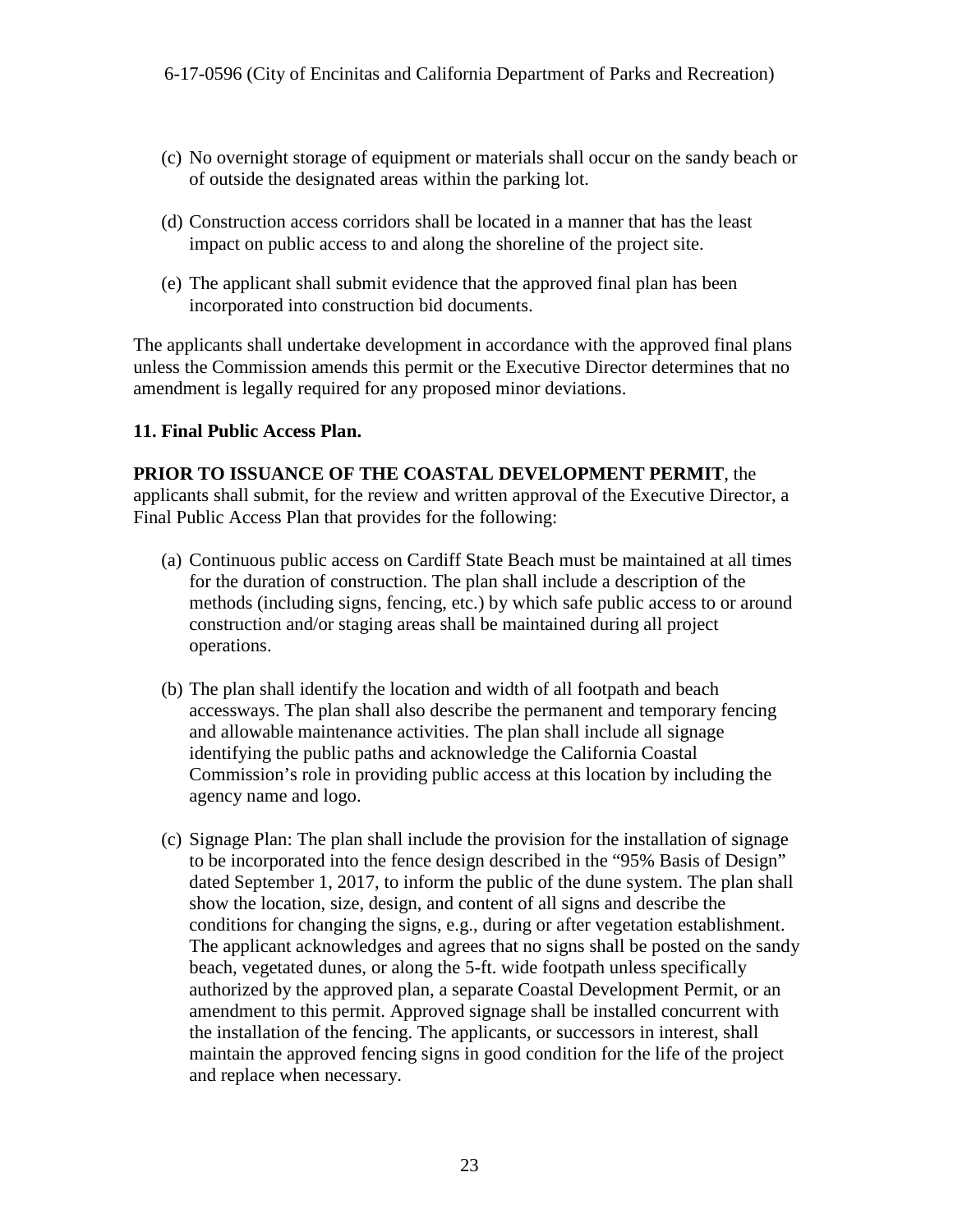- (c) No overnight storage of equipment or materials shall occur on the sandy beach or of outside the designated areas within the parking lot.
- (d) Construction access corridors shall be located in a manner that has the least impact on public access to and along the shoreline of the project site.
- (e) The applicant shall submit evidence that the approved final plan has been incorporated into construction bid documents.

The applicants shall undertake development in accordance with the approved final plans unless the Commission amends this permit or the Executive Director determines that no amendment is legally required for any proposed minor deviations.

#### **11. Final Public Access Plan.**

#### **PRIOR TO ISSUANCE OF THE COASTAL DEVELOPMENT PERMIT**, the

applicants shall submit, for the review and written approval of the Executive Director, a Final Public Access Plan that provides for the following:

- (a) Continuous public access on Cardiff State Beach must be maintained at all times for the duration of construction. The plan shall include a description of the methods (including signs, fencing, etc.) by which safe public access to or around construction and/or staging areas shall be maintained during all project operations.
- (b) The plan shall identify the location and width of all footpath and beach accessways. The plan shall also describe the permanent and temporary fencing and allowable maintenance activities. The plan shall include all signage identifying the public paths and acknowledge the California Coastal Commission's role in providing public access at this location by including the agency name and logo.
- (c) Signage Plan: The plan shall include the provision for the installation of signage to be incorporated into the fence design described in the "95% Basis of Design" dated September 1, 2017, to inform the public of the dune system. The plan shall show the location, size, design, and content of all signs and describe the conditions for changing the signs, e.g., during or after vegetation establishment. The applicant acknowledges and agrees that no signs shall be posted on the sandy beach, vegetated dunes, or along the 5-ft. wide footpath unless specifically authorized by the approved plan, a separate Coastal Development Permit, or an amendment to this permit. Approved signage shall be installed concurrent with the installation of the fencing. The applicants, or successors in interest, shall maintain the approved fencing signs in good condition for the life of the project and replace when necessary.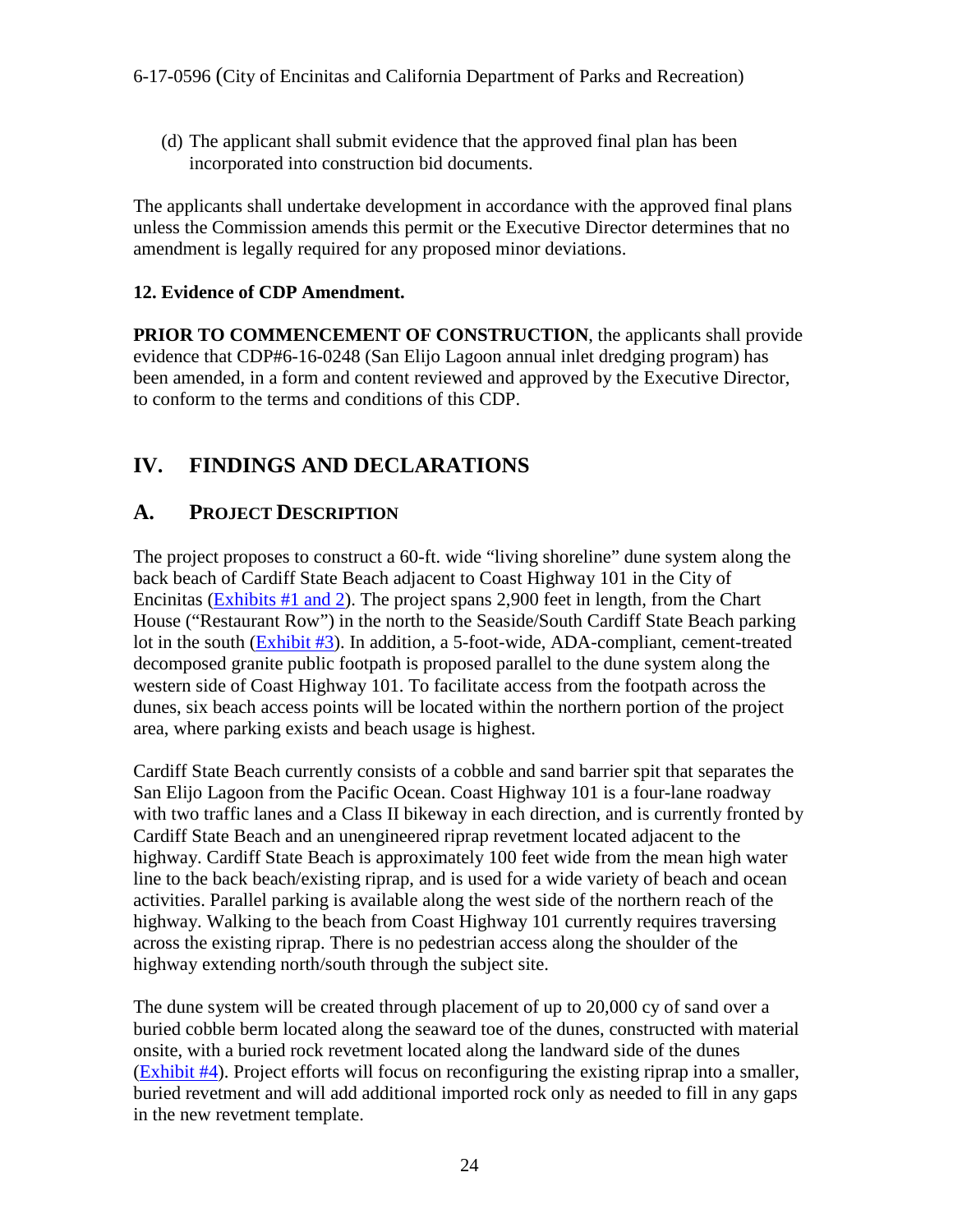(d) The applicant shall submit evidence that the approved final plan has been incorporated into construction bid documents.

The applicants shall undertake development in accordance with the approved final plans unless the Commission amends this permit or the Executive Director determines that no amendment is legally required for any proposed minor deviations.

#### **12. Evidence of CDP Amendment.**

**PRIOR TO COMMENCEMENT OF CONSTRUCTION, the applicants shall provide** evidence that CDP#6-16-0248 (San Elijo Lagoon annual inlet dredging program) has been amended, in a form and content reviewed and approved by the Executive Director, to conform to the terms and conditions of this CDP.

## <span id="page-23-0"></span>**IV. FINDINGS AND DECLARATIONS**

## <span id="page-23-1"></span>**A. PROJECT DESCRIPTION**

The project proposes to construct a 60-ft. wide "living shoreline" dune system along the back beach of Cardiff State Beach adjacent to Coast Highway 101 in the City of Encinitas [\(Exhibits #1 and 2\)](https://documents.coastal.ca.gov/reports/2017/11/th17b/th17b-11-2017-exhibits.pdf). The project spans 2,900 feet in length, from the Chart House ("Restaurant Row") in the north to the Seaside/South Cardiff State Beach parking lot in the south [\(Exhibit #3\)](https://documents.coastal.ca.gov/reports/2017/11/th17b/th17b-11-2017-exhibits.pdf). In addition, a 5-foot-wide, ADA-compliant, cement-treated decomposed granite public footpath is proposed parallel to the dune system along the western side of Coast Highway 101. To facilitate access from the footpath across the dunes, six beach access points will be located within the northern portion of the project area, where parking exists and beach usage is highest.

Cardiff State Beach currently consists of a cobble and sand barrier spit that separates the San Elijo Lagoon from the Pacific Ocean. Coast Highway 101 is a four-lane roadway with two traffic lanes and a Class II bikeway in each direction, and is currently fronted by Cardiff State Beach and an unengineered riprap revetment located adjacent to the highway. Cardiff State Beach is approximately 100 feet wide from the mean high water line to the back beach/existing riprap, and is used for a wide variety of beach and ocean activities. Parallel parking is available along the west side of the northern reach of the highway. Walking to the beach from Coast Highway 101 currently requires traversing across the existing riprap. There is no pedestrian access along the shoulder of the highway extending north/south through the subject site.

The dune system will be created through placement of up to 20,000 cy of sand over a buried cobble berm located along the seaward toe of the dunes, constructed with material onsite, with a buried rock revetment located along the landward side of the dunes [\(Exhibit #4\)](https://documents.coastal.ca.gov/reports/2017/11/th17b/th17b-11-2017-exhibits.pdf). Project efforts will focus on reconfiguring the existing riprap into a smaller, buried revetment and will add additional imported rock only as needed to fill in any gaps in the new revetment template.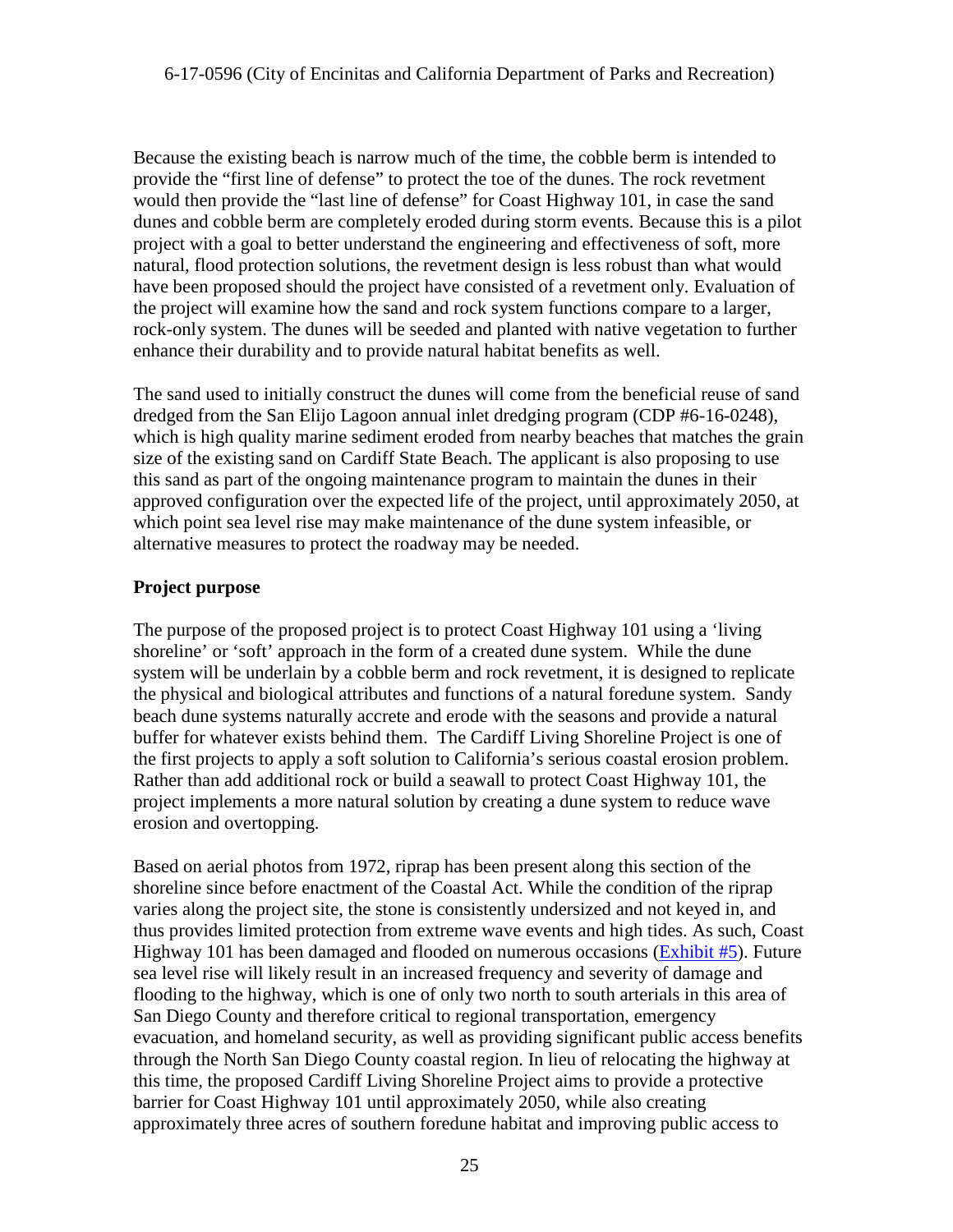Because the existing beach is narrow much of the time, the cobble berm is intended to provide the "first line of defense" to protect the toe of the dunes. The rock revetment would then provide the "last line of defense" for Coast Highway 101, in case the sand dunes and cobble berm are completely eroded during storm events. Because this is a pilot project with a goal to better understand the engineering and effectiveness of soft, more natural, flood protection solutions, the revetment design is less robust than what would have been proposed should the project have consisted of a revetment only. Evaluation of the project will examine how the sand and rock system functions compare to a larger, rock-only system. The dunes will be seeded and planted with native vegetation to further enhance their durability and to provide natural habitat benefits as well.

The sand used to initially construct the dunes will come from the beneficial reuse of sand dredged from the San Elijo Lagoon annual inlet dredging program (CDP #6-16-0248), which is high quality marine sediment eroded from nearby beaches that matches the grain size of the existing sand on Cardiff State Beach. The applicant is also proposing to use this sand as part of the ongoing maintenance program to maintain the dunes in their approved configuration over the expected life of the project, until approximately 2050, at which point sea level rise may make maintenance of the dune system infeasible, or alternative measures to protect the roadway may be needed.

#### **Project purpose**

The purpose of the proposed project is to protect Coast Highway 101 using a 'living shoreline' or 'soft' approach in the form of a created dune system. While the dune system will be underlain by a cobble berm and rock revetment, it is designed to replicate the physical and biological attributes and functions of a natural foredune system. Sandy beach dune systems naturally accrete and erode with the seasons and provide a natural buffer for whatever exists behind them. The Cardiff Living Shoreline Project is one of the first projects to apply a soft solution to California's serious coastal erosion problem. Rather than add additional rock or build a seawall to protect Coast Highway 101, the project implements a more natural solution by creating a dune system to reduce wave erosion and overtopping.

Based on aerial photos from 1972, riprap has been present along this section of the shoreline since before enactment of the Coastal Act. While the condition of the riprap varies along the project site, the stone is consistently undersized and not keyed in, and thus provides limited protection from extreme wave events and high tides. As such, Coast Highway 101 has been damaged and flooded on numerous occasions [\(Exhibit #5\)](https://documents.coastal.ca.gov/reports/2017/11/th17b/th17b-11-2017-exhibits.pdf). Future sea level rise will likely result in an increased frequency and severity of damage and flooding to the highway, which is one of only two north to south arterials in this area of San Diego County and therefore critical to regional transportation, emergency evacuation, and homeland security, as well as providing significant public access benefits through the North San Diego County coastal region. In lieu of relocating the highway at this time, the proposed Cardiff Living Shoreline Project aims to provide a protective barrier for Coast Highway 101 until approximately 2050, while also creating approximately three acres of southern foredune habitat and improving public access to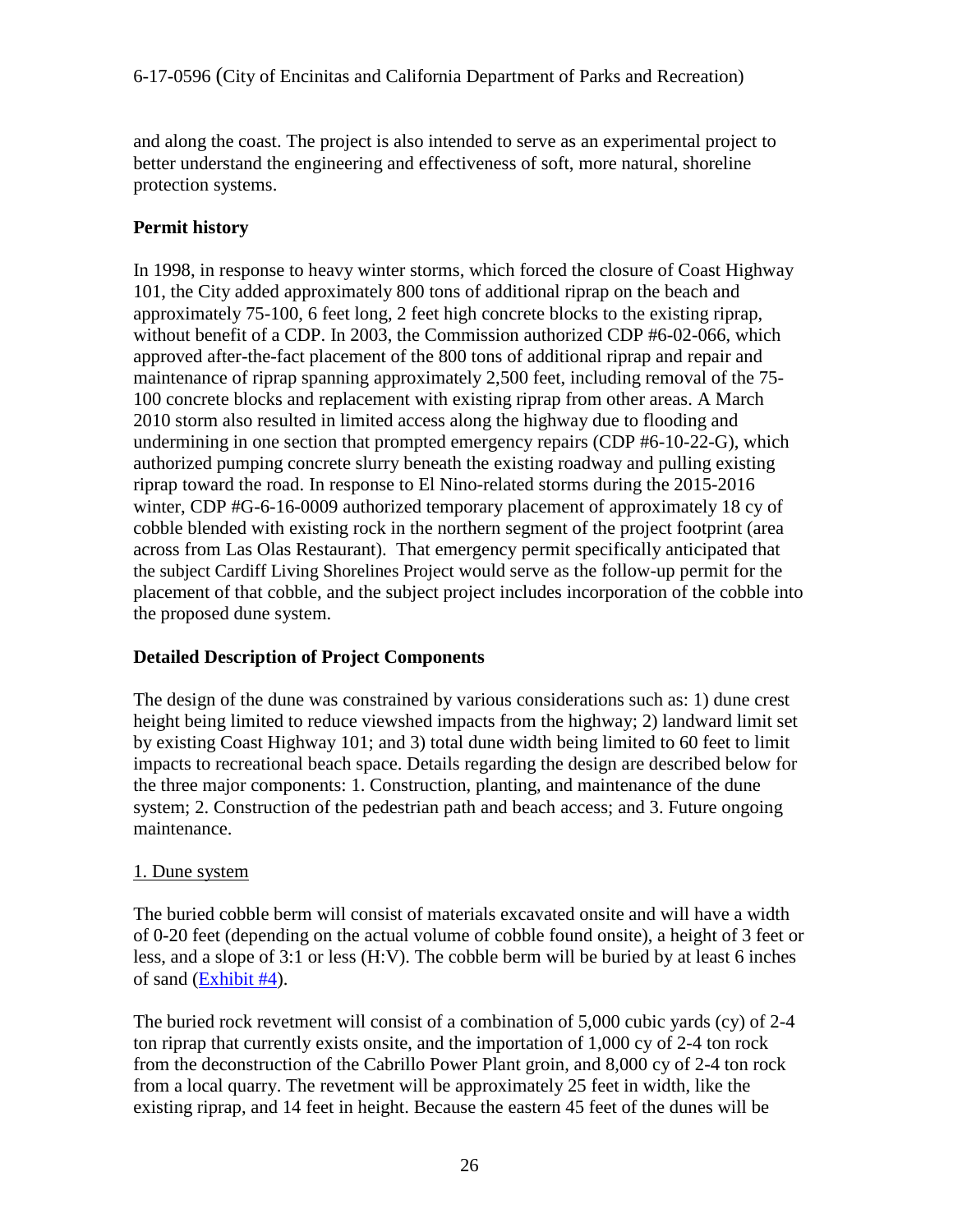and along the coast. The project is also intended to serve as an experimental project to better understand the engineering and effectiveness of soft, more natural, shoreline protection systems.

#### **Permit history**

In 1998, in response to heavy winter storms, which forced the closure of Coast Highway 101, the City added approximately 800 tons of additional riprap on the beach and approximately 75-100, 6 feet long, 2 feet high concrete blocks to the existing riprap, without benefit of a CDP. In 2003, the Commission authorized CDP #6-02-066, which approved after-the-fact placement of the 800 tons of additional riprap and repair and maintenance of riprap spanning approximately 2,500 feet, including removal of the 75- 100 concrete blocks and replacement with existing riprap from other areas. A March 2010 storm also resulted in limited access along the highway due to flooding and undermining in one section that prompted emergency repairs (CDP #6-10-22-G), which authorized pumping concrete slurry beneath the existing roadway and pulling existing riprap toward the road. In response to El Nino-related storms during the 2015-2016 winter, CDP #G-6-16-0009 authorized temporary placement of approximately 18 cy of cobble blended with existing rock in the northern segment of the project footprint (area across from Las Olas Restaurant). That emergency permit specifically anticipated that the subject Cardiff Living Shorelines Project would serve as the follow-up permit for the placement of that cobble, and the subject project includes incorporation of the cobble into the proposed dune system.

#### **Detailed Description of Project Components**

The design of the dune was constrained by various considerations such as: 1) dune crest height being limited to reduce viewshed impacts from the highway; 2) landward limit set by existing Coast Highway 101; and 3) total dune width being limited to 60 feet to limit impacts to recreational beach space. Details regarding the design are described below for the three major components: 1. Construction, planting, and maintenance of the dune system; 2. Construction of the pedestrian path and beach access; and 3. Future ongoing maintenance.

#### 1. Dune system

The buried cobble berm will consist of materials excavated onsite and will have a width of 0-20 feet (depending on the actual volume of cobble found onsite), a height of 3 feet or less, and a slope of 3:1 or less (H:V). The cobble berm will be buried by at least 6 inches of sand [\(Exhibit #4\)](https://documents.coastal.ca.gov/reports/2017/11/th17b/th17b-11-2017-exhibits.pdf).

The buried rock revetment will consist of a combination of 5,000 cubic yards (cy) of 2-4 ton riprap that currently exists onsite, and the importation of 1,000 cy of 2-4 ton rock from the deconstruction of the Cabrillo Power Plant groin, and 8,000 cy of 2-4 ton rock from a local quarry. The revetment will be approximately 25 feet in width, like the existing riprap, and 14 feet in height. Because the eastern 45 feet of the dunes will be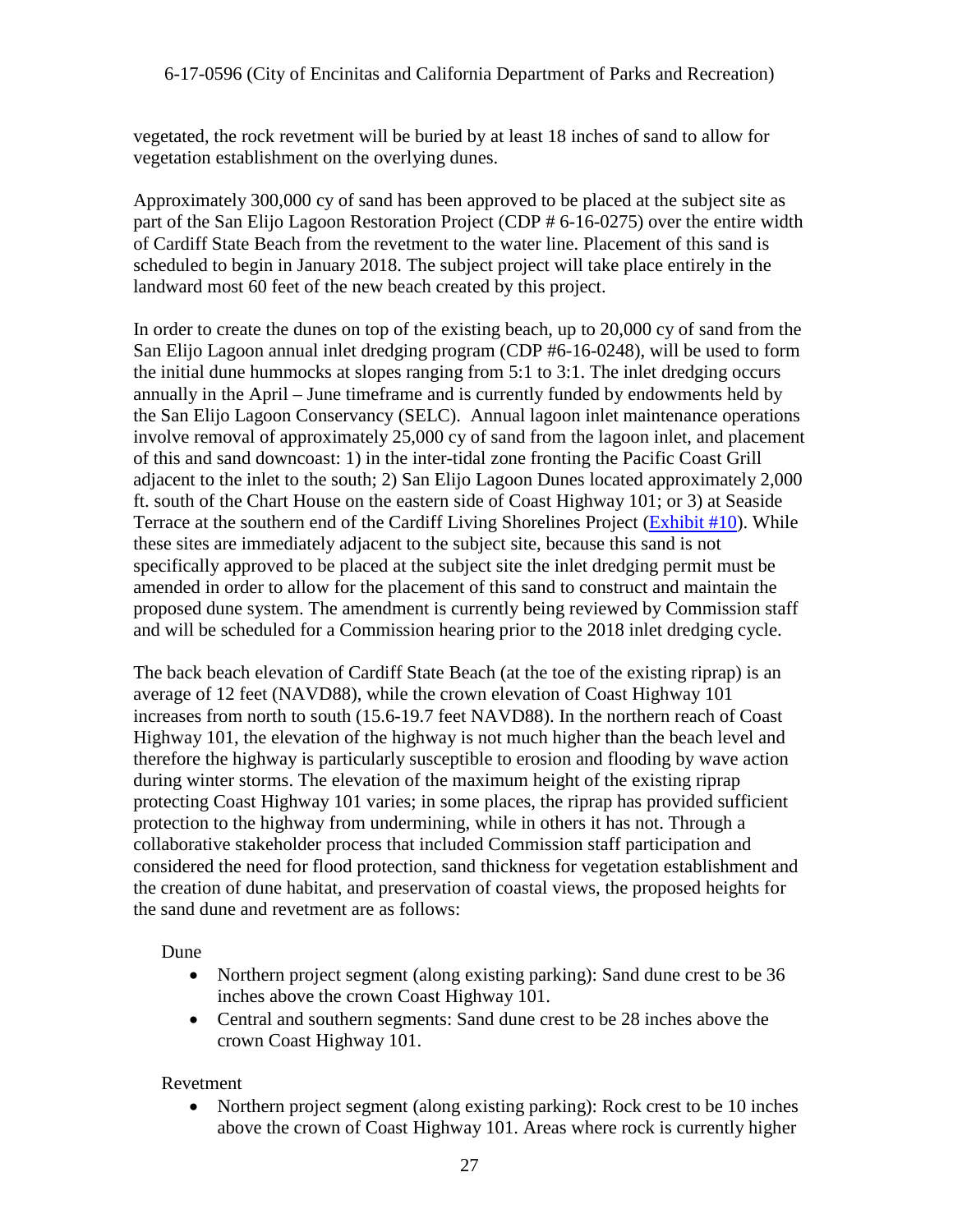vegetated, the rock revetment will be buried by at least 18 inches of sand to allow for vegetation establishment on the overlying dunes.

Approximately 300,000 cy of sand has been approved to be placed at the subject site as part of the San Elijo Lagoon Restoration Project (CDP # 6-16-0275) over the entire width of Cardiff State Beach from the revetment to the water line. Placement of this sand is scheduled to begin in January 2018. The subject project will take place entirely in the landward most 60 feet of the new beach created by this project.

In order to create the dunes on top of the existing beach, up to 20,000 cy of sand from the San Elijo Lagoon annual inlet dredging program (CDP #6-16-0248), will be used to form the initial dune hummocks at slopes ranging from 5:1 to 3:1. The inlet dredging occurs annually in the April – June timeframe and is currently funded by endowments held by the San Elijo Lagoon Conservancy (SELC). Annual lagoon inlet maintenance operations involve removal of approximately 25,000 cy of sand from the lagoon inlet, and placement of this and sand downcoast: 1) in the inter-tidal zone fronting the Pacific Coast Grill adjacent to the inlet to the south; 2) San Elijo Lagoon Dunes located approximately 2,000 ft. south of the Chart House on the eastern side of Coast Highway 101; or 3) at Seaside Terrace at the southern end of the Cardiff Living Shorelines Project [\(Exhibit #10\)](https://documents.coastal.ca.gov/reports/2017/11/th17b/th17b-11-2017-exhibits.pdf). While these sites are immediately adjacent to the subject site, because this sand is not specifically approved to be placed at the subject site the inlet dredging permit must be amended in order to allow for the placement of this sand to construct and maintain the proposed dune system. The amendment is currently being reviewed by Commission staff and will be scheduled for a Commission hearing prior to the 2018 inlet dredging cycle.

The back beach elevation of Cardiff State Beach (at the toe of the existing riprap) is an average of 12 feet (NAVD88), while the crown elevation of Coast Highway 101 increases from north to south (15.6-19.7 feet NAVD88). In the northern reach of Coast Highway 101, the elevation of the highway is not much higher than the beach level and therefore the highway is particularly susceptible to erosion and flooding by wave action during winter storms. The elevation of the maximum height of the existing riprap protecting Coast Highway 101 varies; in some places, the riprap has provided sufficient protection to the highway from undermining, while in others it has not. Through a collaborative stakeholder process that included Commission staff participation and considered the need for flood protection, sand thickness for vegetation establishment and the creation of dune habitat, and preservation of coastal views, the proposed heights for the sand dune and revetment are as follows:

Dune

- Northern project segment (along existing parking): Sand dune crest to be 36 inches above the crown Coast Highway 101.
- Central and southern segments: Sand dune crest to be 28 inches above the crown Coast Highway 101.

#### Revetment

• Northern project segment (along existing parking): Rock crest to be 10 inches above the crown of Coast Highway 101. Areas where rock is currently higher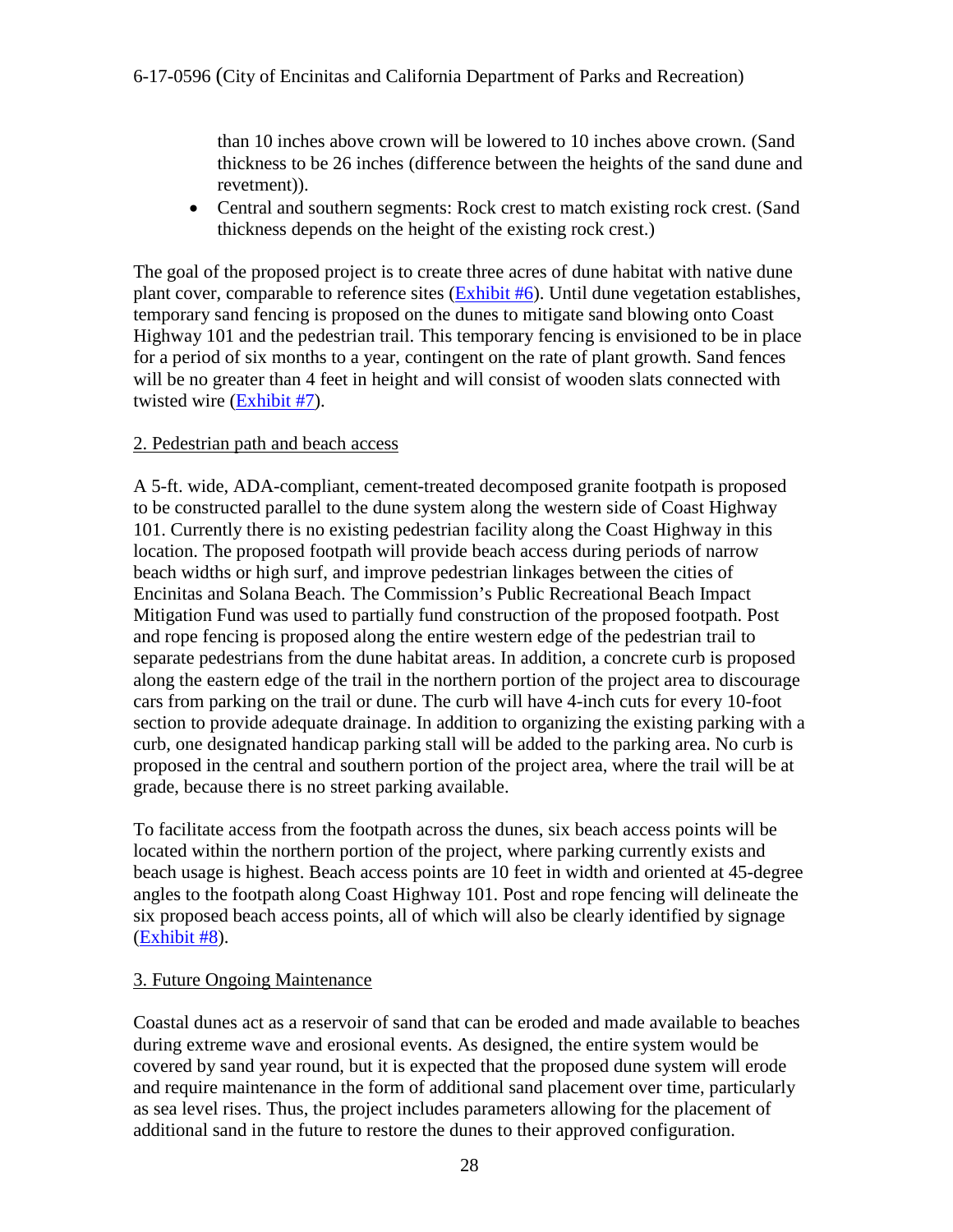than 10 inches above crown will be lowered to 10 inches above crown. (Sand thickness to be 26 inches (difference between the heights of the sand dune and revetment)).

• Central and southern segments: Rock crest to match existing rock crest. (Sand thickness depends on the height of the existing rock crest.)

The goal of the proposed project is to create three acres of dune habitat with native dune plant cover, comparable to reference sites [\(Exhibit #6\)](https://documents.coastal.ca.gov/reports/2017/11/th17b/th17b-11-2017-exhibits.pdf). Until dune vegetation establishes, temporary sand fencing is proposed on the dunes to mitigate sand blowing onto Coast Highway 101 and the pedestrian trail. This temporary fencing is envisioned to be in place for a period of six months to a year, contingent on the rate of plant growth. Sand fences will be no greater than 4 feet in height and will consist of wooden slats connected with twisted wire [\(Exhibit #7\)](https://documents.coastal.ca.gov/reports/2017/11/th17b/th17b-11-2017-exhibits.pdf).

#### 2. Pedestrian path and beach access

A 5-ft. wide, ADA-compliant, cement-treated decomposed granite footpath is proposed to be constructed parallel to the dune system along the western side of Coast Highway 101. Currently there is no existing pedestrian facility along the Coast Highway in this location. The proposed footpath will provide beach access during periods of narrow beach widths or high surf, and improve pedestrian linkages between the cities of Encinitas and Solana Beach. The Commission's Public Recreational Beach Impact Mitigation Fund was used to partially fund construction of the proposed footpath. Post and rope fencing is proposed along the entire western edge of the pedestrian trail to separate pedestrians from the dune habitat areas. In addition, a concrete curb is proposed along the eastern edge of the trail in the northern portion of the project area to discourage cars from parking on the trail or dune. The curb will have 4-inch cuts for every 10-foot section to provide adequate drainage. In addition to organizing the existing parking with a curb, one designated handicap parking stall will be added to the parking area. No curb is proposed in the central and southern portion of the project area, where the trail will be at grade, because there is no street parking available.

To facilitate access from the footpath across the dunes, six beach access points will be located within the northern portion of the project, where parking currently exists and beach usage is highest. Beach access points are 10 feet in width and oriented at 45-degree angles to the footpath along Coast Highway 101. Post and rope fencing will delineate the six proposed beach access points, all of which will also be clearly identified by signage [\(Exhibit #8\)](https://documents.coastal.ca.gov/reports/2017/11/th17b/th17b-11-2017-exhibits.pdf).

#### 3. Future Ongoing Maintenance

Coastal dunes act as a reservoir of sand that can be eroded and made available to beaches during extreme wave and erosional events. As designed, the entire system would be covered by sand year round, but it is expected that the proposed dune system will erode and require maintenance in the form of additional sand placement over time, particularly as sea level rises. Thus, the project includes parameters allowing for the placement of additional sand in the future to restore the dunes to their approved configuration.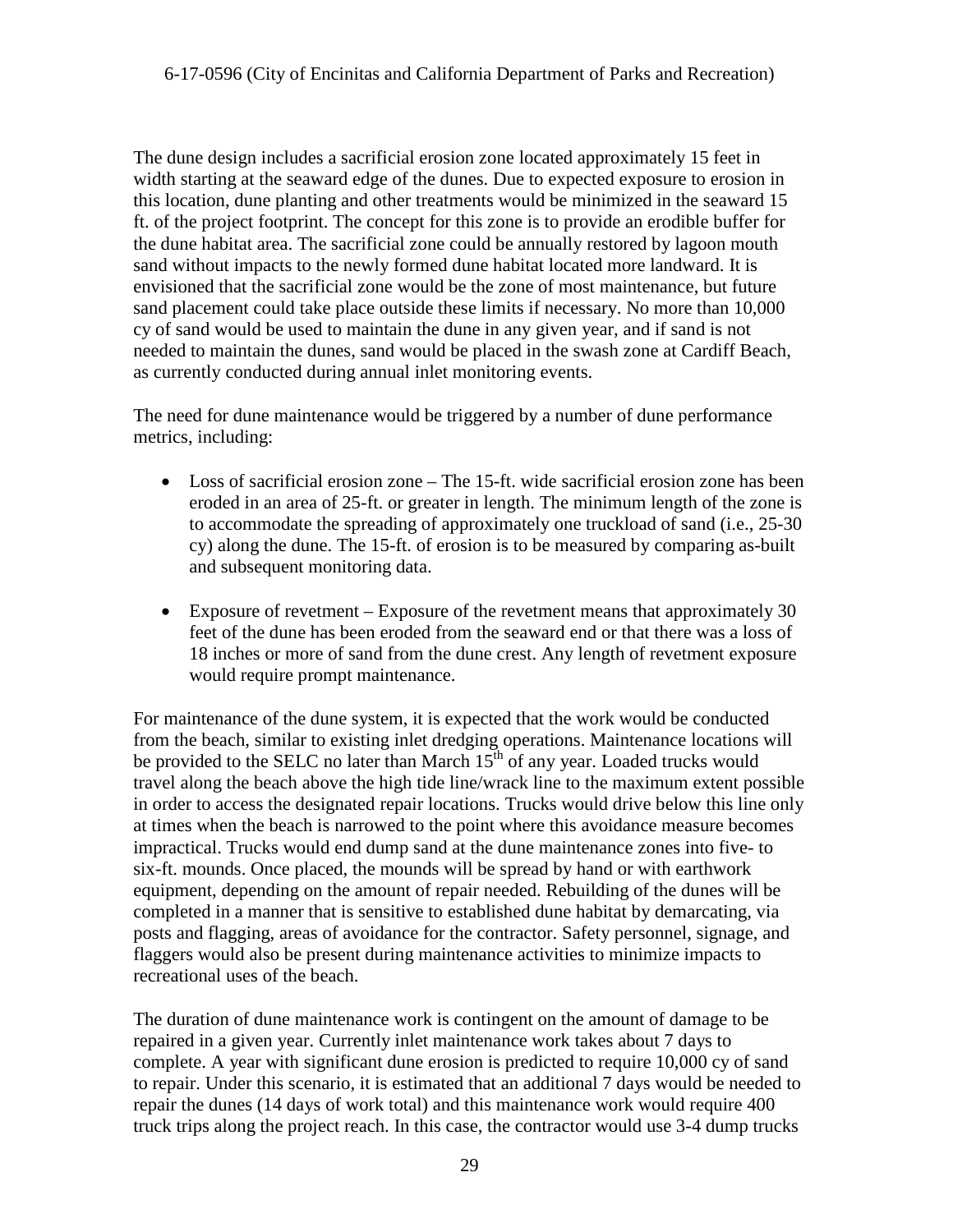The dune design includes a sacrificial erosion zone located approximately 15 feet in width starting at the seaward edge of the dunes. Due to expected exposure to erosion in this location, dune planting and other treatments would be minimized in the seaward 15 ft. of the project footprint. The concept for this zone is to provide an erodible buffer for the dune habitat area. The sacrificial zone could be annually restored by lagoon mouth sand without impacts to the newly formed dune habitat located more landward. It is envisioned that the sacrificial zone would be the zone of most maintenance, but future sand placement could take place outside these limits if necessary. No more than 10,000 cy of sand would be used to maintain the dune in any given year, and if sand is not needed to maintain the dunes, sand would be placed in the swash zone at Cardiff Beach, as currently conducted during annual inlet monitoring events.

The need for dune maintenance would be triggered by a number of dune performance metrics, including:

- Loss of sacrificial erosion zone The 15-ft. wide sacrificial erosion zone has been eroded in an area of 25-ft. or greater in length. The minimum length of the zone is to accommodate the spreading of approximately one truckload of sand (i.e., 25-30 cy) along the dune. The 15-ft. of erosion is to be measured by comparing as-built and subsequent monitoring data.
- Exposure of revetment Exposure of the revetment means that approximately 30 feet of the dune has been eroded from the seaward end or that there was a loss of 18 inches or more of sand from the dune crest. Any length of revetment exposure would require prompt maintenance.

For maintenance of the dune system, it is expected that the work would be conducted from the beach, similar to existing inlet dredging operations. Maintenance locations will be provided to the SELC no later than March  $15<sup>th</sup>$  of any year. Loaded trucks would travel along the beach above the high tide line/wrack line to the maximum extent possible in order to access the designated repair locations. Trucks would drive below this line only at times when the beach is narrowed to the point where this avoidance measure becomes impractical. Trucks would end dump sand at the dune maintenance zones into five- to six-ft. mounds. Once placed, the mounds will be spread by hand or with earthwork equipment, depending on the amount of repair needed. Rebuilding of the dunes will be completed in a manner that is sensitive to established dune habitat by demarcating, via posts and flagging, areas of avoidance for the contractor. Safety personnel, signage, and flaggers would also be present during maintenance activities to minimize impacts to recreational uses of the beach.

The duration of dune maintenance work is contingent on the amount of damage to be repaired in a given year. Currently inlet maintenance work takes about 7 days to complete. A year with significant dune erosion is predicted to require 10,000 cy of sand to repair. Under this scenario, it is estimated that an additional 7 days would be needed to repair the dunes (14 days of work total) and this maintenance work would require 400 truck trips along the project reach. In this case, the contractor would use 3-4 dump trucks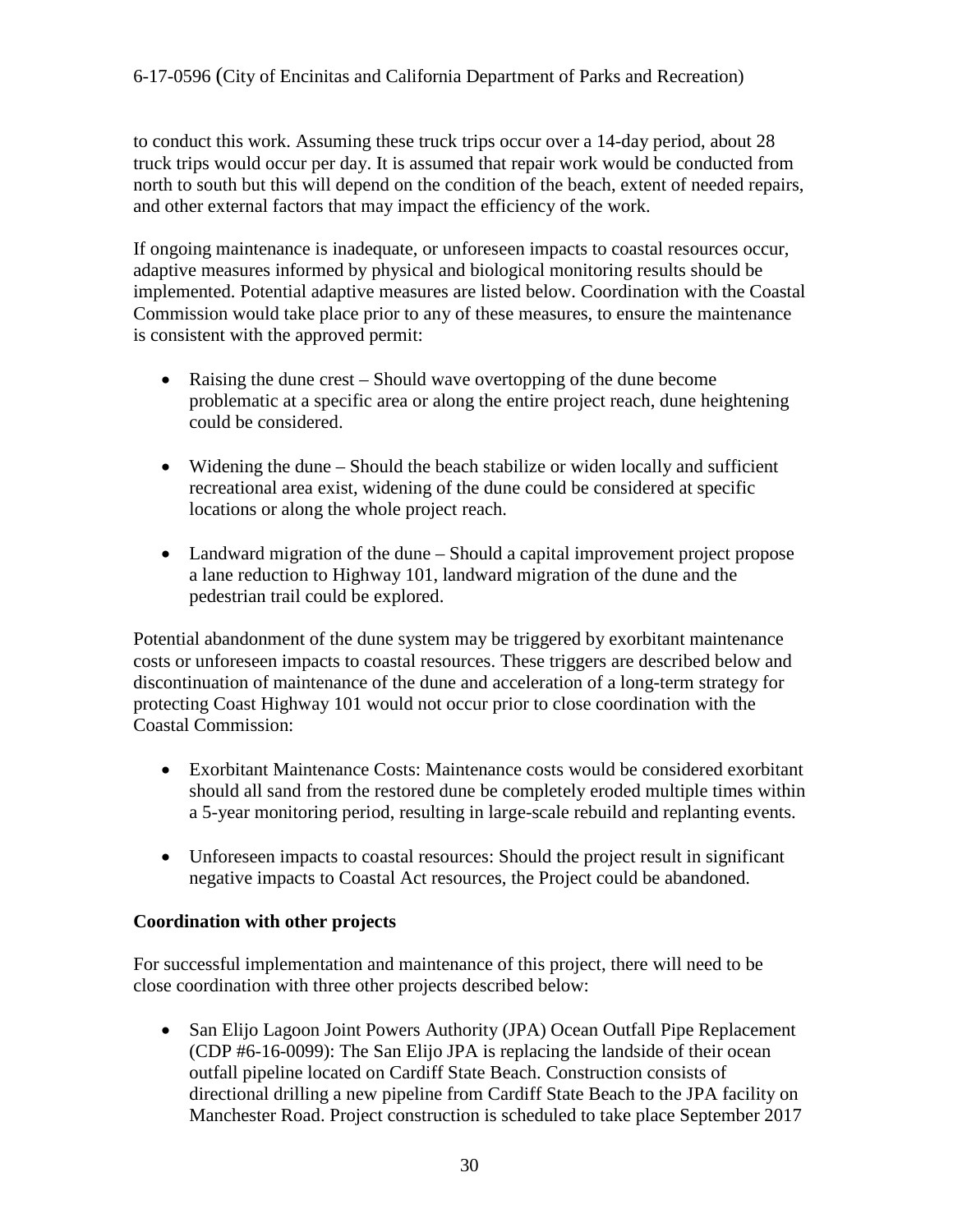to conduct this work. Assuming these truck trips occur over a 14-day period, about 28 truck trips would occur per day. It is assumed that repair work would be conducted from north to south but this will depend on the condition of the beach, extent of needed repairs, and other external factors that may impact the efficiency of the work.

If ongoing maintenance is inadequate, or unforeseen impacts to coastal resources occur, adaptive measures informed by physical and biological monitoring results should be implemented. Potential adaptive measures are listed below. Coordination with the Coastal Commission would take place prior to any of these measures, to ensure the maintenance is consistent with the approved permit:

- Raising the dune crest Should wave overtopping of the dune become problematic at a specific area or along the entire project reach, dune heightening could be considered.
- Widening the dune Should the beach stabilize or widen locally and sufficient recreational area exist, widening of the dune could be considered at specific locations or along the whole project reach.
- Landward migration of the dune Should a capital improvement project propose a lane reduction to Highway 101, landward migration of the dune and the pedestrian trail could be explored.

Potential abandonment of the dune system may be triggered by exorbitant maintenance costs or unforeseen impacts to coastal resources. These triggers are described below and discontinuation of maintenance of the dune and acceleration of a long-term strategy for protecting Coast Highway 101 would not occur prior to close coordination with the Coastal Commission:

- Exorbitant Maintenance Costs: Maintenance costs would be considered exorbitant should all sand from the restored dune be completely eroded multiple times within a 5-year monitoring period, resulting in large-scale rebuild and replanting events.
- Unforeseen impacts to coastal resources: Should the project result in significant negative impacts to Coastal Act resources, the Project could be abandoned.

#### **Coordination with other projects**

For successful implementation and maintenance of this project, there will need to be close coordination with three other projects described below:

• San Elijo Lagoon Joint Powers Authority (JPA) Ocean Outfall Pipe Replacement (CDP #6-16-0099): The San Elijo JPA is replacing the landside of their ocean outfall pipeline located on Cardiff State Beach. Construction consists of directional drilling a new pipeline from Cardiff State Beach to the JPA facility on Manchester Road. Project construction is scheduled to take place September 2017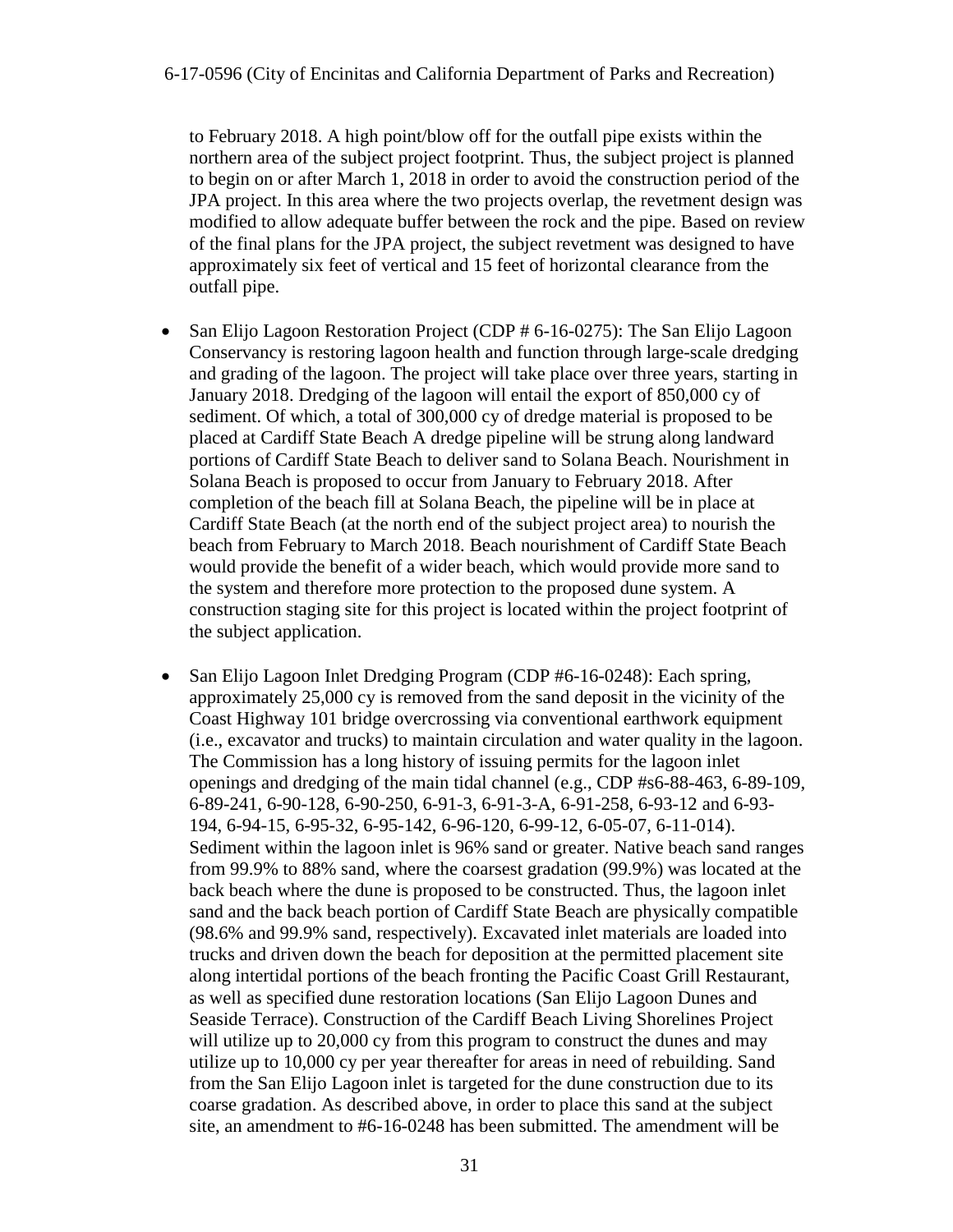to February 2018. A high point/blow off for the outfall pipe exists within the northern area of the subject project footprint. Thus, the subject project is planned to begin on or after March 1, 2018 in order to avoid the construction period of the JPA project. In this area where the two projects overlap, the revetment design was modified to allow adequate buffer between the rock and the pipe. Based on review of the final plans for the JPA project, the subject revetment was designed to have approximately six feet of vertical and 15 feet of horizontal clearance from the outfall pipe.

- San Elijo Lagoon Restoration Project (CDP # 6-16-0275): The San Elijo Lagoon Conservancy is restoring lagoon health and function through large-scale dredging and grading of the lagoon. The project will take place over three years, starting in January 2018. Dredging of the lagoon will entail the export of 850,000 cy of sediment. Of which, a total of 300,000 cy of dredge material is proposed to be placed at Cardiff State Beach A dredge pipeline will be strung along landward portions of Cardiff State Beach to deliver sand to Solana Beach. Nourishment in Solana Beach is proposed to occur from January to February 2018. After completion of the beach fill at Solana Beach, the pipeline will be in place at Cardiff State Beach (at the north end of the subject project area) to nourish the beach from February to March 2018. Beach nourishment of Cardiff State Beach would provide the benefit of a wider beach, which would provide more sand to the system and therefore more protection to the proposed dune system. A construction staging site for this project is located within the project footprint of the subject application.
- San Elijo Lagoon Inlet Dredging Program (CDP #6-16-0248): Each spring, approximately 25,000 cy is removed from the sand deposit in the vicinity of the Coast Highway 101 bridge overcrossing via conventional earthwork equipment (i.e., excavator and trucks) to maintain circulation and water quality in the lagoon. The Commission has a long history of issuing permits for the lagoon inlet openings and dredging of the main tidal channel (e.g., CDP #s6-88-463, 6-89-109, 6-89-241, 6-90-128, 6-90-250, 6-91-3, 6-91-3-A, 6-91-258, 6-93-12 and 6-93- 194, 6-94-15, 6-95-32, 6-95-142, 6-96-120, 6-99-12, 6-05-07, 6-11-014). Sediment within the lagoon inlet is 96% sand or greater. Native beach sand ranges from 99.9% to 88% sand, where the coarsest gradation (99.9%) was located at the back beach where the dune is proposed to be constructed. Thus, the lagoon inlet sand and the back beach portion of Cardiff State Beach are physically compatible (98.6% and 99.9% sand, respectively). Excavated inlet materials are loaded into trucks and driven down the beach for deposition at the permitted placement site along intertidal portions of the beach fronting the Pacific Coast Grill Restaurant, as well as specified dune restoration locations (San Elijo Lagoon Dunes and Seaside Terrace). Construction of the Cardiff Beach Living Shorelines Project will utilize up to 20,000 cy from this program to construct the dunes and may utilize up to 10,000 cy per year thereafter for areas in need of rebuilding. Sand from the San Elijo Lagoon inlet is targeted for the dune construction due to its coarse gradation. As described above, in order to place this sand at the subject site, an amendment to #6-16-0248 has been submitted. The amendment will be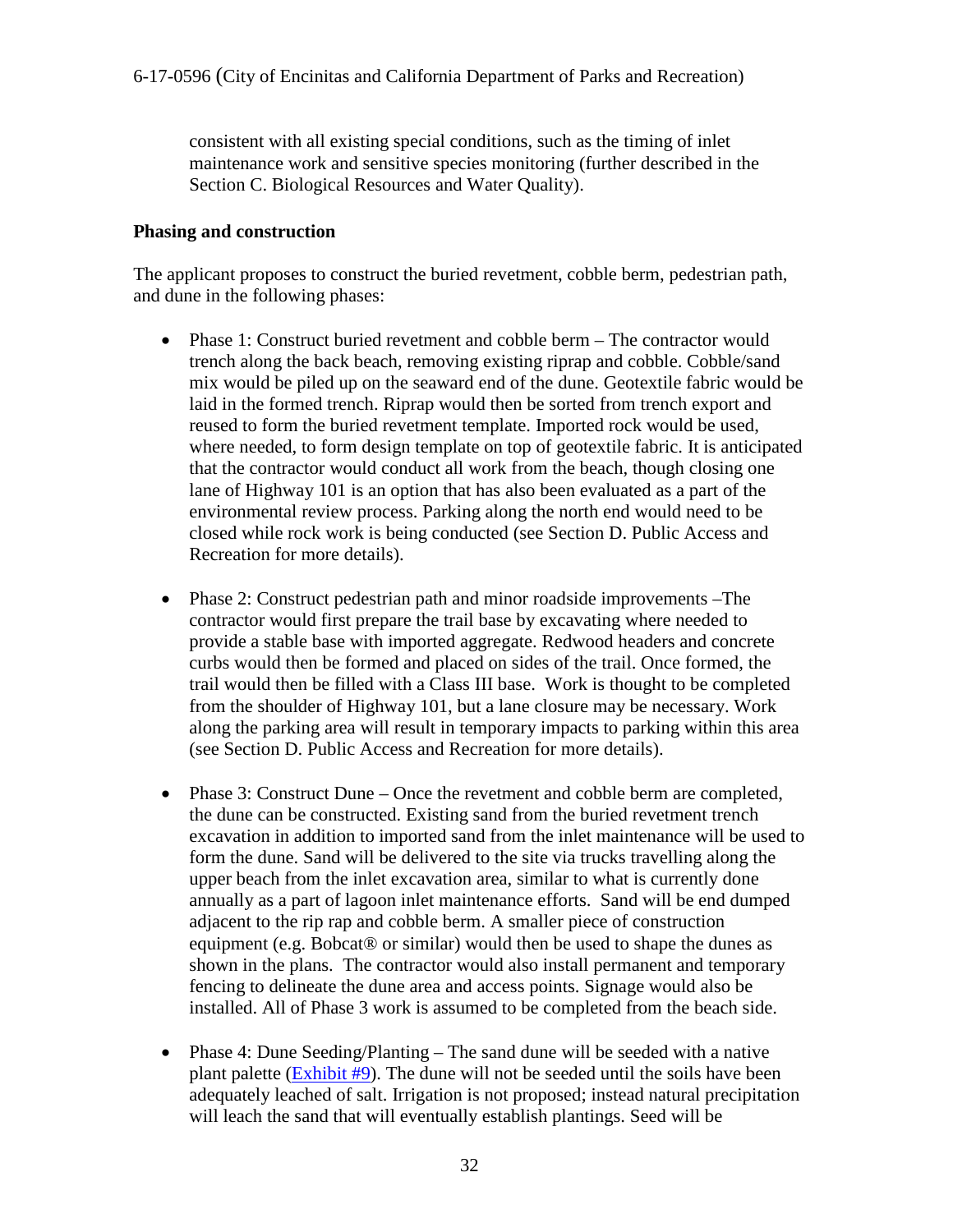consistent with all existing special conditions, such as the timing of inlet maintenance work and sensitive species monitoring (further described in the Section C. Biological Resources and Water Quality).

#### **Phasing and construction**

The applicant proposes to construct the buried revetment, cobble berm, pedestrian path, and dune in the following phases:

- Phase 1: Construct buried revetment and cobble berm The contractor would trench along the back beach, removing existing riprap and cobble. Cobble/sand mix would be piled up on the seaward end of the dune. Geotextile fabric would be laid in the formed trench. Riprap would then be sorted from trench export and reused to form the buried revetment template. Imported rock would be used, where needed, to form design template on top of geotextile fabric. It is anticipated that the contractor would conduct all work from the beach, though closing one lane of Highway 101 is an option that has also been evaluated as a part of the environmental review process. Parking along the north end would need to be closed while rock work is being conducted (see Section D. Public Access and Recreation for more details).
- Phase 2: Construct pedestrian path and minor roadside improvements –The contractor would first prepare the trail base by excavating where needed to provide a stable base with imported aggregate. Redwood headers and concrete curbs would then be formed and placed on sides of the trail. Once formed, the trail would then be filled with a Class III base. Work is thought to be completed from the shoulder of Highway 101, but a lane closure may be necessary. Work along the parking area will result in temporary impacts to parking within this area (see Section D. Public Access and Recreation for more details).
- Phase 3: Construct Dune Once the revetment and cobble berm are completed, the dune can be constructed. Existing sand from the buried revetment trench excavation in addition to imported sand from the inlet maintenance will be used to form the dune. Sand will be delivered to the site via trucks travelling along the upper beach from the inlet excavation area, similar to what is currently done annually as a part of lagoon inlet maintenance efforts. Sand will be end dumped adjacent to the rip rap and cobble berm. A smaller piece of construction equipment (e.g. Bobcat® or similar) would then be used to shape the dunes as shown in the plans. The contractor would also install permanent and temporary fencing to delineate the dune area and access points. Signage would also be installed. All of Phase 3 work is assumed to be completed from the beach side.
- Phase 4: Dune Seeding/Planting The sand dune will be seeded with a native plant palette [\(Exhibit #9\)](https://documents.coastal.ca.gov/reports/2017/11/th17b/th17b-11-2017-exhibits.pdf). The dune will not be seeded until the soils have been adequately leached of salt. Irrigation is not proposed; instead natural precipitation will leach the sand that will eventually establish plantings. Seed will be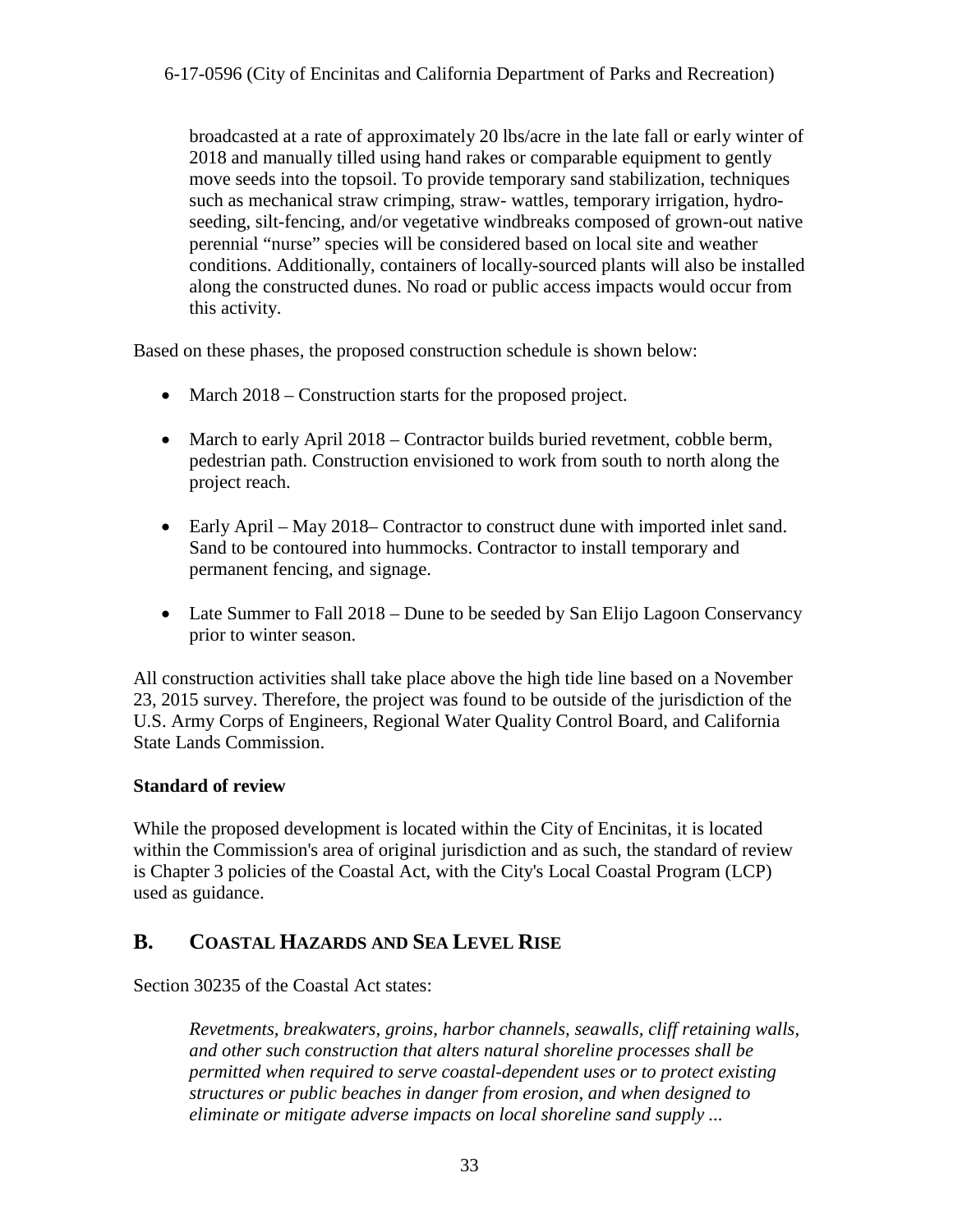broadcasted at a rate of approximately 20 lbs/acre in the late fall or early winter of 2018 and manually tilled using hand rakes or comparable equipment to gently move seeds into the topsoil. To provide temporary sand stabilization, techniques such as mechanical straw crimping, straw- wattles, temporary irrigation, hydroseeding, silt-fencing, and/or vegetative windbreaks composed of grown-out native perennial "nurse" species will be considered based on local site and weather conditions. Additionally, containers of locally-sourced plants will also be installed along the constructed dunes. No road or public access impacts would occur from this activity.

Based on these phases, the proposed construction schedule is shown below:

- March 2018 Construction starts for the proposed project.
- March to early April 2018 Contractor builds buried revetment, cobble berm, pedestrian path. Construction envisioned to work from south to north along the project reach.
- Early April May 2018– Contractor to construct dune with imported inlet sand. Sand to be contoured into hummocks. Contractor to install temporary and permanent fencing, and signage.
- Late Summer to Fall 2018 Dune to be seeded by San Elijo Lagoon Conservancy prior to winter season.

All construction activities shall take place above the high tide line based on a November 23, 2015 survey. Therefore, the project was found to be outside of the jurisdiction of the U.S. Army Corps of Engineers, Regional Water Quality Control Board, and California State Lands Commission.

#### **Standard of review**

While the proposed development is located within the City of Encinitas, it is located within the Commission's area of original jurisdiction and as such, the standard of review is Chapter 3 policies of the Coastal Act, with the City's Local Coastal Program (LCP) used as guidance.

## <span id="page-32-0"></span>**B. COASTAL HAZARDS AND SEA LEVEL RISE**

Section 30235 of the Coastal Act states:

*Revetments, breakwaters, groins, harbor channels, seawalls, cliff retaining walls, and other such construction that alters natural shoreline processes shall be permitted when required to serve coastal-dependent uses or to protect existing structures or public beaches in danger from erosion, and when designed to eliminate or mitigate adverse impacts on local shoreline sand supply ...*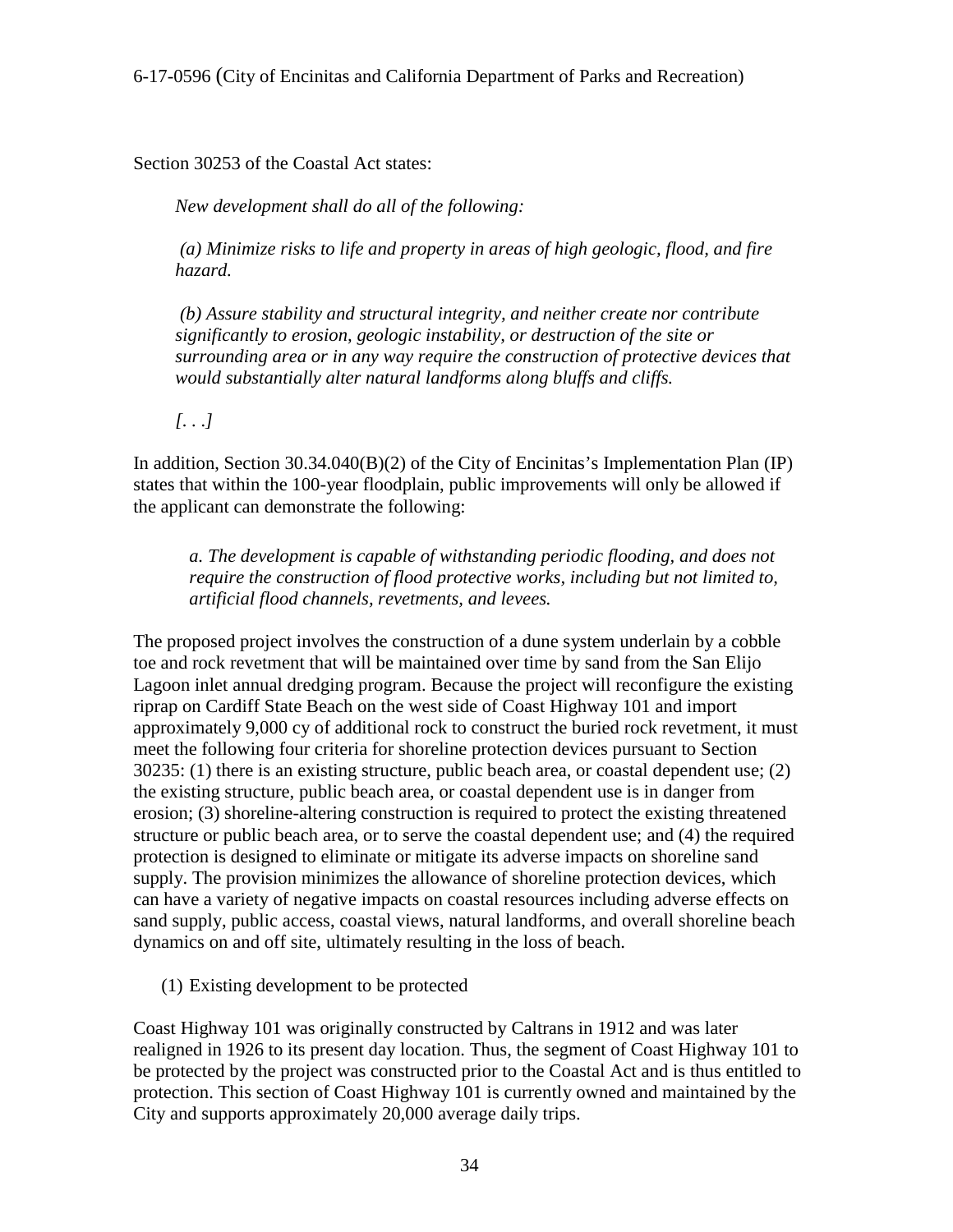Section 30253 of the Coastal Act states:

*New development shall do all of the following:* 

 *(a) Minimize risks to life and property in areas of high geologic, flood, and fire hazard.* 

 *(b) Assure stability and structural integrity, and neither create nor contribute significantly to erosion, geologic instability, or destruction of the site or surrounding area or in any way require the construction of protective devices that would substantially alter natural landforms along bluffs and cliffs.*

*[. . .]* 

In addition, Section 30.34.040(B)(2) of the City of Encinitas's Implementation Plan (IP) states that within the 100-year floodplain, public improvements will only be allowed if the applicant can demonstrate the following:

*a. The development is capable of withstanding periodic flooding, and does not require the construction of flood protective works, including but not limited to, artificial flood channels, revetments, and levees.* 

The proposed project involves the construction of a dune system underlain by a cobble toe and rock revetment that will be maintained over time by sand from the San Elijo Lagoon inlet annual dredging program. Because the project will reconfigure the existing riprap on Cardiff State Beach on the west side of Coast Highway 101 and import approximately 9,000 cy of additional rock to construct the buried rock revetment, it must meet the following four criteria for shoreline protection devices pursuant to Section 30235: (1) there is an existing structure, public beach area, or coastal dependent use; (2) the existing structure, public beach area, or coastal dependent use is in danger from erosion; (3) shoreline-altering construction is required to protect the existing threatened structure or public beach area, or to serve the coastal dependent use; and (4) the required protection is designed to eliminate or mitigate its adverse impacts on shoreline sand supply. The provision minimizes the allowance of shoreline protection devices, which can have a variety of negative impacts on coastal resources including adverse effects on sand supply, public access, coastal views, natural landforms, and overall shoreline beach dynamics on and off site, ultimately resulting in the loss of beach.

(1) Existing development to be protected

Coast Highway 101 was originally constructed by Caltrans in 1912 and was later realigned in 1926 to its present day location. Thus, the segment of Coast Highway 101 to be protected by the project was constructed prior to the Coastal Act and is thus entitled to protection. This section of Coast Highway 101 is currently owned and maintained by the City and supports approximately 20,000 average daily trips.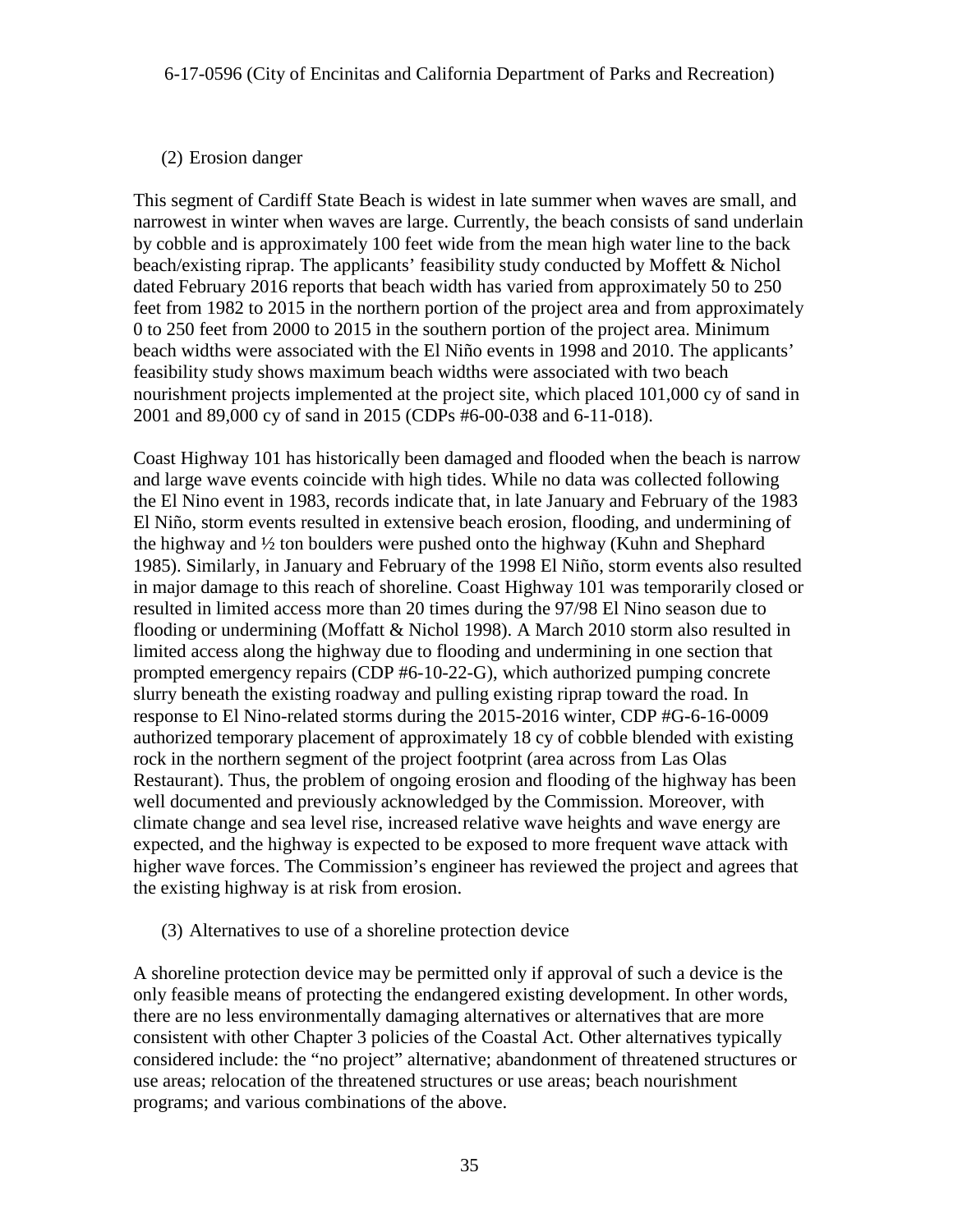#### (2) Erosion danger

This segment of Cardiff State Beach is widest in late summer when waves are small, and narrowest in winter when waves are large. Currently, the beach consists of sand underlain by cobble and is approximately 100 feet wide from the mean high water line to the back beach/existing riprap. The applicants' feasibility study conducted by Moffett & Nichol dated February 2016 reports that beach width has varied from approximately 50 to 250 feet from 1982 to 2015 in the northern portion of the project area and from approximately 0 to 250 feet from 2000 to 2015 in the southern portion of the project area. Minimum beach widths were associated with the El Niño events in 1998 and 2010. The applicants' feasibility study shows maximum beach widths were associated with two beach nourishment projects implemented at the project site, which placed 101,000 cy of sand in 2001 and 89,000 cy of sand in 2015 (CDPs #6-00-038 and 6-11-018).

Coast Highway 101 has historically been damaged and flooded when the beach is narrow and large wave events coincide with high tides. While no data was collected following the El Nino event in 1983, records indicate that, in late January and February of the 1983 El Niño, storm events resulted in extensive beach erosion, flooding, and undermining of the highway and ½ ton boulders were pushed onto the highway (Kuhn and Shephard 1985). Similarly, in January and February of the 1998 El Niño, storm events also resulted in major damage to this reach of shoreline. Coast Highway 101 was temporarily closed or resulted in limited access more than 20 times during the 97/98 El Nino season due to flooding or undermining (Moffatt & Nichol 1998). A March 2010 storm also resulted in limited access along the highway due to flooding and undermining in one section that prompted emergency repairs (CDP #6-10-22-G), which authorized pumping concrete slurry beneath the existing roadway and pulling existing riprap toward the road. In response to El Nino-related storms during the 2015-2016 winter, CDP #G-6-16-0009 authorized temporary placement of approximately 18 cy of cobble blended with existing rock in the northern segment of the project footprint (area across from Las Olas Restaurant). Thus, the problem of ongoing erosion and flooding of the highway has been well documented and previously acknowledged by the Commission. Moreover, with climate change and sea level rise, increased relative wave heights and wave energy are expected, and the highway is expected to be exposed to more frequent wave attack with higher wave forces. The Commission's engineer has reviewed the project and agrees that the existing highway is at risk from erosion.

#### (3) Alternatives to use of a shoreline protection device

A shoreline protection device may be permitted only if approval of such a device is the only feasible means of protecting the endangered existing development. In other words, there are no less environmentally damaging alternatives or alternatives that are more consistent with other Chapter 3 policies of the Coastal Act. Other alternatives typically considered include: the "no project" alternative; abandonment of threatened structures or use areas; relocation of the threatened structures or use areas; beach nourishment programs; and various combinations of the above.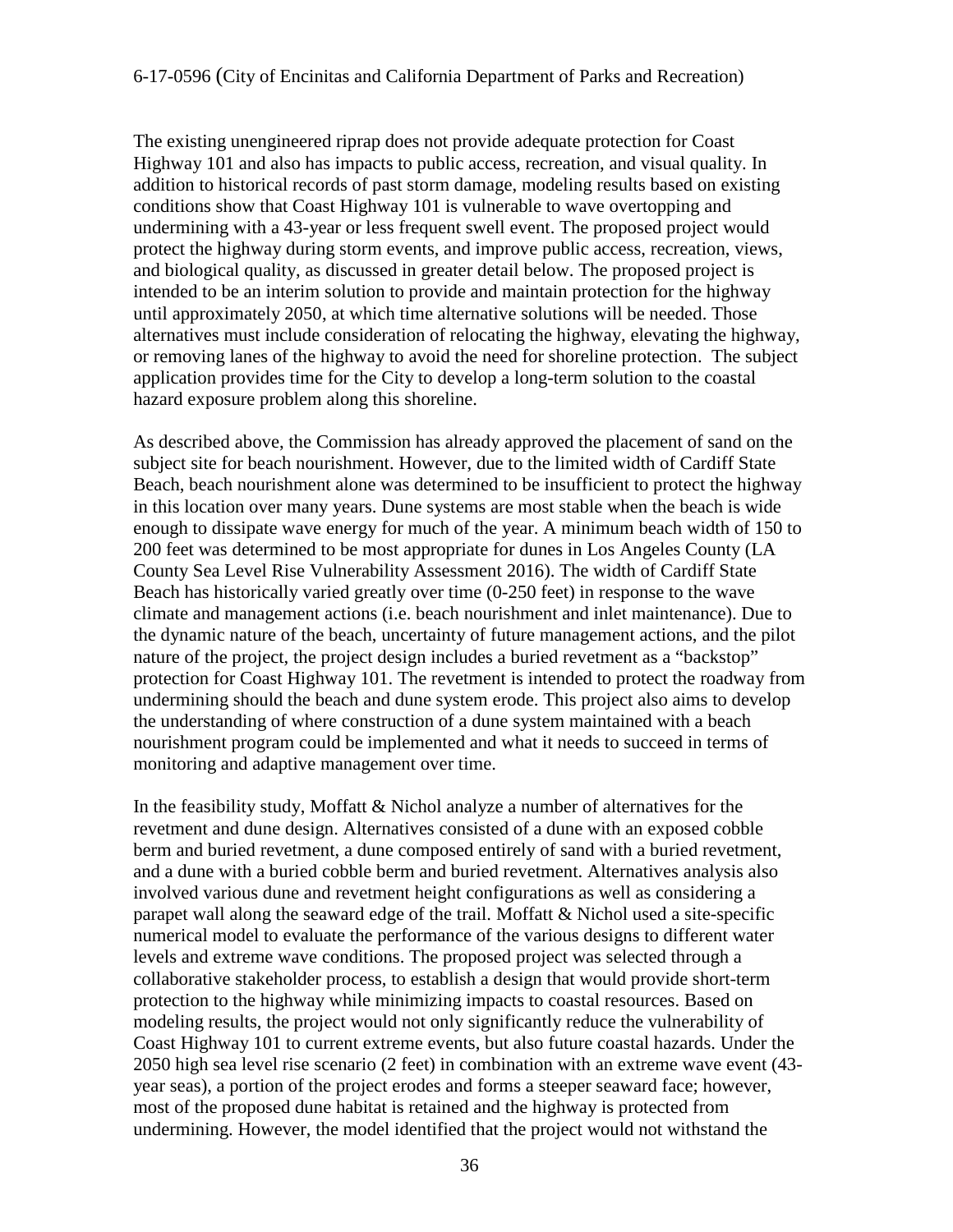The existing unengineered riprap does not provide adequate protection for Coast Highway 101 and also has impacts to public access, recreation, and visual quality. In addition to historical records of past storm damage, modeling results based on existing conditions show that Coast Highway 101 is vulnerable to wave overtopping and undermining with a 43-year or less frequent swell event. The proposed project would protect the highway during storm events, and improve public access, recreation, views, and biological quality, as discussed in greater detail below. The proposed project is intended to be an interim solution to provide and maintain protection for the highway until approximately 2050, at which time alternative solutions will be needed. Those alternatives must include consideration of relocating the highway, elevating the highway, or removing lanes of the highway to avoid the need for shoreline protection. The subject application provides time for the City to develop a long-term solution to the coastal hazard exposure problem along this shoreline.

As described above, the Commission has already approved the placement of sand on the subject site for beach nourishment. However, due to the limited width of Cardiff State Beach, beach nourishment alone was determined to be insufficient to protect the highway in this location over many years. Dune systems are most stable when the beach is wide enough to dissipate wave energy for much of the year. A minimum beach width of 150 to 200 feet was determined to be most appropriate for dunes in Los Angeles County (LA County Sea Level Rise Vulnerability Assessment 2016). The width of Cardiff State Beach has historically varied greatly over time (0-250 feet) in response to the wave climate and management actions (i.e. beach nourishment and inlet maintenance). Due to the dynamic nature of the beach, uncertainty of future management actions, and the pilot nature of the project, the project design includes a buried revetment as a "backstop" protection for Coast Highway 101. The revetment is intended to protect the roadway from undermining should the beach and dune system erode. This project also aims to develop the understanding of where construction of a dune system maintained with a beach nourishment program could be implemented and what it needs to succeed in terms of monitoring and adaptive management over time.

In the feasibility study, Moffatt & Nichol analyze a number of alternatives for the revetment and dune design. Alternatives consisted of a dune with an exposed cobble berm and buried revetment, a dune composed entirely of sand with a buried revetment, and a dune with a buried cobble berm and buried revetment. Alternatives analysis also involved various dune and revetment height configurations as well as considering a parapet wall along the seaward edge of the trail. Moffatt  $\&$  Nichol used a site-specific numerical model to evaluate the performance of the various designs to different water levels and extreme wave conditions. The proposed project was selected through a collaborative stakeholder process, to establish a design that would provide short-term protection to the highway while minimizing impacts to coastal resources. Based on modeling results, the project would not only significantly reduce the vulnerability of Coast Highway 101 to current extreme events, but also future coastal hazards. Under the 2050 high sea level rise scenario (2 feet) in combination with an extreme wave event (43 year seas), a portion of the project erodes and forms a steeper seaward face; however, most of the proposed dune habitat is retained and the highway is protected from undermining. However, the model identified that the project would not withstand the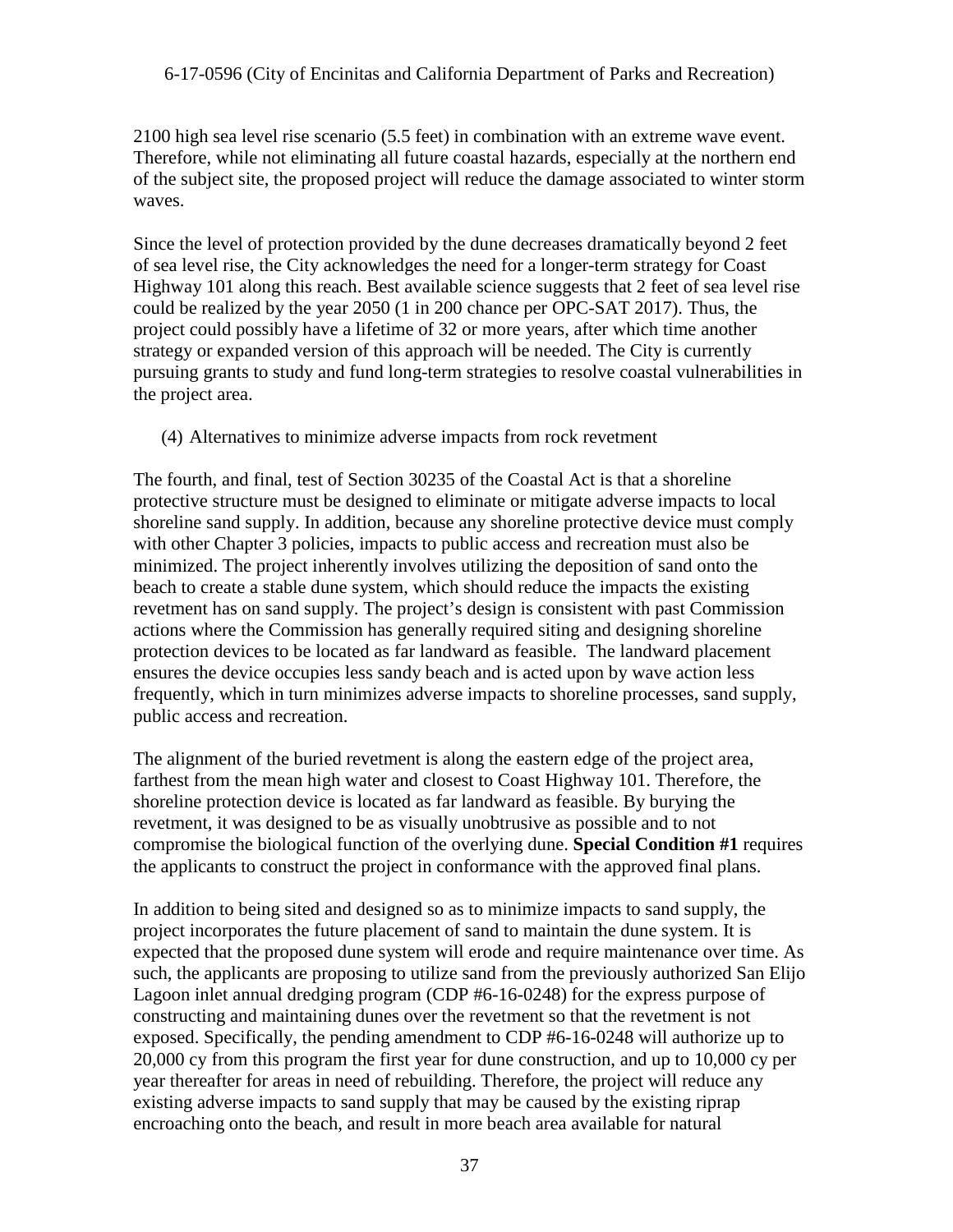2100 high sea level rise scenario (5.5 feet) in combination with an extreme wave event. Therefore, while not eliminating all future coastal hazards, especially at the northern end of the subject site, the proposed project will reduce the damage associated to winter storm waves.

Since the level of protection provided by the dune decreases dramatically beyond 2 feet of sea level rise, the City acknowledges the need for a longer-term strategy for Coast Highway 101 along this reach. Best available science suggests that 2 feet of sea level rise could be realized by the year 2050 (1 in 200 chance per OPC-SAT 2017). Thus, the project could possibly have a lifetime of 32 or more years, after which time another strategy or expanded version of this approach will be needed. The City is currently pursuing grants to study and fund long-term strategies to resolve coastal vulnerabilities in the project area.

(4) Alternatives to minimize adverse impacts from rock revetment

The fourth, and final, test of Section 30235 of the Coastal Act is that a shoreline protective structure must be designed to eliminate or mitigate adverse impacts to local shoreline sand supply. In addition, because any shoreline protective device must comply with other Chapter 3 policies, impacts to public access and recreation must also be minimized. The project inherently involves utilizing the deposition of sand onto the beach to create a stable dune system, which should reduce the impacts the existing revetment has on sand supply. The project's design is consistent with past Commission actions where the Commission has generally required siting and designing shoreline protection devices to be located as far landward as feasible. The landward placement ensures the device occupies less sandy beach and is acted upon by wave action less frequently, which in turn minimizes adverse impacts to shoreline processes, sand supply, public access and recreation.

The alignment of the buried revetment is along the eastern edge of the project area, farthest from the mean high water and closest to Coast Highway 101. Therefore, the shoreline protection device is located as far landward as feasible. By burying the revetment, it was designed to be as visually unobtrusive as possible and to not compromise the biological function of the overlying dune. **Special Condition #1** requires the applicants to construct the project in conformance with the approved final plans.

In addition to being sited and designed so as to minimize impacts to sand supply, the project incorporates the future placement of sand to maintain the dune system. It is expected that the proposed dune system will erode and require maintenance over time. As such, the applicants are proposing to utilize sand from the previously authorized San Elijo Lagoon inlet annual dredging program (CDP #6-16-0248) for the express purpose of constructing and maintaining dunes over the revetment so that the revetment is not exposed. Specifically, the pending amendment to CDP #6-16-0248 will authorize up to 20,000 cy from this program the first year for dune construction, and up to 10,000 cy per year thereafter for areas in need of rebuilding. Therefore, the project will reduce any existing adverse impacts to sand supply that may be caused by the existing riprap encroaching onto the beach, and result in more beach area available for natural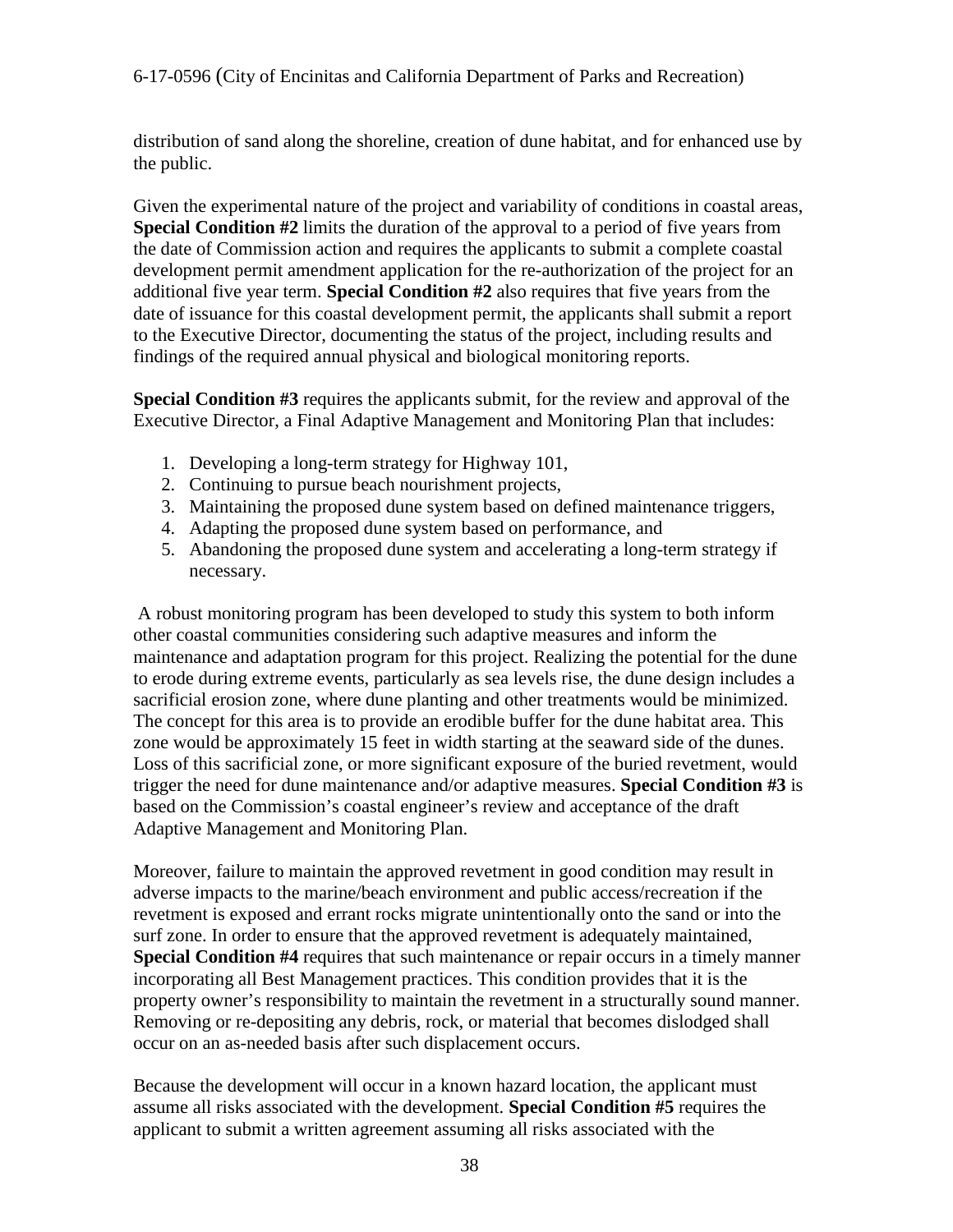distribution of sand along the shoreline, creation of dune habitat, and for enhanced use by the public.

Given the experimental nature of the project and variability of conditions in coastal areas, **Special Condition #2** limits the duration of the approval to a period of five years from the date of Commission action and requires the applicants to submit a complete coastal development permit amendment application for the re-authorization of the project for an additional five year term. **Special Condition #2** also requires that five years from the date of issuance for this coastal development permit, the applicants shall submit a report to the Executive Director, documenting the status of the project, including results and findings of the required annual physical and biological monitoring reports.

**Special Condition #3** requires the applicants submit, for the review and approval of the Executive Director, a Final Adaptive Management and Monitoring Plan that includes:

- 1. Developing a long-term strategy for Highway 101,
- 2. Continuing to pursue beach nourishment projects,
- 3. Maintaining the proposed dune system based on defined maintenance triggers,
- 4. Adapting the proposed dune system based on performance, and
- 5. Abandoning the proposed dune system and accelerating a long-term strategy if necessary.

 A robust monitoring program has been developed to study this system to both inform other coastal communities considering such adaptive measures and inform the maintenance and adaptation program for this project. Realizing the potential for the dune to erode during extreme events, particularly as sea levels rise, the dune design includes a sacrificial erosion zone, where dune planting and other treatments would be minimized. The concept for this area is to provide an erodible buffer for the dune habitat area. This zone would be approximately 15 feet in width starting at the seaward side of the dunes. Loss of this sacrificial zone, or more significant exposure of the buried revetment, would trigger the need for dune maintenance and/or adaptive measures. **Special Condition #3** is based on the Commission's coastal engineer's review and acceptance of the draft Adaptive Management and Monitoring Plan.

Moreover, failure to maintain the approved revetment in good condition may result in adverse impacts to the marine/beach environment and public access/recreation if the revetment is exposed and errant rocks migrate unintentionally onto the sand or into the surf zone. In order to ensure that the approved revetment is adequately maintained, **Special Condition #4** requires that such maintenance or repair occurs in a timely manner incorporating all Best Management practices. This condition provides that it is the property owner's responsibility to maintain the revetment in a structurally sound manner. Removing or re-depositing any debris, rock, or material that becomes dislodged shall occur on an as-needed basis after such displacement occurs.

Because the development will occur in a known hazard location, the applicant must assume all risks associated with the development. **Special Condition #5** requires the applicant to submit a written agreement assuming all risks associated with the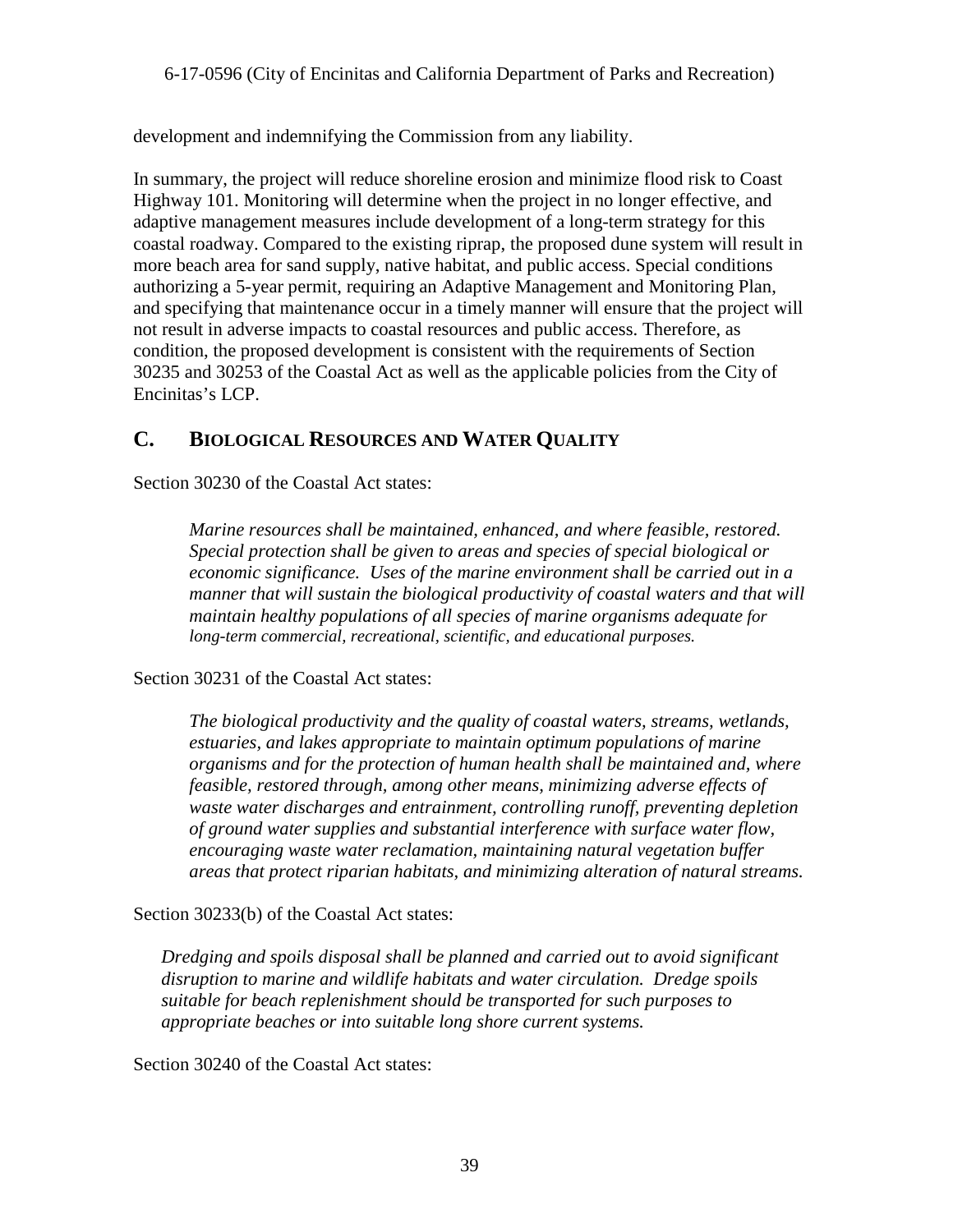development and indemnifying the Commission from any liability.

In summary, the project will reduce shoreline erosion and minimize flood risk to Coast Highway 101. Monitoring will determine when the project in no longer effective, and adaptive management measures include development of a long-term strategy for this coastal roadway. Compared to the existing riprap, the proposed dune system will result in more beach area for sand supply, native habitat, and public access. Special conditions authorizing a 5-year permit, requiring an Adaptive Management and Monitoring Plan, and specifying that maintenance occur in a timely manner will ensure that the project will not result in adverse impacts to coastal resources and public access. Therefore, as condition, the proposed development is consistent with the requirements of Section 30235 and 30253 of the Coastal Act as well as the applicable policies from the City of Encinitas's LCP.

## <span id="page-38-0"></span>**C. BIOLOGICAL RESOURCES AND WATER QUALITY**

Section 30230 of the Coastal Act states:

*Marine resources shall be maintained, enhanced, and where feasible, restored. Special protection shall be given to areas and species of special biological or economic significance. Uses of the marine environment shall be carried out in a manner that will sustain the biological productivity of coastal waters and that will maintain healthy populations of all species of marine organisms adequate for long-term commercial, recreational, scientific, and educational purposes.*

Section 30231 of the Coastal Act states:

*The biological productivity and the quality of coastal waters, streams, wetlands, estuaries, and lakes appropriate to maintain optimum populations of marine organisms and for the protection of human health shall be maintained and, where feasible, restored through, among other means, minimizing adverse effects of waste water discharges and entrainment, controlling runoff, preventing depletion of ground water supplies and substantial interference with surface water flow, encouraging waste water reclamation, maintaining natural vegetation buffer areas that protect riparian habitats, and minimizing alteration of natural streams.* 

Section 30233(b) of the Coastal Act states:

*Dredging and spoils disposal shall be planned and carried out to avoid significant disruption to marine and wildlife habitats and water circulation. Dredge spoils suitable for beach replenishment should be transported for such purposes to appropriate beaches or into suitable long shore current systems.* 

Section 30240 of the Coastal Act states: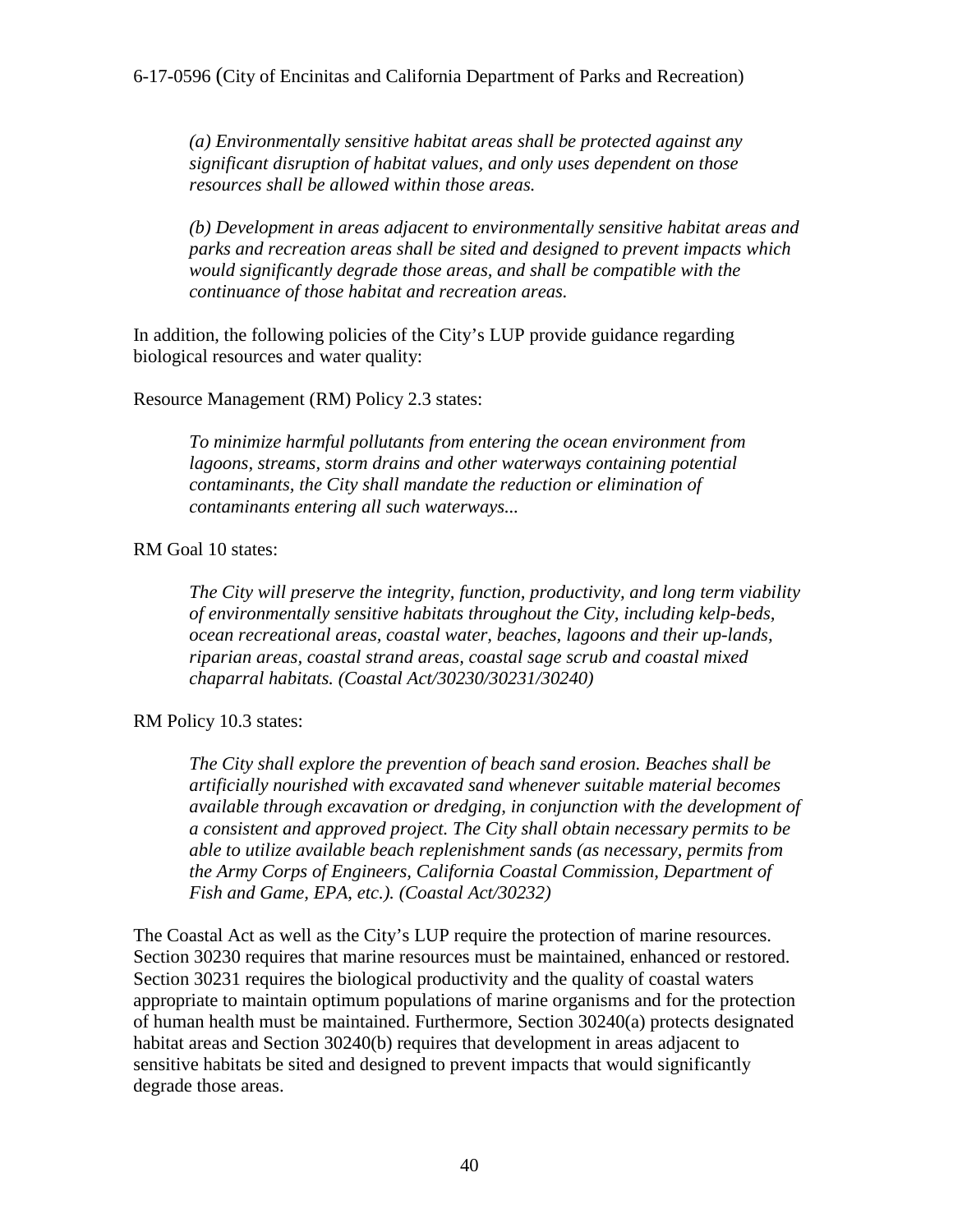*(a) Environmentally sensitive habitat areas shall be protected against any significant disruption of habitat values, and only uses dependent on those resources shall be allowed within those areas.* 

*(b) Development in areas adjacent to environmentally sensitive habitat areas and parks and recreation areas shall be sited and designed to prevent impacts which would significantly degrade those areas, and shall be compatible with the continuance of those habitat and recreation areas.* 

In addition, the following policies of the City's LUP provide guidance regarding biological resources and water quality:

#### Resource Management (RM) Policy 2.3 states:

*To minimize harmful pollutants from entering the ocean environment from lagoons, streams, storm drains and other waterways containing potential contaminants, the City shall mandate the reduction or elimination of contaminants entering all such waterways...* 

RM Goal 10 states:

*The City will preserve the integrity, function, productivity, and long term viability of environmentally sensitive habitats throughout the City, including kelp-beds, ocean recreational areas, coastal water, beaches, lagoons and their up-lands, riparian areas, coastal strand areas, coastal sage scrub and coastal mixed chaparral habitats. (Coastal Act/30230/30231/30240)* 

#### RM Policy 10.3 states:

*The City shall explore the prevention of beach sand erosion. Beaches shall be artificially nourished with excavated sand whenever suitable material becomes available through excavation or dredging, in conjunction with the development of a consistent and approved project. The City shall obtain necessary permits to be able to utilize available beach replenishment sands (as necessary, permits from the Army Corps of Engineers, California Coastal Commission, Department of Fish and Game, EPA, etc.). (Coastal Act/30232)* 

The Coastal Act as well as the City's LUP require the protection of marine resources. Section 30230 requires that marine resources must be maintained, enhanced or restored. Section 30231 requires the biological productivity and the quality of coastal waters appropriate to maintain optimum populations of marine organisms and for the protection of human health must be maintained. Furthermore, Section 30240(a) protects designated habitat areas and Section 30240(b) requires that development in areas adjacent to sensitive habitats be sited and designed to prevent impacts that would significantly degrade those areas.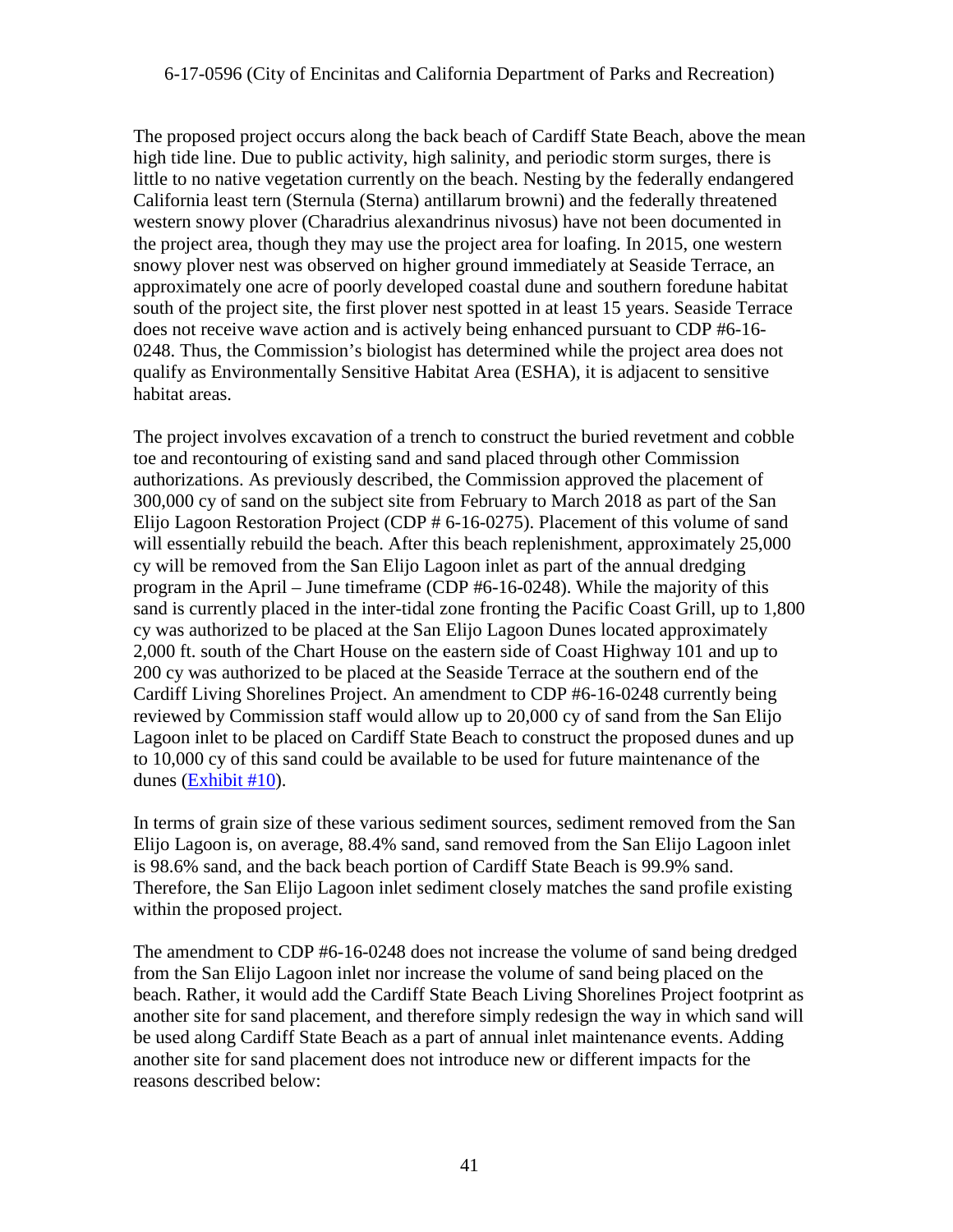The proposed project occurs along the back beach of Cardiff State Beach, above the mean high tide line. Due to public activity, high salinity, and periodic storm surges, there is little to no native vegetation currently on the beach. Nesting by the federally endangered California least tern (Sternula (Sterna) antillarum browni) and the federally threatened western snowy plover (Charadrius alexandrinus nivosus) have not been documented in the project area, though they may use the project area for loafing. In 2015, one western snowy plover nest was observed on higher ground immediately at Seaside Terrace, an approximately one acre of poorly developed coastal dune and southern foredune habitat south of the project site, the first plover nest spotted in at least 15 years. Seaside Terrace does not receive wave action and is actively being enhanced pursuant to CDP #6-16- 0248. Thus, the Commission's biologist has determined while the project area does not qualify as Environmentally Sensitive Habitat Area (ESHA), it is adjacent to sensitive habitat areas.

The project involves excavation of a trench to construct the buried revetment and cobble toe and recontouring of existing sand and sand placed through other Commission authorizations. As previously described, the Commission approved the placement of 300,000 cy of sand on the subject site from February to March 2018 as part of the San Elijo Lagoon Restoration Project (CDP # 6-16-0275). Placement of this volume of sand will essentially rebuild the beach. After this beach replenishment, approximately 25,000 cy will be removed from the San Elijo Lagoon inlet as part of the annual dredging program in the April – June timeframe (CDP #6-16-0248). While the majority of this sand is currently placed in the inter-tidal zone fronting the Pacific Coast Grill, up to 1,800 cy was authorized to be placed at the San Elijo Lagoon Dunes located approximately 2,000 ft. south of the Chart House on the eastern side of Coast Highway 101 and up to 200 cy was authorized to be placed at the Seaside Terrace at the southern end of the Cardiff Living Shorelines Project. An amendment to CDP #6-16-0248 currently being reviewed by Commission staff would allow up to 20,000 cy of sand from the San Elijo Lagoon inlet to be placed on Cardiff State Beach to construct the proposed dunes and up to 10,000 cy of this sand could be available to be used for future maintenance of the dunes [\(Exhibit #10\)](https://documents.coastal.ca.gov/reports/2017/11/th17b/th17b-11-2017-exhibits.pdf).

In terms of grain size of these various sediment sources, sediment removed from the San Elijo Lagoon is, on average, 88.4% sand, sand removed from the San Elijo Lagoon inlet is 98.6% sand, and the back beach portion of Cardiff State Beach is 99.9% sand. Therefore, the San Elijo Lagoon inlet sediment closely matches the sand profile existing within the proposed project.

The amendment to CDP #6-16-0248 does not increase the volume of sand being dredged from the San Elijo Lagoon inlet nor increase the volume of sand being placed on the beach. Rather, it would add the Cardiff State Beach Living Shorelines Project footprint as another site for sand placement, and therefore simply redesign the way in which sand will be used along Cardiff State Beach as a part of annual inlet maintenance events. Adding another site for sand placement does not introduce new or different impacts for the reasons described below: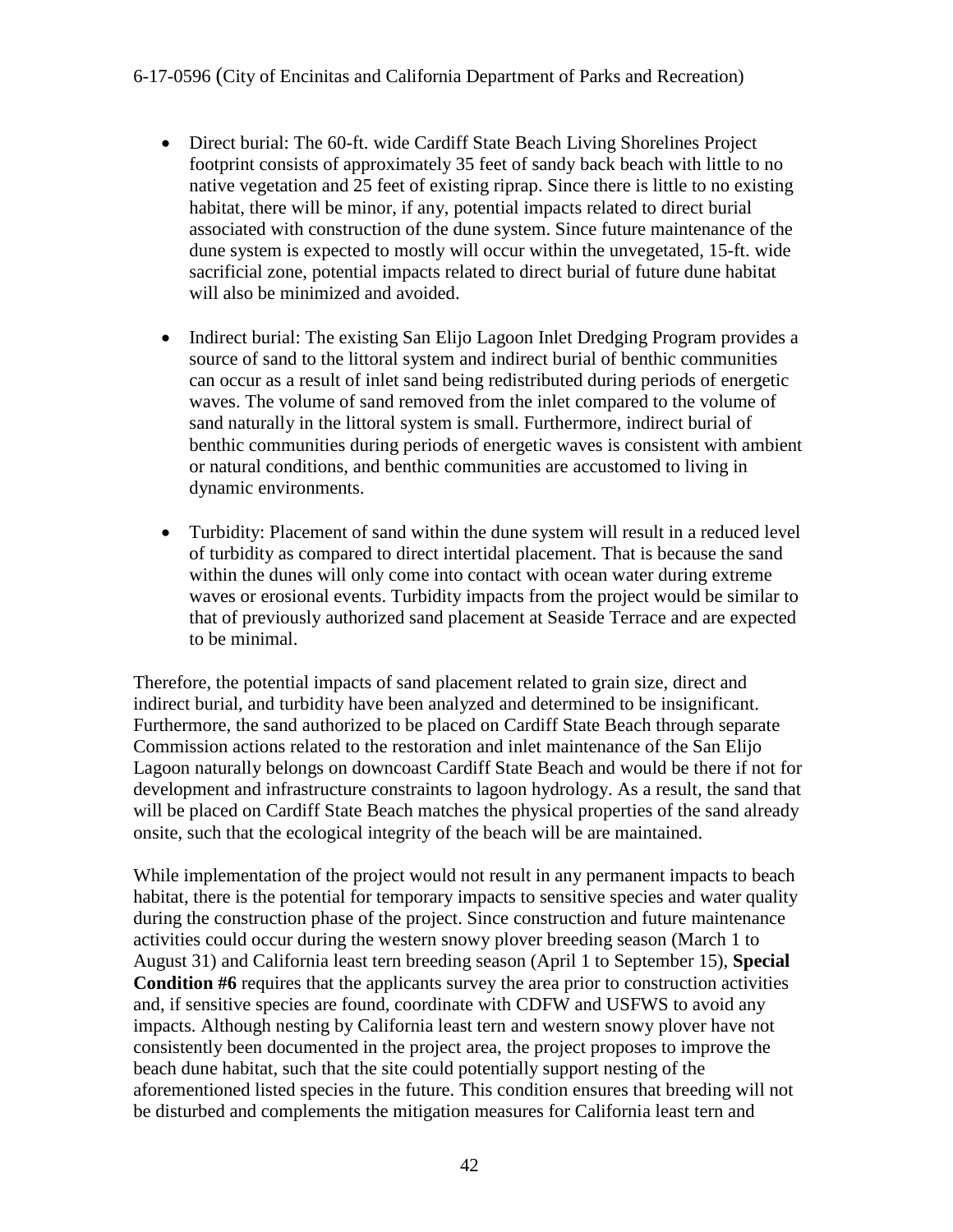- Direct burial: The 60-ft. wide Cardiff State Beach Living Shorelines Project footprint consists of approximately 35 feet of sandy back beach with little to no native vegetation and 25 feet of existing riprap. Since there is little to no existing habitat, there will be minor, if any, potential impacts related to direct burial associated with construction of the dune system. Since future maintenance of the dune system is expected to mostly will occur within the unvegetated, 15-ft. wide sacrificial zone, potential impacts related to direct burial of future dune habitat will also be minimized and avoided.
- Indirect burial: The existing San Elijo Lagoon Inlet Dredging Program provides a source of sand to the littoral system and indirect burial of benthic communities can occur as a result of inlet sand being redistributed during periods of energetic waves. The volume of sand removed from the inlet compared to the volume of sand naturally in the littoral system is small. Furthermore, indirect burial of benthic communities during periods of energetic waves is consistent with ambient or natural conditions, and benthic communities are accustomed to living in dynamic environments.
- Turbidity: Placement of sand within the dune system will result in a reduced level of turbidity as compared to direct intertidal placement. That is because the sand within the dunes will only come into contact with ocean water during extreme waves or erosional events. Turbidity impacts from the project would be similar to that of previously authorized sand placement at Seaside Terrace and are expected to be minimal.

Therefore, the potential impacts of sand placement related to grain size, direct and indirect burial, and turbidity have been analyzed and determined to be insignificant. Furthermore, the sand authorized to be placed on Cardiff State Beach through separate Commission actions related to the restoration and inlet maintenance of the San Elijo Lagoon naturally belongs on downcoast Cardiff State Beach and would be there if not for development and infrastructure constraints to lagoon hydrology. As a result, the sand that will be placed on Cardiff State Beach matches the physical properties of the sand already onsite, such that the ecological integrity of the beach will be are maintained.

While implementation of the project would not result in any permanent impacts to beach habitat, there is the potential for temporary impacts to sensitive species and water quality during the construction phase of the project. Since construction and future maintenance activities could occur during the western snowy plover breeding season (March 1 to August 31) and California least tern breeding season (April 1 to September 15), **Special Condition #6** requires that the applicants survey the area prior to construction activities and, if sensitive species are found, coordinate with CDFW and USFWS to avoid any impacts. Although nesting by California least tern and western snowy plover have not consistently been documented in the project area, the project proposes to improve the beach dune habitat, such that the site could potentially support nesting of the aforementioned listed species in the future. This condition ensures that breeding will not be disturbed and complements the mitigation measures for California least tern and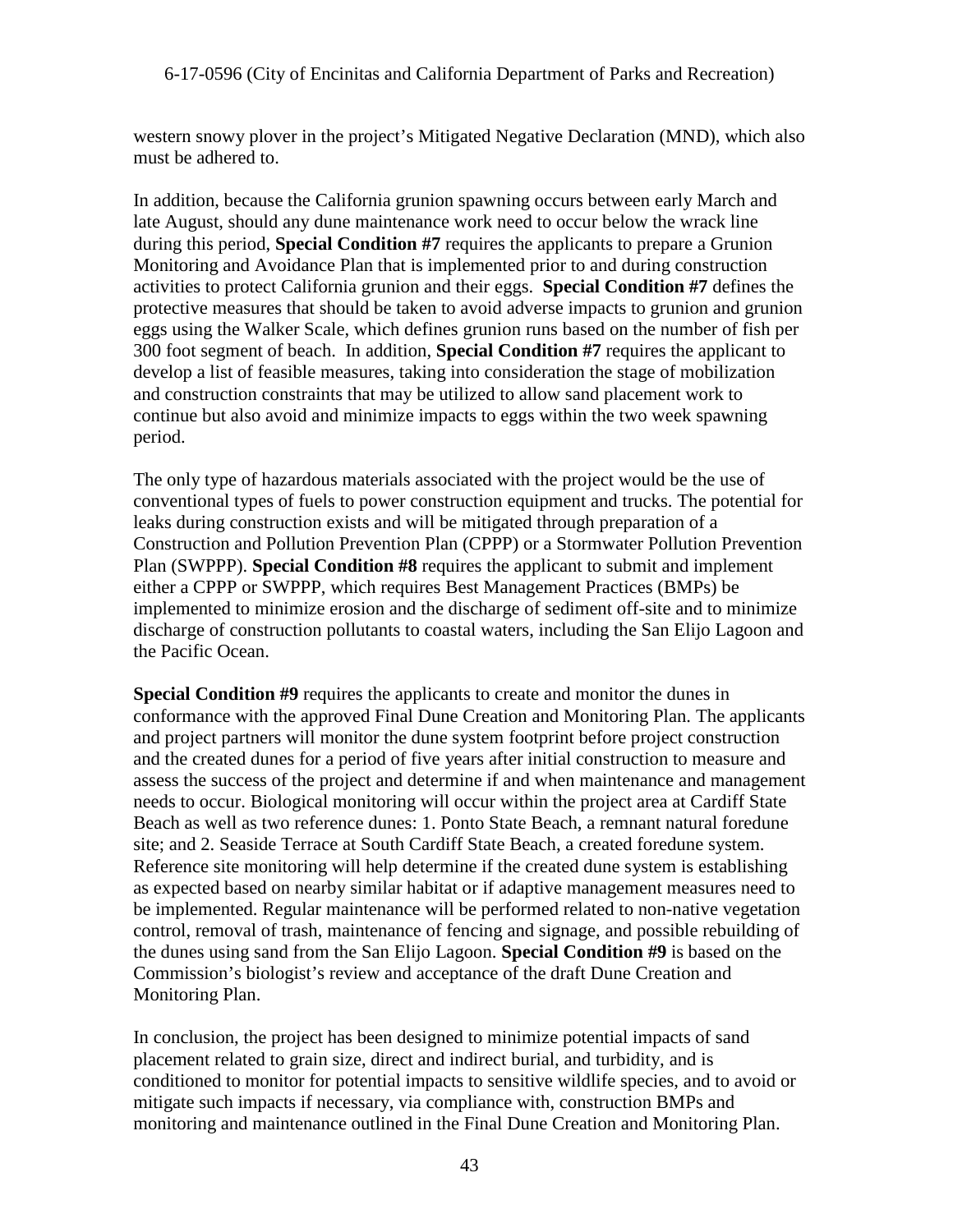western snowy plover in the project's Mitigated Negative Declaration (MND), which also must be adhered to.

In addition, because the California grunion spawning occurs between early March and late August, should any dune maintenance work need to occur below the wrack line during this period, **Special Condition #7** requires the applicants to prepare a Grunion Monitoring and Avoidance Plan that is implemented prior to and during construction activities to protect California grunion and their eggs. **Special Condition #7** defines the protective measures that should be taken to avoid adverse impacts to grunion and grunion eggs using the Walker Scale, which defines grunion runs based on the number of fish per 300 foot segment of beach. In addition, **Special Condition #7** requires the applicant to develop a list of feasible measures, taking into consideration the stage of mobilization and construction constraints that may be utilized to allow sand placement work to continue but also avoid and minimize impacts to eggs within the two week spawning period.

The only type of hazardous materials associated with the project would be the use of conventional types of fuels to power construction equipment and trucks. The potential for leaks during construction exists and will be mitigated through preparation of a Construction and Pollution Prevention Plan (CPPP) or a Stormwater Pollution Prevention Plan (SWPPP). **Special Condition #8** requires the applicant to submit and implement either a CPPP or SWPPP, which requires Best Management Practices (BMPs) be implemented to minimize erosion and the discharge of sediment off-site and to minimize discharge of construction pollutants to coastal waters, including the San Elijo Lagoon and the Pacific Ocean.

**Special Condition #9** requires the applicants to create and monitor the dunes in conformance with the approved Final Dune Creation and Monitoring Plan. The applicants and project partners will monitor the dune system footprint before project construction and the created dunes for a period of five years after initial construction to measure and assess the success of the project and determine if and when maintenance and management needs to occur. Biological monitoring will occur within the project area at Cardiff State Beach as well as two reference dunes: 1. Ponto State Beach, a remnant natural foredune site; and 2. Seaside Terrace at South Cardiff State Beach, a created foredune system. Reference site monitoring will help determine if the created dune system is establishing as expected based on nearby similar habitat or if adaptive management measures need to be implemented. Regular maintenance will be performed related to non-native vegetation control, removal of trash, maintenance of fencing and signage, and possible rebuilding of the dunes using sand from the San Elijo Lagoon. **Special Condition #9** is based on the Commission's biologist's review and acceptance of the draft Dune Creation and Monitoring Plan.

In conclusion, the project has been designed to minimize potential impacts of sand placement related to grain size, direct and indirect burial, and turbidity, and is conditioned to monitor for potential impacts to sensitive wildlife species, and to avoid or mitigate such impacts if necessary, via compliance with, construction BMPs and monitoring and maintenance outlined in the Final Dune Creation and Monitoring Plan.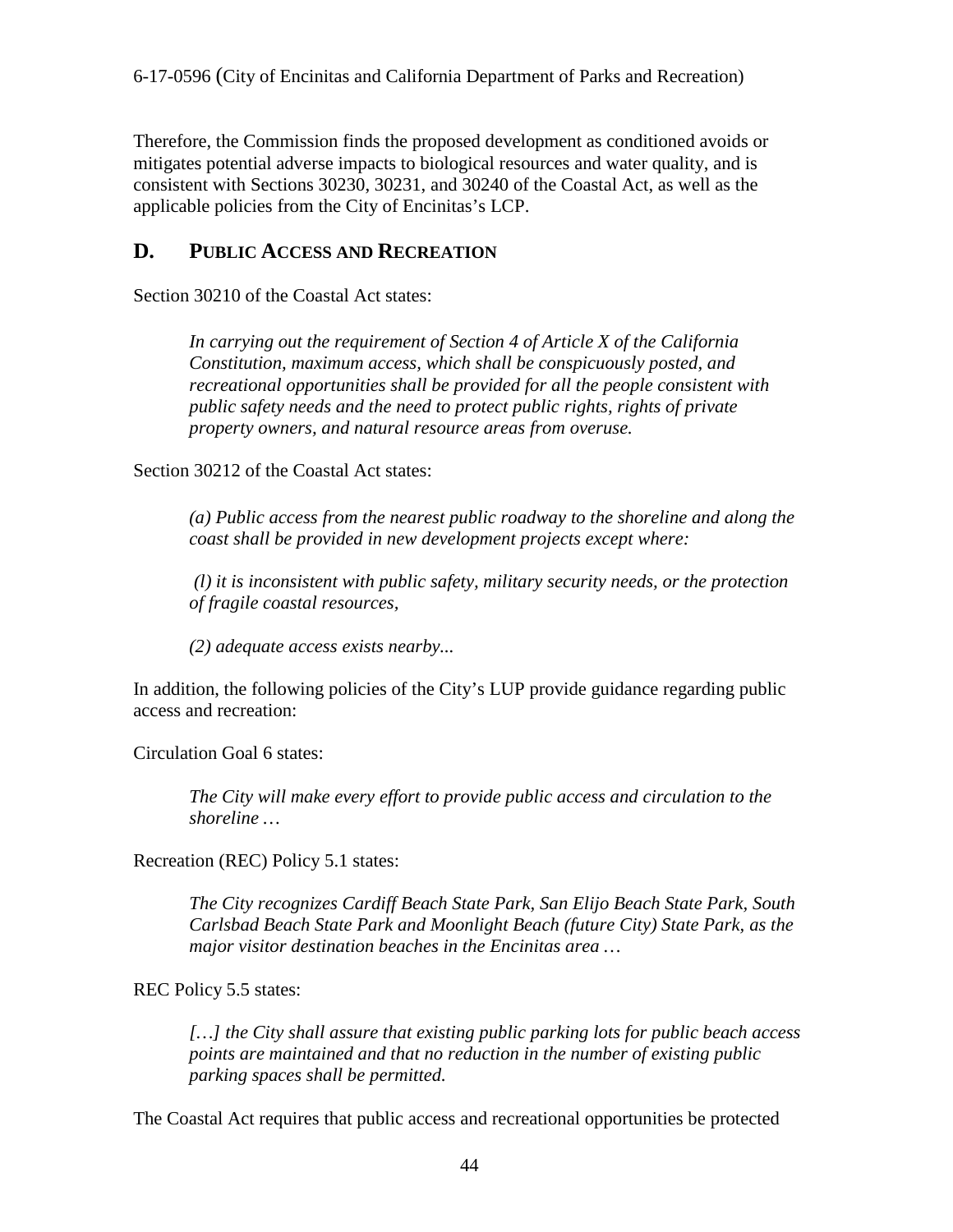Therefore, the Commission finds the proposed development as conditioned avoids or mitigates potential adverse impacts to biological resources and water quality, and is consistent with Sections 30230, 30231, and 30240 of the Coastal Act, as well as the applicable policies from the City of Encinitas's LCP.

## <span id="page-43-0"></span>**D. PUBLIC ACCESS AND RECREATION**

Section 30210 of the Coastal Act states:

*In carrying out the requirement of Section 4 of Article X of the California Constitution, maximum access, which shall be conspicuously posted, and recreational opportunities shall be provided for all the people consistent with public safety needs and the need to protect public rights, rights of private property owners, and natural resource areas from overuse.* 

Section 30212 of the Coastal Act states:

*(a) Public access from the nearest public roadway to the shoreline and along the coast shall be provided in new development projects except where:*

*(l) it is inconsistent with public safety, military security needs, or the protection of fragile coastal resources,*

*(2) adequate access exists nearby...* 

In addition, the following policies of the City's LUP provide guidance regarding public access and recreation:

Circulation Goal 6 states:

*The City will make every effort to provide public access and circulation to the shoreline …* 

Recreation (REC) Policy 5.1 states:

*The City recognizes Cardiff Beach State Park, San Elijo Beach State Park, South Carlsbad Beach State Park and Moonlight Beach (future City) State Park, as the major visitor destination beaches in the Encinitas area …* 

REC Policy 5.5 states:

*[…] the City shall assure that existing public parking lots for public beach access points are maintained and that no reduction in the number of existing public parking spaces shall be permitted.* 

The Coastal Act requires that public access and recreational opportunities be protected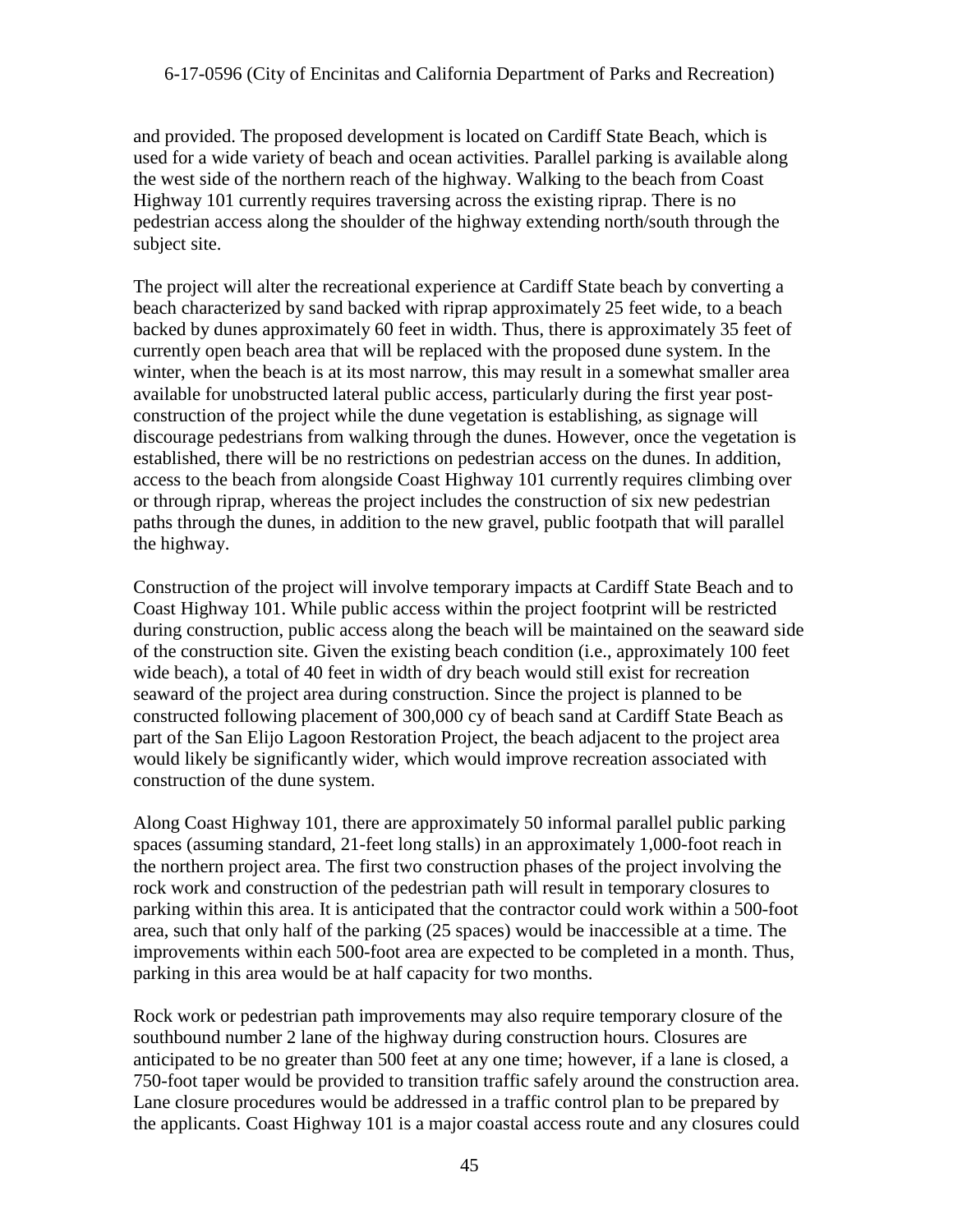and provided. The proposed development is located on Cardiff State Beach, which is used for a wide variety of beach and ocean activities. Parallel parking is available along the west side of the northern reach of the highway. Walking to the beach from Coast Highway 101 currently requires traversing across the existing riprap. There is no pedestrian access along the shoulder of the highway extending north/south through the subject site.

The project will alter the recreational experience at Cardiff State beach by converting a beach characterized by sand backed with riprap approximately 25 feet wide, to a beach backed by dunes approximately 60 feet in width. Thus, there is approximately 35 feet of currently open beach area that will be replaced with the proposed dune system. In the winter, when the beach is at its most narrow, this may result in a somewhat smaller area available for unobstructed lateral public access, particularly during the first year postconstruction of the project while the dune vegetation is establishing, as signage will discourage pedestrians from walking through the dunes. However, once the vegetation is established, there will be no restrictions on pedestrian access on the dunes. In addition, access to the beach from alongside Coast Highway 101 currently requires climbing over or through riprap, whereas the project includes the construction of six new pedestrian paths through the dunes, in addition to the new gravel, public footpath that will parallel the highway.

Construction of the project will involve temporary impacts at Cardiff State Beach and to Coast Highway 101. While public access within the project footprint will be restricted during construction, public access along the beach will be maintained on the seaward side of the construction site. Given the existing beach condition (i.e., approximately 100 feet wide beach), a total of 40 feet in width of dry beach would still exist for recreation seaward of the project area during construction. Since the project is planned to be constructed following placement of 300,000 cy of beach sand at Cardiff State Beach as part of the San Elijo Lagoon Restoration Project, the beach adjacent to the project area would likely be significantly wider, which would improve recreation associated with construction of the dune system.

Along Coast Highway 101, there are approximately 50 informal parallel public parking spaces (assuming standard, 21-feet long stalls) in an approximately 1,000-foot reach in the northern project area. The first two construction phases of the project involving the rock work and construction of the pedestrian path will result in temporary closures to parking within this area. It is anticipated that the contractor could work within a 500-foot area, such that only half of the parking (25 spaces) would be inaccessible at a time. The improvements within each 500-foot area are expected to be completed in a month. Thus, parking in this area would be at half capacity for two months.

Rock work or pedestrian path improvements may also require temporary closure of the southbound number 2 lane of the highway during construction hours. Closures are anticipated to be no greater than 500 feet at any one time; however, if a lane is closed, a 750-foot taper would be provided to transition traffic safely around the construction area. Lane closure procedures would be addressed in a traffic control plan to be prepared by the applicants. Coast Highway 101 is a major coastal access route and any closures could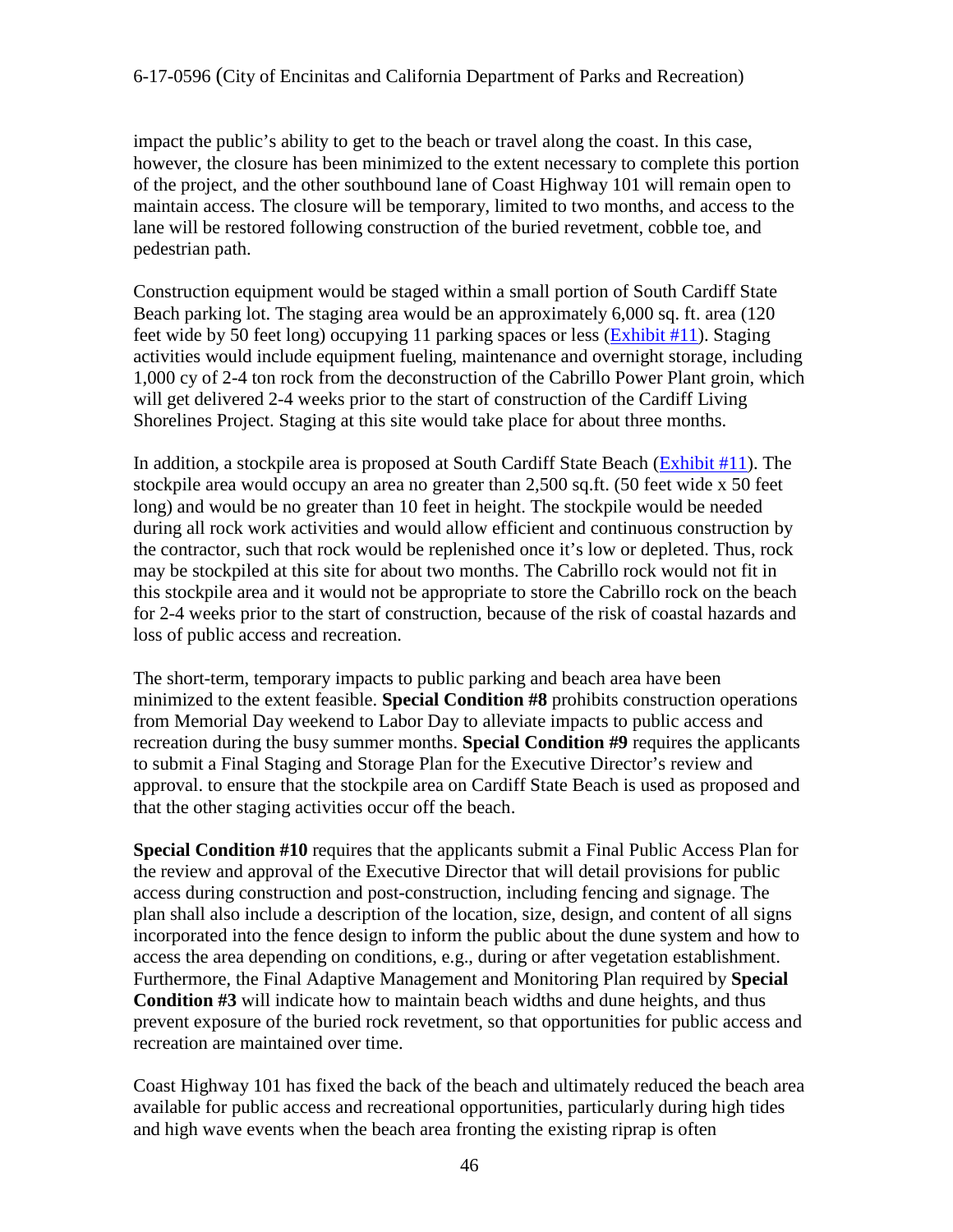impact the public's ability to get to the beach or travel along the coast. In this case, however, the closure has been minimized to the extent necessary to complete this portion of the project, and the other southbound lane of Coast Highway 101 will remain open to maintain access. The closure will be temporary, limited to two months, and access to the lane will be restored following construction of the buried revetment, cobble toe, and pedestrian path.

Construction equipment would be staged within a small portion of South Cardiff State Beach parking lot. The staging area would be an approximately 6,000 sq. ft. area (120 feet wide by 50 feet long) occupying 11 parking spaces or less [\(Exhibit #11\)](https://documents.coastal.ca.gov/reports/2017/11/th17b/th17b-11-2017-exhibits.pdf). Staging activities would include equipment fueling, maintenance and overnight storage, including 1,000 cy of 2-4 ton rock from the deconstruction of the Cabrillo Power Plant groin, which will get delivered 2-4 weeks prior to the start of construction of the Cardiff Living Shorelines Project. Staging at this site would take place for about three months.

In addition, a stockpile area is proposed at South Cardiff State Beach [\(Exhibit #11\)](https://documents.coastal.ca.gov/reports/2017/11/th17b/th17b-11-2017-exhibits.pdf). The stockpile area would occupy an area no greater than 2,500 sq.ft. (50 feet wide x 50 feet long) and would be no greater than 10 feet in height. The stockpile would be needed during all rock work activities and would allow efficient and continuous construction by the contractor, such that rock would be replenished once it's low or depleted. Thus, rock may be stockpiled at this site for about two months. The Cabrillo rock would not fit in this stockpile area and it would not be appropriate to store the Cabrillo rock on the beach for 2-4 weeks prior to the start of construction, because of the risk of coastal hazards and loss of public access and recreation.

The short-term, temporary impacts to public parking and beach area have been minimized to the extent feasible. **Special Condition #8** prohibits construction operations from Memorial Day weekend to Labor Day to alleviate impacts to public access and recreation during the busy summer months. **Special Condition #9** requires the applicants to submit a Final Staging and Storage Plan for the Executive Director's review and approval. to ensure that the stockpile area on Cardiff State Beach is used as proposed and that the other staging activities occur off the beach.

**Special Condition #10** requires that the applicants submit a Final Public Access Plan for the review and approval of the Executive Director that will detail provisions for public access during construction and post-construction, including fencing and signage. The plan shall also include a description of the location, size, design, and content of all signs incorporated into the fence design to inform the public about the dune system and how to access the area depending on conditions, e.g., during or after vegetation establishment. Furthermore, the Final Adaptive Management and Monitoring Plan required by **Special Condition #3** will indicate how to maintain beach widths and dune heights, and thus prevent exposure of the buried rock revetment, so that opportunities for public access and recreation are maintained over time.

Coast Highway 101 has fixed the back of the beach and ultimately reduced the beach area available for public access and recreational opportunities, particularly during high tides and high wave events when the beach area fronting the existing riprap is often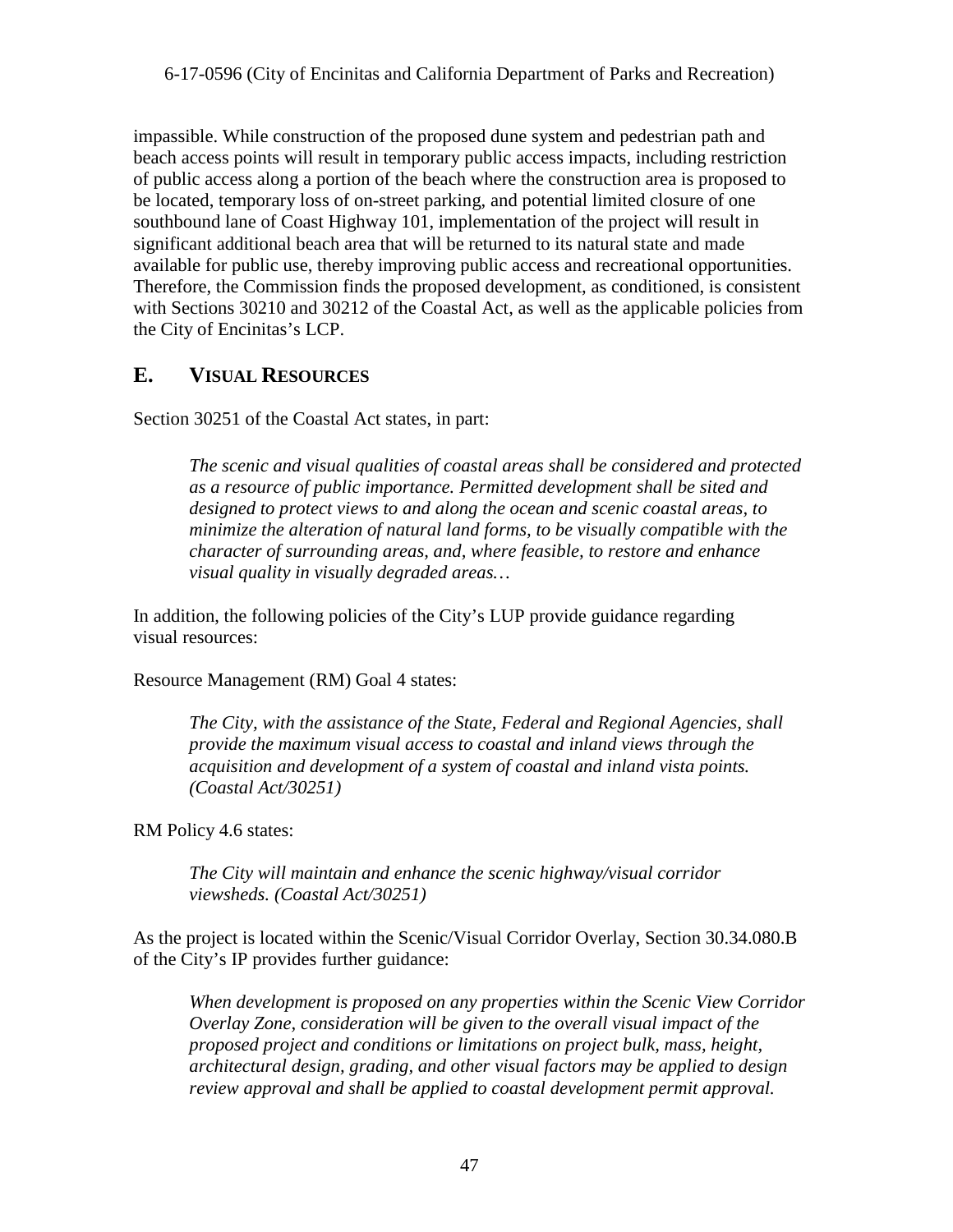impassible. While construction of the proposed dune system and pedestrian path and beach access points will result in temporary public access impacts, including restriction of public access along a portion of the beach where the construction area is proposed to be located, temporary loss of on-street parking, and potential limited closure of one southbound lane of Coast Highway 101, implementation of the project will result in significant additional beach area that will be returned to its natural state and made available for public use, thereby improving public access and recreational opportunities. Therefore, the Commission finds the proposed development, as conditioned, is consistent with Sections 30210 and 30212 of the Coastal Act, as well as the applicable policies from the City of Encinitas's LCP.

## <span id="page-46-0"></span>**E. VISUAL RESOURCES**

Section 30251 of the Coastal Act states, in part:

*The scenic and visual qualities of coastal areas shall be considered and protected as a resource of public importance. Permitted development shall be sited and designed to protect views to and along the ocean and scenic coastal areas, to minimize the alteration of natural land forms, to be visually compatible with the character of surrounding areas, and, where feasible, to restore and enhance visual quality in visually degraded areas…* 

In addition, the following policies of the City's LUP provide guidance regarding visual resources:

Resource Management (RM) Goal 4 states:

*The City, with the assistance of the State, Federal and Regional Agencies, shall provide the maximum visual access to coastal and inland views through the acquisition and development of a system of coastal and inland vista points. (Coastal Act/30251)* 

RM Policy 4.6 states:

*The City will maintain and enhance the scenic highway/visual corridor viewsheds. (Coastal Act/30251)* 

As the project is located within the Scenic/Visual Corridor Overlay, Section 30.34.080.B of the City's IP provides further guidance:

*When development is proposed on any properties within the Scenic View Corridor Overlay Zone, consideration will be given to the overall visual impact of the proposed project and conditions or limitations on project bulk, mass, height, architectural design, grading, and other visual factors may be applied to design review approval and shall be applied to coastal development permit approval.*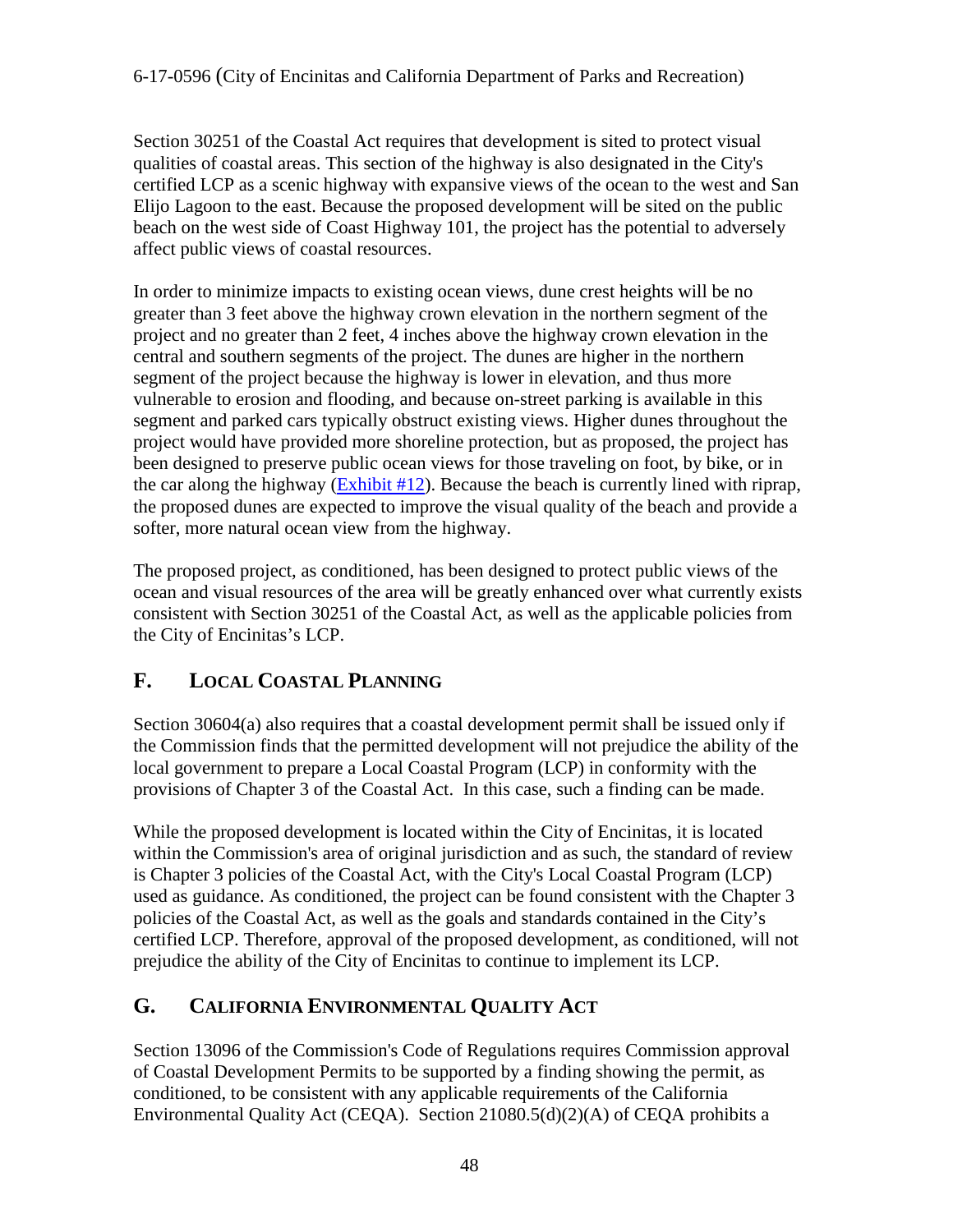Section 30251 of the Coastal Act requires that development is sited to protect visual qualities of coastal areas. This section of the highway is also designated in the City's certified LCP as a scenic highway with expansive views of the ocean to the west and San Elijo Lagoon to the east. Because the proposed development will be sited on the public beach on the west side of Coast Highway 101, the project has the potential to adversely affect public views of coastal resources.

In order to minimize impacts to existing ocean views, dune crest heights will be no greater than 3 feet above the highway crown elevation in the northern segment of the project and no greater than 2 feet, 4 inches above the highway crown elevation in the central and southern segments of the project. The dunes are higher in the northern segment of the project because the highway is lower in elevation, and thus more vulnerable to erosion and flooding, and because on-street parking is available in this segment and parked cars typically obstruct existing views. Higher dunes throughout the project would have provided more shoreline protection, but as proposed, the project has been designed to preserve public ocean views for those traveling on foot, by bike, or in the car along the highway  $(Exhibit #12)$ . Because the beach is currently lined with riprap, the proposed dunes are expected to improve the visual quality of the beach and provide a softer, more natural ocean view from the highway.

The proposed project, as conditioned, has been designed to protect public views of the ocean and visual resources of the area will be greatly enhanced over what currently exists consistent with Section 30251 of the Coastal Act, as well as the applicable policies from the City of Encinitas's LCP.

## <span id="page-47-0"></span>**F. LOCAL COASTAL PLANNING**

Section 30604(a) also requires that a coastal development permit shall be issued only if the Commission finds that the permitted development will not prejudice the ability of the local government to prepare a Local Coastal Program (LCP) in conformity with the provisions of Chapter 3 of the Coastal Act. In this case, such a finding can be made.

While the proposed development is located within the City of Encinitas, it is located within the Commission's area of original jurisdiction and as such, the standard of review is Chapter 3 policies of the Coastal Act, with the City's Local Coastal Program (LCP) used as guidance. As conditioned, the project can be found consistent with the Chapter 3 policies of the Coastal Act, as well as the goals and standards contained in the City's certified LCP. Therefore, approval of the proposed development, as conditioned, will not prejudice the ability of the City of Encinitas to continue to implement its LCP.

## <span id="page-47-1"></span>**G. CALIFORNIA ENVIRONMENTAL QUALITY ACT**

Section 13096 of the Commission's Code of Regulations requires Commission approval of Coastal Development Permits to be supported by a finding showing the permit, as conditioned, to be consistent with any applicable requirements of the California Environmental Quality Act (CEQA). Section 21080.5(d)(2)(A) of CEQA prohibits a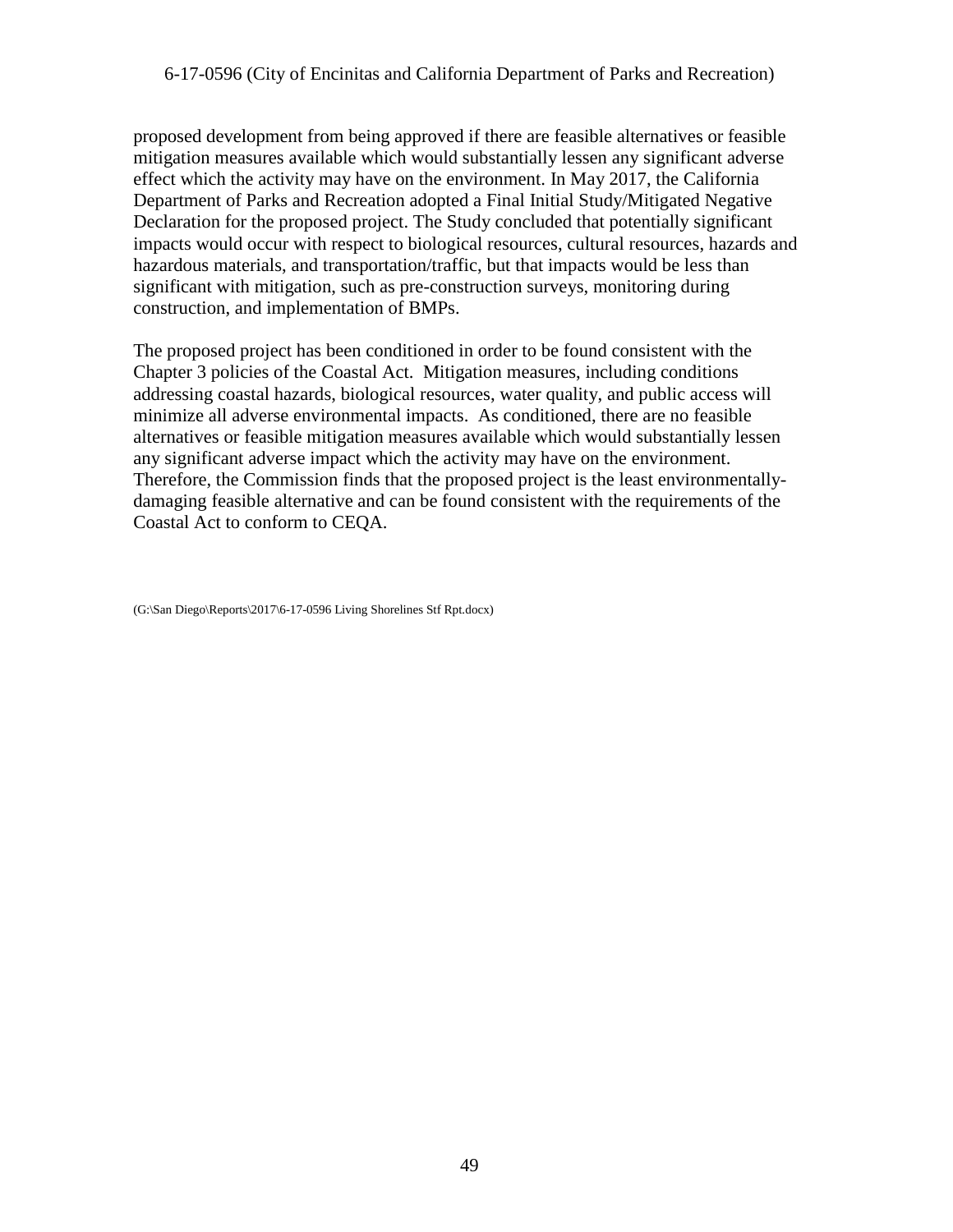proposed development from being approved if there are feasible alternatives or feasible mitigation measures available which would substantially lessen any significant adverse effect which the activity may have on the environment. In May 2017, the California Department of Parks and Recreation adopted a Final Initial Study/Mitigated Negative Declaration for the proposed project. The Study concluded that potentially significant impacts would occur with respect to biological resources, cultural resources, hazards and hazardous materials, and transportation/traffic, but that impacts would be less than significant with mitigation, such as pre-construction surveys, monitoring during construction, and implementation of BMPs.

The proposed project has been conditioned in order to be found consistent with the Chapter 3 policies of the Coastal Act. Mitigation measures, including conditions addressing coastal hazards, biological resources, water quality, and public access will minimize all adverse environmental impacts. As conditioned, there are no feasible alternatives or feasible mitigation measures available which would substantially lessen any significant adverse impact which the activity may have on the environment. Therefore, the Commission finds that the proposed project is the least environmentallydamaging feasible alternative and can be found consistent with the requirements of the Coastal Act to conform to CEQA.

<sup>(</sup>G:\San Diego\Reports\2017\6-17-0596 Living Shorelines Stf Rpt.docx)